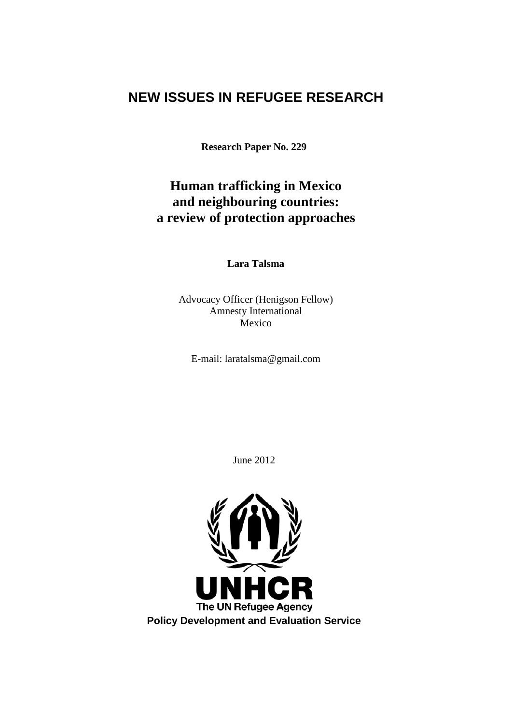# **NEW ISSUES IN REFUGEE RESEARCH**

**Research Paper No. 229**

# **Human trafficking in Mexico and neighbouring countries: a review of protection approaches**

**Lara Talsma**

Advocacy Officer (Henigson Fellow) Amnesty International Mexico

E-mail: laratalsma@gmail.com

June 2012

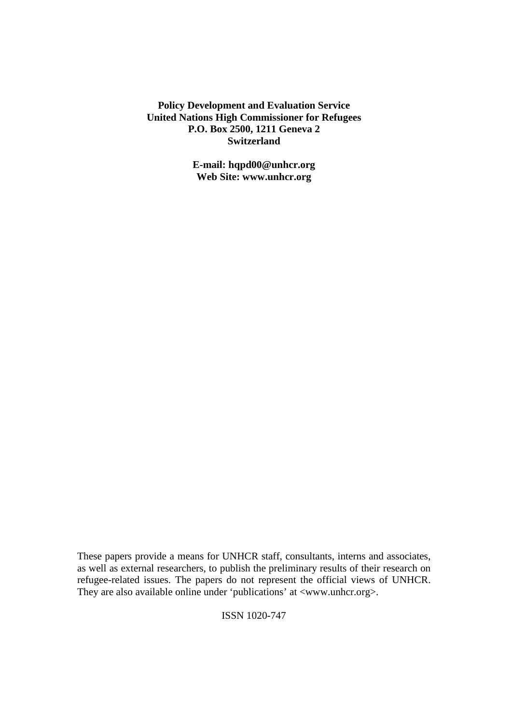**Policy Development and Evaluation Service United Nations High Commissioner for Refugees P.O. Box 2500, 1211 Geneva 2 Switzerland**

> **E-mail: hqpd00@unhcr.org Web Site: www.unhcr.org**

These papers provide a means for UNHCR staff, consultants, interns and associates, as well as external researchers, to publish the preliminary results of their research on refugee-related issues. The papers do not represent the official views of UNHCR. They are also available online under 'publications' at <www.unhcr.org>.

ISSN 1020-747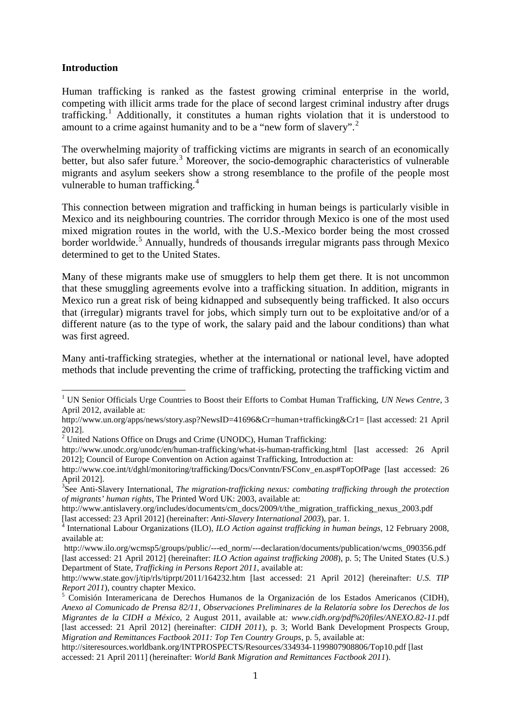# **Introduction**

1

Human trafficking is ranked as the fastest growing criminal enterprise in the world, competing with illicit arms trade for the place of second largest criminal industry after drugs trafficking.<sup>[1](#page-2-0)</sup> Additionally, it constitutes a human rights violation that it is understood to amount to a crime against humanity and to be a "new form of slavery".<sup>[2](#page-2-1)</sup>

The overwhelming majority of trafficking victims are migrants in search of an economically better, but also safer future.<sup>[3](#page-2-2)</sup> Moreover, the socio-demographic characteristics of vulnerable migrants and asylum seekers show a strong resemblance to the profile of the people most vulnerable to human trafficking.<sup>[4](#page-2-3)</sup>

This connection between migration and trafficking in human beings is particularly visible in Mexico and its neighbouring countries. The corridor through Mexico is one of the most used mixed migration routes in the world, with the U.S.-Mexico border being the most crossed border worldwide.<sup>[5](#page-2-4)</sup> Annually, hundreds of thousands irregular migrants pass through Mexico determined to get to the United States.

Many of these migrants make use of smugglers to help them get there. It is not uncommon that these smuggling agreements evolve into a trafficking situation. In addition, migrants in Mexico run a great risk of being kidnapped and subsequently being trafficked. It also occurs that (irregular) migrants travel for jobs, which simply turn out to be exploitative and/or of a different nature (as to the type of work, the salary paid and the labour conditions) than what was first agreed.

Many anti-trafficking strategies, whether at the international or national level, have adopted methods that include preventing the crime of trafficking, protecting the trafficking victim and

http://www.antislavery.org/includes/documents/cm\_docs/2009/t/the\_migration\_trafficking\_nexus\_2003.pdf

<span id="page-2-0"></span><sup>&</sup>lt;sup>1</sup> UN Senior Officials Urge Countries to Boost their Efforts to Combat Human Trafficking, *UN News Centre*, 3 April 2012, available at:

http://www.un.org/apps/news/story.asp?NewsID=41696&Cr=human+trafficking&Cr1= [last accessed: 21 April 2012].

<span id="page-2-1"></span> $2012$ <sup>2</sup> United Nations Office on Drugs and Crime (UNODC), Human Trafficking:

http://www.unodc.org/unodc/en/human-trafficking/what-is-human-trafficking.html [last accessed: 26 April 2012]; Council of Europe Convention on Action against Trafficking, Introduction at:

http://www.coe.int/t/dghl/monitoring/trafficking/Docs/Convntn/FSConv\_en.asp#TopOfPage [last accessed: 26 April 2012].

<span id="page-2-2"></span><sup>3</sup> See Anti-Slavery International, *The migration-trafficking nexus: combating trafficking through the protection of migrants' human rights*, The Printed Word UK: 2003, available at:

<span id="page-2-3"></span><sup>[</sup>last accessed: 23 April 2012] (hereinafter: *Anti-Slavery International 2003*), par. 1. <sup>4</sup> International Labour Organizations (ILO), *ILO Action against trafficking in human beings*, 12 February 2008, available at:

http://www.ilo.org/wcmsp5/groups/public/---ed\_norm/---declaration/documents/publication/wcms\_090356.pdf [last accessed: 21 April 2012] (hereinafter: *ILO Action against trafficking 2008*), p. 5; The United States (U.S.) Department of State, *Trafficking in Persons Report 2011*, available at:

http://www.state.gov/j/tip/rls/tiprpt/2011/164232.htm [last accessed: 21 April 2012] (hereinafter: *U.S. TIP* 

<span id="page-2-4"></span><sup>&</sup>lt;sup>5</sup> Comisión Interamericana de Derechos Humanos de la Organización de los Estados Americanos (CIDH), *Anexo al Comunicado de Prensa 82/11, Observaciones Preliminares de la Relatoría sobre los Derechos de los Migrantes de la CIDH a México*, 2 August 2011, available at*: www.cidh.org/pdf%20files/ANEXO.82-11.*pdf [last accessed: 21 April 2012] (hereinafter: *CIDH 2011*), p. 3; World Bank Development Prospects Group, *Migration and Remittances Factbook 2011: Top Ten Country Groups*, p. 5, available at:

http://siteresources.worldbank.org/INTPROSPECTS/Resources/334934-1199807908806/Top10.pdf [last accessed: 21 April 2011] (hereinafter: *World Bank Migration and Remittances Factbook 2011*).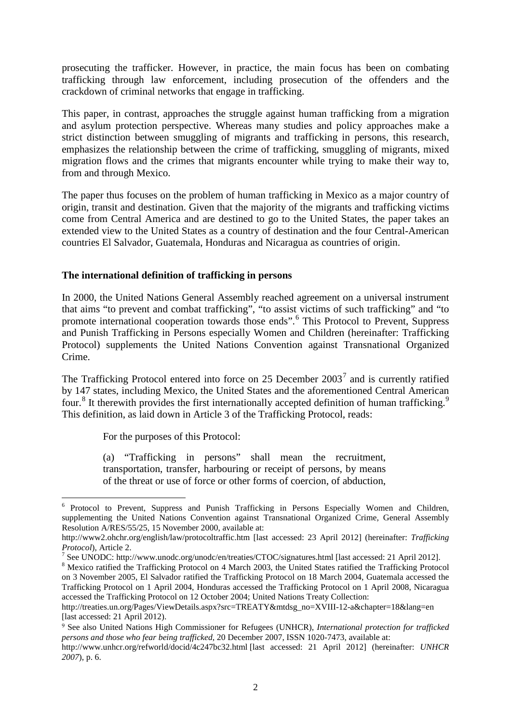prosecuting the trafficker. However, in practice, the main focus has been on combating trafficking through law enforcement, including prosecution of the offenders and the crackdown of criminal networks that engage in trafficking.

This paper, in contrast, approaches the struggle against human trafficking from a migration and asylum protection perspective. Whereas many studies and policy approaches make a strict distinction between smuggling of migrants and trafficking in persons, this research, emphasizes the relationship between the crime of trafficking, smuggling of migrants, mixed migration flows and the crimes that migrants encounter while trying to make their way to, from and through Mexico.

The paper thus focuses on the problem of human trafficking in Mexico as a major country of origin, transit and destination. Given that the majority of the migrants and trafficking victims come from Central America and are destined to go to the United States, the paper takes an extended view to the United States as a country of destination and the four Central-American countries El Salvador, Guatemala, Honduras and Nicaragua as countries of origin.

# **The international definition of trafficking in persons**

In 2000, the United Nations General Assembly reached agreement on a universal instrument that aims "to prevent and combat trafficking", "to assist victims of such trafficking" and "to promote international cooperation towards those ends".<sup>[6](#page-3-0)</sup> This Protocol to Prevent, Suppress and Punish Trafficking in Persons especially Women and Children (hereinafter: Trafficking Protocol) supplements the United Nations Convention against Transnational Organized Crime.

The Trafficking Protocol entered into force on 25 December  $2003<sup>7</sup>$  $2003<sup>7</sup>$  $2003<sup>7</sup>$  and is currently ratified by 147 states, including Mexico, the United States and the aforementioned Central American four.<sup>[8](#page-3-2)</sup> It therewith provides the first internationally accepted definition of human trafficking.<sup>[9](#page-3-3)</sup> This definition, as laid down in Article 3 of the Trafficking Protocol, reads:

For the purposes of this Protocol:

1

(a) "Trafficking in persons" shall mean the recruitment, transportation, transfer, harbouring or receipt of persons, by means of the threat or use of force or other forms of coercion, of abduction,

<span id="page-3-0"></span><sup>&</sup>lt;sup>6</sup> Protocol to Prevent, Suppress and Punish Trafficking in Persons Especially Women and Children, supplementing the United Nations Convention against Transnational Organized Crime, General Assembly Resolution A/RES/55/25, 15 November 2000, available at:

http://www2.ohchr.org/english/law/protocoltraffic.htm [last accessed: 23 April 2012] (hereinafter: *Trafficking* 

*Protocol*), Article 2.<br><sup>7</sup> See UNODC: http://www.unodc.org/unodc/en/treaties/CTOC/signatures.html [last accessed: 21 April 2012].

<span id="page-3-2"></span><span id="page-3-1"></span><sup>&</sup>lt;sup>8</sup> Mexico ratified the Trafficking Protocol on 4 March 2003, the United States ratified the Trafficking Protocol on 3 November 2005, El Salvador ratified the Trafficking Protocol on 18 March 2004, Guatemala accessed the Trafficking Protocol on 1 April 2004, Honduras accessed the Trafficking Protocol on 1 April 2008, Nicaragua accessed the Trafficking Protocol on 12 October 2004; United Nations Treaty Collection:

http://treaties.un.org/Pages/ViewDetails.aspx?src=TREATY&mtdsg\_no=XVIII-12-a&chapter=18&lang=en [last accessed: 21 April 2012).

<span id="page-3-3"></span><sup>9</sup> See also United Nations High Commissioner for Refugees (UNHCR), *International protection for trafficked persons and those who fear being trafficked*, 20 December 2007, ISSN 1020-7473, available at:

http://www.unhcr.org/refworld/docid/4c247bc32.html [last accessed: 21 April 2012] (hereinafter: *UNHCR 2007*), p. 6.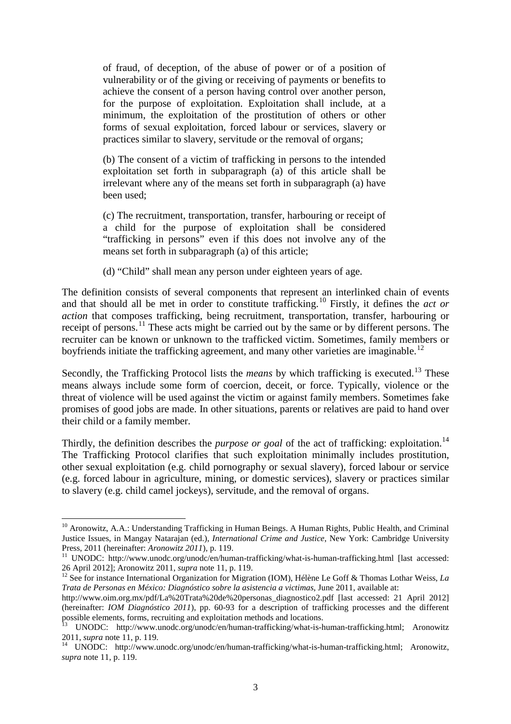of fraud, of deception, of the abuse of power or of a position of vulnerability or of the giving or receiving of payments or benefits to achieve the consent of a person having control over another person, for the purpose of exploitation. Exploitation shall include, at a minimum, the exploitation of the prostitution of others or other forms of sexual exploitation, forced labour or services, slavery or practices similar to slavery, servitude or the removal of organs;

(b) The consent of a victim of trafficking in persons to the intended exploitation set forth in subparagraph (a) of this article shall be irrelevant where any of the means set forth in subparagraph (a) have been used;

(c) The recruitment, transportation, transfer, harbouring or receipt of a child for the purpose of exploitation shall be considered "trafficking in persons" even if this does not involve any of the means set forth in subparagraph (a) of this article;

(d) "Child" shall mean any person under eighteen years of age.

The definition consists of several components that represent an interlinked chain of events and that should all be met in order to constitute trafficking.[10](#page-4-0) Firstly, it defines the *act or action* that composes trafficking, being recruitment, transportation, transfer, harbouring or receipt of persons.[11](#page-4-1) These acts might be carried out by the same or by different persons. The recruiter can be known or unknown to the trafficked victim. Sometimes, family members or boyfriends initiate the trafficking agreement, and many other varieties are imaginable.<sup>[12](#page-4-2)</sup>

Secondly, the Trafficking Protocol lists the *means* by which trafficking is executed.<sup>[13](#page-4-3)</sup> These means always include some form of coercion, deceit, or force. Typically, violence or the threat of violence will be used against the victim or against family members. Sometimes fake promises of good jobs are made. In other situations, parents or relatives are paid to hand over their child or a family member.

Thirdly, the definition describes the *purpose or goal* of the act of trafficking: exploitation. [14](#page-4-4) The Trafficking Protocol clarifies that such exploitation minimally includes prostitution, other sexual exploitation (e.g. child pornography or sexual slavery), forced labour or service (e.g. forced labour in agriculture, mining, or domestic services), slavery or practices similar to slavery (e.g. child camel jockeys), servitude, and the removal of organs.

<span id="page-4-0"></span><sup>&</sup>lt;sup>10</sup> Aronowitz, A.A.: Understanding Trafficking in Human Beings. A Human Rights, Public Health, and Criminal Justice Issues, in Mangay Natarajan (ed.), *International Crime and Justice*, New York: Cambridge University Press, 2011 (hereinafter: *Aronowitz 2011*), p. 119.

<span id="page-4-1"></span><sup>&</sup>lt;sup>11</sup> UNODC: http://www.unodc.org/unodc/en/human-trafficking/what-is-human-trafficking.html [last accessed: 26 April 2012]; Aronowitz 2011, *supra* note 11, p. 119.<br><sup>12</sup> See for instance International Organization for Migration (IOM), Hélène Le Goff & Thomas Lothar Weiss, *La* 

<span id="page-4-2"></span>*Trata de Personas en México: Diagnóstico sobre la asistencia a victimas*, June 2011, available at:

http://www.oim.org.mx/pdf/La%20Trata%20de%20personas\_diagnostico2.pdf [last accessed: 21 April 2012] (hereinafter: *IOM Diagnóstico 2011*), pp. 60-93 for a description of trafficking processes and the different possible elements, forms, recruiting and exploitation methods and locations.

<span id="page-4-3"></span><sup>13</sup> UNODC: http://www.unodc.org/unodc/en/human-trafficking/what-is-human-trafficking.html; Aronowitz 2011, *supra* note 11, p. 119.<br><sup>14</sup> UNODC: http://www.unodc.org/unodc/en/human-trafficking/what-is-human-trafficking.html; Aronowitz,

<span id="page-4-4"></span>*supra* note 11, p. 119.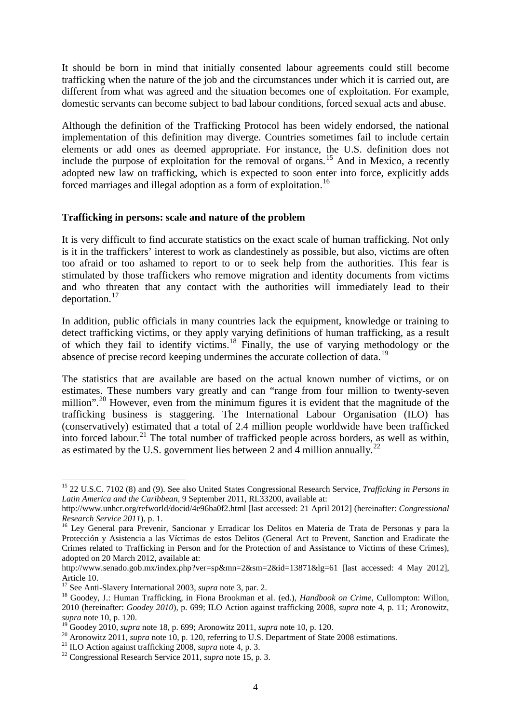It should be born in mind that initially consented labour agreements could still become trafficking when the nature of the job and the circumstances under which it is carried out, are different from what was agreed and the situation becomes one of exploitation. For example, domestic servants can become subject to bad labour conditions, forced sexual acts and abuse.

Although the definition of the Trafficking Protocol has been widely endorsed, the national implementation of this definition may diverge. Countries sometimes fail to include certain elements or add ones as deemed appropriate. For instance, the U.S. definition does not include the purpose of exploitation for the removal of organs.<sup>[15](#page-5-0)</sup> And in Mexico, a recently adopted new law on trafficking, which is expected to soon enter into force, explicitly adds forced marriages and illegal adoption as a form of exploitation.<sup>[16](#page-5-1)</sup>

## **Trafficking in persons: scale and nature of the problem**

It is very difficult to find accurate statistics on the exact scale of human trafficking. Not only is it in the traffickers' interest to work as clandestinely as possible, but also, victims are often too afraid or too ashamed to report to or to seek help from the authorities. This fear is stimulated by those traffickers who remove migration and identity documents from victims and who threaten that any contact with the authorities will immediately lead to their deportation.[17](#page-5-2)

In addition, public officials in many countries lack the equipment, knowledge or training to detect trafficking victims, or they apply varying definitions of human trafficking, as a result of which they fail to identify victims. [18](#page-5-3) Finally, the use of varying methodology or the absence of precise record keeping undermines the accurate collection of data.<sup>[19](#page-5-4)</sup>

The statistics that are available are based on the actual known number of victims, or on estimates. These numbers vary greatly and can "range from four million to twenty-seven million".<sup>[20](#page-5-5)</sup> However, even from the minimum figures it is evident that the magnitude of the trafficking business is staggering. The International Labour Organisation (ILO) has (conservatively) estimated that a total of 2.4 million people worldwide have been trafficked into forced labour.<sup>[21](#page-5-6)</sup> The total number of trafficked people across borders, as well as within, as estimated by the U.S. government lies between 2 and 4 million annually.<sup>[22](#page-5-7)</sup>

<span id="page-5-0"></span><sup>15</sup> 22 U.S.C. 7102 (8) and (9). See also United States Congressional Research Service, *Trafficking in Persons in Latin America and the Caribbean*, 9 September 2011, RL33200, available at:

http://www.unhcr.org/refworld/docid/4e96ba0f2.html [last accessed: 21 April 2012] (hereinafter: *Congressional* 

<span id="page-5-1"></span>*Research Service 2011*), p. 1. 16 Ley General para Prevenir, Sancionar y Erradicar los Delitos en Materia de Trata de Personas y para la Protección y Asistencia a las Víctimas de estos Delitos (General Act to Prevent, Sanction and Eradicate the Crimes related to Trafficking in Person and for the Protection of and Assistance to Victims of these Crimes), adopted on 20 March 2012, available at:

http://www.senado.gob.mx/index.php?ver=sp&mn=2&sm=2&id=13871&lg=61 [last accessed: 4 May 2012], Article 10.<br><sup>17</sup> See Anti-Slavery International 2003, *supra* note 3, par. 2.

<span id="page-5-3"></span><span id="page-5-2"></span><sup>&</sup>lt;sup>18</sup> Goodey, J.: Human Trafficking, in Fiona Brookman et al. (ed.), *Handbook on Crime*, Cullompton: Willon, 2010 (hereinafter: *Goodey 2010*), p. 699; ILO Action against trafficking 2008, *supra* note 4, p. 11; Aronowitz,

<span id="page-5-5"></span>

<span id="page-5-4"></span>supra note 10, p. 120.<br><sup>19</sup> Goodey 2010, *supra* note 18, p. 699; Aronowitz 2011, *supra* note 10, p. 120.<br><sup>20</sup> Aronowitz 2011, *supra* note 10, p. 120, referring to U.S. Department of State 2008 estimations.<br><sup>21</sup> ILO Act

<span id="page-5-7"></span><span id="page-5-6"></span>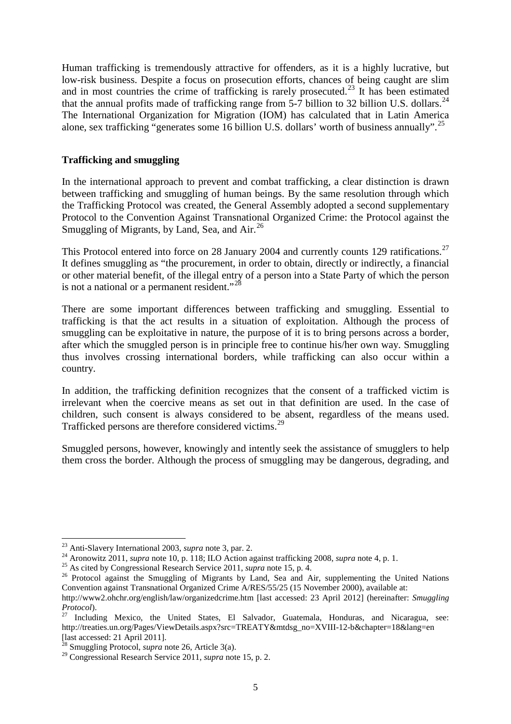Human trafficking is tremendously attractive for offenders, as it is a highly lucrative, but low-risk business. Despite a focus on prosecution efforts, chances of being caught are slim and in most countries the crime of trafficking is rarely prosecuted.<sup>[23](#page-6-0)</sup> It has been estimated that the annual profits made of trafficking range from 5-7 billion to 32 billion U.S. dollars.<sup>[24](#page-6-1)</sup> The International Organization for Migration (IOM) has calculated that in Latin America alone, sex trafficking "generates some 16 billion U.S. dollars' worth of business annually".<sup>[25](#page-6-2)</sup>

# **Trafficking and smuggling**

In the international approach to prevent and combat trafficking, a clear distinction is drawn between trafficking and smuggling of human beings. By the same resolution through which the Trafficking Protocol was created, the General Assembly adopted a second supplementary Protocol to the Convention Against Transnational Organized Crime: the Protocol against the Smuggling of Migrants, by Land, Sea, and  $Air.<sup>26</sup>$  $Air.<sup>26</sup>$  $Air.<sup>26</sup>$ 

This Protocol entered into force on 28 January 2004 and currently counts 129 ratifications.<sup>[27](#page-6-4)</sup> It defines smuggling as "the procurement, in order to obtain, directly or indirectly, a financial or other material benefit, of the illegal entry of a person into a State Party of which the person is not a national or a permanent resident."<sup>[28](#page-6-5)</sup>

There are some important differences between trafficking and smuggling. Essential to trafficking is that the act results in a situation of exploitation. Although the process of smuggling can be exploitative in nature, the purpose of it is to bring persons across a border, after which the smuggled person is in principle free to continue his/her own way. Smuggling thus involves crossing international borders, while trafficking can also occur within a country.

In addition, the trafficking definition recognizes that the consent of a trafficked victim is irrelevant when the coercive means as set out in that definition are used. In the case of children, such consent is always considered to be absent, regardless of the means used. Trafficked persons are therefore considered victims.[29](#page-6-6)

Smuggled persons, however, knowingly and intently seek the assistance of smugglers to help them cross the border. Although the process of smuggling may be dangerous, degrading, and

<sup>&</sup>lt;sup>23</sup> Anti-Slavery International 2003, *supra* note 3, par. 2.

<span id="page-6-3"></span>

<span id="page-6-2"></span><span id="page-6-1"></span><span id="page-6-0"></span><sup>&</sup>lt;sup>24</sup> Aronowitz 2011, *supra* note 10, p. 118; ILO Action against trafficking 2008, *supra* note 4, p. 1.<br><sup>25</sup> As cited by Congressional Research Service 2011, *supra* note 15, p. 4.<br><sup>26</sup> Protocol against the Smuggling of Convention against Transnational Organized Crime A/RES/55/25 (15 November 2000), available at:

http://www2.ohchr.org/english/law/organizedcrime.htm [last accessed: 23 April 2012] (hereinafter: *Smuggling Protocol*).<br><sup>27</sup> Including Mexico, the United States, El Salvador, Guatemala, Honduras, and Nicaragua, see:

<span id="page-6-4"></span>http://treaties.un.org/Pages/ViewDetails.aspx?src=TREATY&mtdsg\_no=XVIII-12-b&chapter=18&lang=en [last accessed: 21 April 2011].

<sup>&</sup>lt;sup>28</sup> Smuggling Protocol, *supra* note 26, Article 3(a).

<span id="page-6-6"></span><span id="page-6-5"></span><sup>29</sup> Congressional Research Service 2011, *supra* note 15, p. 2.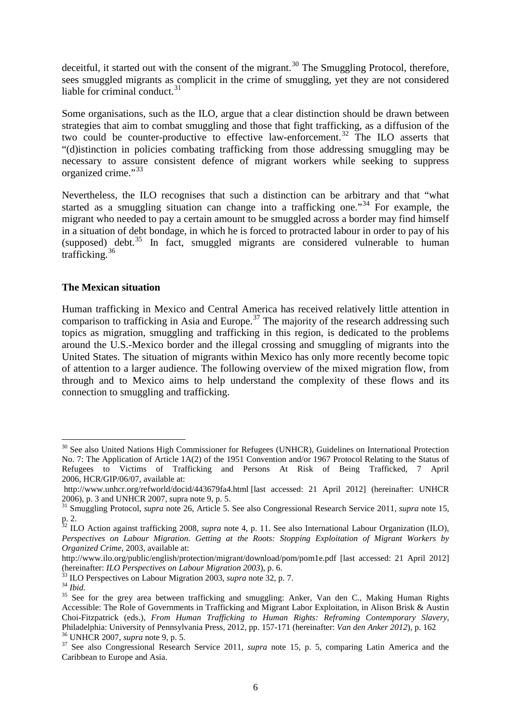deceitful, it started out with the consent of the migrant.<sup>[30](#page-7-0)</sup> The Smuggling Protocol, therefore, sees smuggled migrants as complicit in the crime of smuggling, yet they are not considered liable for criminal conduct. $31$ 

Some organisations, such as the ILO, argue that a clear distinction should be drawn between strategies that aim to combat smuggling and those that fight trafficking, as a diffusion of the two could be counter-productive to effective law-enforcement.<sup>[32](#page-7-2)</sup> The ILO asserts that "(d)istinction in policies combating trafficking from those addressing smuggling may be necessary to assure consistent defence of migrant workers while seeking to suppress organized crime."<sup>[33](#page-7-3)</sup>

Nevertheless, the ILO recognises that such a distinction can be arbitrary and that "what started as a smuggling situation can change into a trafficking one.<sup>[34](#page-7-4)</sup> For example, the migrant who needed to pay a certain amount to be smuggled across a border may find himself in a situation of debt bondage, in which he is forced to protracted labour in order to pay of his (supposed) debt. $35$  In fact, smuggled migrants are considered vulnerable to human trafficking.[36](#page-7-6)

# **The Mexican situation**

Human trafficking in Mexico and Central America has received relatively little attention in comparison to trafficking in Asia and Europe.<sup>[37](#page-7-7)</sup> The majority of the research addressing such topics as migration, smuggling and trafficking in this region, is dedicated to the problems around the U.S.-Mexico border and the illegal crossing and smuggling of migrants into the United States. The situation of migrants within Mexico has only more recently become topic of attention to a larger audience. The following overview of the mixed migration flow, from through and to Mexico aims to help understand the complexity of these flows and its connection to smuggling and trafficking.

<span id="page-7-0"></span><sup>&</sup>lt;sup>30</sup> See also United Nations High Commissioner for Refugees (UNHCR), Guidelines on International Protection No. 7: The Application of Article 1A(2) of the 1951 Convention and/or 1967 Protocol Relating to the Status of Refugees to Victims of Trafficking and Persons At Risk of Being Trafficked, 7 April 2006, HCR/GIP/06/07, available at:

http://www.unhcr.org/refworld/docid/443679fa4.html [last accessed: 21 April 2012] (hereinafter: UNHCR 2006), p. 3 and UNHCR 2007, supra note 9, p. 5.

<span id="page-7-1"></span><sup>&</sup>lt;sup>31</sup> Smuggling Protocol, *supra* note 26, Article 5. See also Congressional Research Service 2011, *supra* note 15, p. 2.

<span id="page-7-2"></span><sup>32</sup> ILO Action against trafficking 2008, *supra* note 4, p. 11. See also International Labour Organization (ILO), *Perspectives on Labour Migration. Getting at the Roots: Stopping Exploitation of Migrant Workers by Organized Crime*, 2003, available at:

http://www.ilo.org/public/english/protection/migrant/download/pom/pom1e.pdf [last accessed: 21 April 2012] (hereinafter: *ILO Perspectives on Labour Migration 2003*), p. 6.<br><sup>33</sup> ILO Perspectives on Labour Migration 2003, *supra* note 32, p. 7.<br><sup>34</sup> *Ibid.*<br><sup>35</sup> See for the grey area between trafficking and smuggling: Anker, Va

<span id="page-7-3"></span>

<span id="page-7-4"></span>

<span id="page-7-5"></span>Accessible: The Role of Governments in Trafficking and Migrant Labor Exploitation, in Alison Brisk & Austin Choi-Fitzpatrick (eds.), *From Human Trafficking to Human Rights: Reframing Contemporary Slavery*, <sup>36</sup> UNHCR 2007, *supra* note 9, p. 5.<br><sup>37</sup> See also Congressional Research Service 2011, *supra* note 15, p. 5, comparing Latin America and the

<span id="page-7-7"></span><span id="page-7-6"></span>Caribbean to Europe and Asia.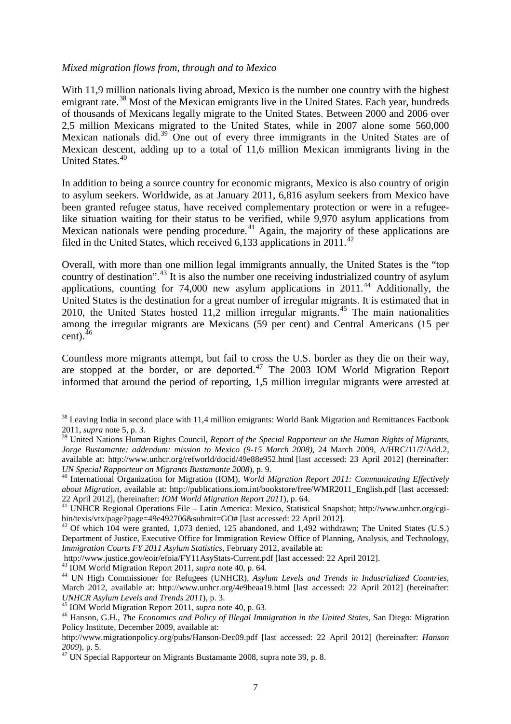## *Mixed migration flows from, through and to Mexico*

With 11,9 million nationals living abroad, Mexico is the number one country with the highest emigrant rate.<sup>[38](#page-8-0)</sup> Most of the Mexican emigrants live in the United States. Each year, hundreds of thousands of Mexicans legally migrate to the United States. Between 2000 and 2006 over 2,5 million Mexicans migrated to the United States, while in 2007 alone some 560,000 Mexican nationals did.<sup>[39](#page-8-1)</sup> One out of every three immigrants in the United States are of Mexican descent, adding up to a total of 11,6 million Mexican immigrants living in the United States. [40](#page-8-2)

In addition to being a source country for economic migrants, Mexico is also country of origin to asylum seekers. Worldwide, as at January 2011, 6,816 asylum seekers from Mexico have been granted refugee status, have received complementary protection or were in a refugeelike situation waiting for their status to be verified, while 9,970 asylum applications from Mexican nationals were pending procedure.<sup>[41](#page-8-3)</sup> Again, the majority of these applications are filed in the United States, which received 6,133 applications in 2011.<sup>[42](#page-8-4)</sup>

Overall, with more than one million legal immigrants annually, the United States is the "top country of destination".<sup>[43](#page-8-5)</sup> It is also the number one receiving industrialized country of asylum applications, counting for 74,000 new asylum applications in 2011.<sup>[44](#page-8-6)</sup> Additionally, the United States is the destination for a great number of irregular migrants. It is estimated that in 2010, the United States hosted 11,2 million irregular migrants. [45](#page-8-7) The main nationalities among the irregular migrants are Mexicans (59 per cent) and Central Americans (15 per  $cent).<sup>46</sup>$  $cent).<sup>46</sup>$  $cent).<sup>46</sup>$ 

Countless more migrants attempt, but fail to cross the U.S. border as they die on their way, are stopped at the border, or are deported.<sup>[47](#page-8-9)</sup> The 2003 IOM World Migration Report informed that around the period of reporting, 1,5 million irregular migrants were arrested at

<span id="page-8-0"></span><sup>&</sup>lt;sup>38</sup> Leaving India in second place with 11,4 million emigrants: World Bank Migration and Remittances Factbook 2011, *supra* note 5, p. 3.

<span id="page-8-1"></span><sup>&</sup>lt;sup>39</sup> United Nations Human Rights Council, *Report of the Special Rapporteur on the Human Rights of Migrants, Jorge Bustamante: addendum: mission to Mexico (9-15 March 2008)*, 24 March 2009, A/HRC/11/7/Add.2, available at: http://www.unhcr.org/refworld/docid/49e88e952.html [last accessed: 23 April 2012] (hereinafter: *UN Special Rapporteur on Migrants Bustamante 2008*), p. 9. 40 International Organization for Migration (IOM), *World Migration Report 2011: Communicating Effectively* 

<span id="page-8-2"></span>*about Migration,* available at: http://publications.iom.int/bookstore/free/WMR2011\_English.pdf [last accessed: 22 April 2012], (hereinafter: *IOM World Migration Report 2011*), p. 64.<br><sup>41</sup> UNHCR Regional Operations File – Latin America: Mexico, Statistical Snapshot; http://www.unhcr.org/cgi-

<span id="page-8-3"></span>bin/texis/vtx/page?page=49e492706&submit=GO# [last accessed: 22 April 2012].<br><sup>42</sup> Of which 104 were granted, 1,073 denied, 125 abandoned, and 1,492 withdrawn; The United States (U.S.)

<span id="page-8-4"></span>Department of Justice, Executive Office for Immigration Review Office of Planning, Analysis, and Technology, *Immigration Courts FY 2011 Asylum Statistics*, February 2012, available at:<br>http://www.justice.gov/eoir/efoia/FY11AsyStats-Current.pdf [last accessed: 22 April 2012].

<span id="page-8-6"></span><span id="page-8-5"></span><sup>&</sup>lt;sup>43</sup> IOM World Migration Report 2011, *supra* note 40, p. 64.<br><sup>44</sup> UN High Commissioner for Refugees (UNHCR), *Asylum Levels and Trends in Industrialized Countries*, March 2012, available at: http://www.unhcr.org/4e9beaa19.html [last accessed: 22 April 2012] (hereinafter: UNHCR Asylum Levels and Trends 2011), p. 3.

<span id="page-8-8"></span><span id="page-8-7"></span><sup>&</sup>lt;sup>45</sup> IOM World Migration Report 2011, *supra* note 40, p. 63.<br><sup>46</sup> Hanson, G.H., *The Economics and Policy of Illegal Immigration in the United States*, San Diego: Migration Policy Institute, December 2009, available at:

http://www.migrationpolicy.org/pubs/Hanson-Dec09.pdf [last accessed: 22 April 2012] (hereinafter: *Hanson* 

<span id="page-8-9"></span><sup>&</sup>lt;sup>47</sup> UN Special Rapporteur on Migrants Bustamante 2008, supra note 39, p. 8.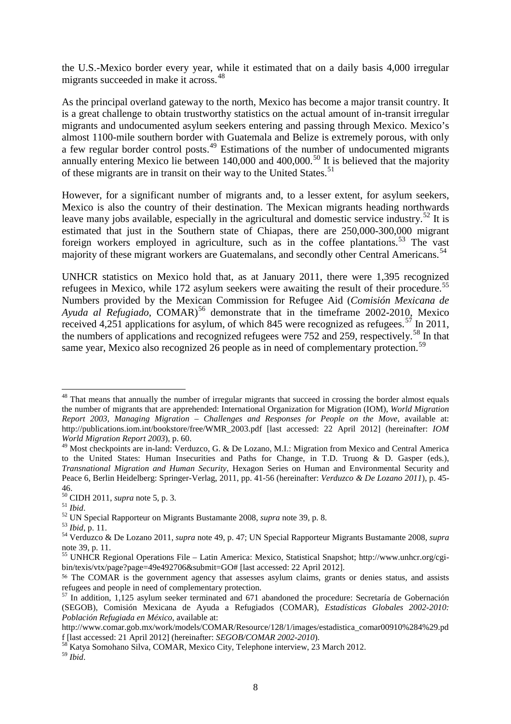the U.S.-Mexico border every year, while it estimated that on a daily basis 4,000 irregular migrants succeeded in make it across. [48](#page-9-0)

As the principal overland gateway to the north, Mexico has become a major transit country. It is a great challenge to obtain trustworthy statistics on the actual amount of in-transit irregular migrants and undocumented asylum seekers entering and passing through Mexico. Mexico's almost 1100-mile southern border with Guatemala and Belize is extremely porous, with only a few regular border control posts.<sup>[49](#page-9-1)</sup> Estimations of the number of undocumented migrants annually entering Mexico lie between 140,000 and 400,000.<sup>[50](#page-9-2)</sup> It is believed that the majority of these migrants are in transit on their way to the United States.<sup>[51](#page-9-3)</sup>

However, for a significant number of migrants and, to a lesser extent, for asylum seekers, Mexico is also the country of their destination. The Mexican migrants heading northwards leave many jobs available, especially in the agricultural and domestic service industry.<sup>[52](#page-9-4)</sup> It is estimated that just in the Southern state of Chiapas, there are 250,000-300,000 migrant foreign workers employed in agriculture, such as in the coffee plantations.<sup>[53](#page-9-5)</sup> The vast majority of these migrant workers are Guatemalans, and secondly other Central Americans.<sup>[54](#page-9-6)</sup>

UNHCR statistics on Mexico hold that, as at January 2011, there were 1,395 recognized refugees in Mexico, while 172 asylum seekers were awaiting the result of their procedure.<sup>[55](#page-9-7)</sup> Numbers provided by the Mexican Commission for Refugee Aid (*Comisión Mexicana de*  Ayuda al Refugiado, COMAR)<sup>[56](#page-9-8)</sup> demonstrate that in the timeframe 2002-2010, Mexico received 4,251 applications for asylum, of which 845 were recognized as refugees.<sup>[57](#page-9-9)</sup> In 2011, the numbers of applications and recognized refugees were 752 and 259, respectively.<sup>[58](#page-9-10)</sup> In that same year, Mexico also recognized 26 people as in need of complementary protection.<sup>[59](#page-9-11)</sup>

<span id="page-9-0"></span><sup>&</sup>lt;sup>48</sup> That means that annually the number of irregular migrants that succeed in crossing the border almost equals the number of migrants that are apprehended: International Organization for Migration (IOM), *World Migration Report 2003, Managing Migration – Challenges and Responses for People on the Move*, available at: http://publications.iom.int/bookstore/free/WMR\_2003.pdf [last accessed: 22 April 2012] (hereinafter: *IOM World Migration Report 2003*), p. 60.

<span id="page-9-1"></span><sup>&</sup>lt;sup>49</sup> Most checkpoints are in-land: Verduzco, G. & De Lozano, M.I.: Migration from Mexico and Central America to the United States: Human Insecurities and Paths for Change, in T.D. Truong & D. Gasper (eds.), *Transnational Migration and Human Security*, Hexagon Series on Human and Environmental Security and Peace 6, Berlin Heidelberg: Springer-Verlag, 2011, pp. 41-56 (hereinafter: *Verduzco & De Lozano 2011*), p. 45-

<sup>46.&</sup>lt;br> $^{50}$  CIDH 2011, *supra* note 5, p. 3.

<span id="page-9-6"></span><span id="page-9-5"></span>

<span id="page-9-4"></span><span id="page-9-3"></span><span id="page-9-2"></span><sup>&</sup>lt;sup>51</sup> Ibid.<br><sup>52</sup> UN Special Rapporteur on Migrants Bustamante 2008, *supra* note 39, p. 8.<br><sup>53</sup> Ibid, p. 11.<br><sup>54</sup> Verduzco & De Lozano 2011, *supra* note 49, p. 47; UN Special Rapporteur Migrants Bustamante 2008, *supra* note 39, p. 11.

<span id="page-9-7"></span><sup>55</sup> UNHCR Regional Operations File – Latin America: Mexico, Statistical Snapshot; http://www.unhcr.org/cgibin/texis/vtx/page?page=49e492706&submit=GO# [last accessed: 22 April 2012].

<span id="page-9-8"></span><sup>56</sup> The COMAR is the government agency that assesses asylum claims, grants or denies status, and assists refugees and people in need of complementary protection.

<span id="page-9-9"></span><sup>57</sup> In addition, 1,125 asylum seeker terminated and 671 abandoned the procedure: Secretaría de Gobernación (SEGOB), Comisión Mexicana de Ayuda a Refugiados (COMAR), *Estadísticas Globales 2002-2010: Población Refugiada en México*, available at:

http://www.comar.gob.mx/work/models/COMAR/Resource/128/1/images/estadistica\_comar00910%284%29.pd

f [last accessed: 21 April 2012] (hereinafter: *SEGOB/COMAR 2002-2010*). 58 Katya Somohano Silva, COMAR, Mexico City, Telephone interview, 23 March 2012.

<span id="page-9-11"></span><span id="page-9-10"></span><sup>59</sup> *Ibid*.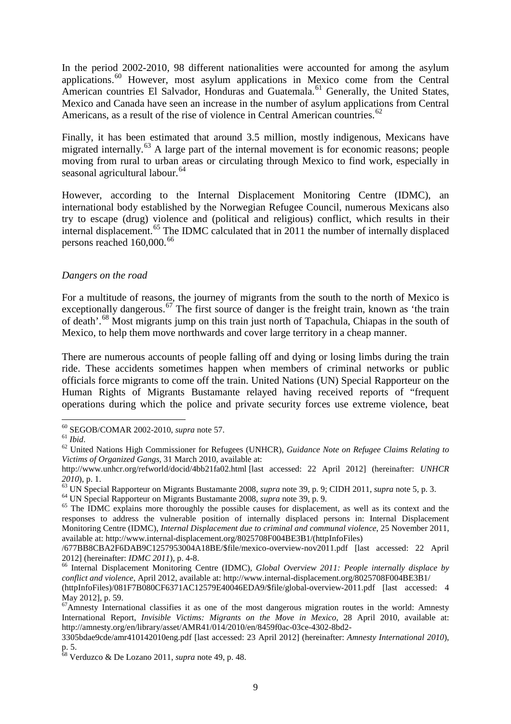In the period 2002-2010, 98 different nationalities were accounted for among the asylum applications.<sup>[60](#page-10-0)</sup> However, most asylum applications in Mexico come from the Central American countries El Salvador, Honduras and Guatemala.<sup>[61](#page-10-1)</sup> Generally, the United States, Mexico and Canada have seen an increase in the number of asylum applications from Central Americans, as a result of the rise of violence in Central American countries.<sup>[62](#page-10-2)</sup>

Finally, it has been estimated that around 3.5 million, mostly indigenous, Mexicans have migrated internally.<sup>[63](#page-10-3)</sup> A large part of the internal movement is for economic reasons; people moving from rural to urban areas or circulating through Mexico to find work, especially in seasonal agricultural labour. [64](#page-10-4)

However, according to the Internal Displacement Monitoring Centre (IDMC), an international body established by the Norwegian Refugee Council, numerous Mexicans also try to escape (drug) violence and (political and religious) conflict, which results in their internal displacement.<sup>[65](#page-10-5)</sup> The IDMC calculated that in 2011 the number of internally displaced persons reached 160,000.<sup>[66](#page-10-6)</sup>

# *Dangers on the road*

For a multitude of reasons, the journey of migrants from the south to the north of Mexico is exceptionally dangerous.<sup>[67](#page-10-7)</sup> The first source of danger is the freight train, known as 'the train of death'.[68](#page-10-8) Most migrants jump on this train just north of Tapachula, Chiapas in the south of Mexico, to help them move northwards and cover large territory in a cheap manner.

There are numerous accounts of people falling off and dying or losing limbs during the train ride. These accidents sometimes happen when members of criminal networks or public officials force migrants to come off the train. United Nations (UN) Special Rapporteur on the Human Rights of Migrants Bustamante relayed having received reports of "frequent operations during which the police and private security forces use extreme violence, beat

<span id="page-10-4"></span>

<span id="page-10-0"></span> $60$  SEGOB/COMAR 2002-2010, supra note 57.

<span id="page-10-2"></span>

<span id="page-10-1"></span><sup>61</sup> *Ibid.*<br><sup>62</sup> United Nations High Commissioner for Refugees (UNHCR), *Guidance Note on Refugee Claims Relating to* <sup>62</sup> *Victims of Organized Gangs*, 31 March 2010, available at:

http://www.unhcr.org/refworld/docid/4bb21fa02.html [last accessed: 22 April 2012] (hereinafter: *UNHCR*   $2010$ ), p. 1.<br><sup>63</sup> UN Special Rapporteur on Migrants Bustamante 2008, *supra* note 39, p. 9; CIDH 2011, *supra* note 5, p. 3.<br><sup>64</sup> UN Special Rapporteur on Migrants Bustamante 2008, *supra* note 39, p. 9.<br><sup>65</sup> The IDMC e

<span id="page-10-3"></span>

<span id="page-10-5"></span>responses to address the vulnerable position of internally displaced persons in: Internal Displacement Monitoring Centre (IDMC), *Internal Displacement due to criminal and communal violence*, 25 November 2011, available at: [http://www.internal-displacement.org/8025708F004BE3B1/\(httpInfoFiles\)](http://www.internal-displacement.org/8025708F004BE3B1/(httpInfoFiles))

<sup>/677</sup>BB8CBA2F6DAB9C1257953004A18BE/\$file/mexico-overview-nov2011.pdf [last accessed: 22 April

<span id="page-10-6"></span><sup>2012] (</sup>hereinafter: *IDMC 2011*), p. 4-8. 66 Internal Displacement Monitoring Centre (IDMC), *Global Overview 2011: People internally displace by conflict and violence*, April 2012, available at:<http://www.internal-displacement.org/8025708F004BE3B1/>

<sup>(</sup>httpInfoFiles)/081F7B080CF6371AC12579E40046EDA9/\$file/global-overview-2011.pdf [last accessed: 4 May 2012], p. 59.

<span id="page-10-7"></span><sup>&</sup>lt;sup>67</sup>Amnesty International classifies it as one of the most dangerous migration routes in the world: Amnesty International Report, *Invisible Victims: Migrants on the Move in Mexico*, 28 April 2010, available at: http://amnesty.org/en/library/asset/AMR41/014/2010/en/8459f0ac-03ce-4302-8bd2-

<sup>3305</sup>bdae9cde/amr410142010eng.pdf [last accessed: 23 April 2012] (hereinafter: *Amnesty International 2010*), p. 5.

<span id="page-10-8"></span><sup>68</sup> Verduzco & De Lozano 2011, *supra* note 49, p. 48.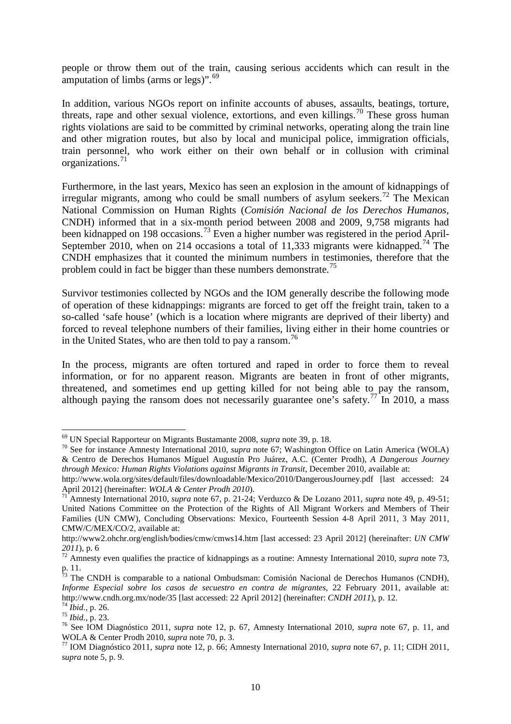people or throw them out of the train, causing serious accidents which can result in the amputation of limbs (arms or legs)".<sup>[69](#page-11-0)</sup>

In addition, various NGOs report on infinite accounts of abuses, assaults, beatings, torture, threats, rape and other sexual violence, extortions, and even killings.<sup>[70](#page-11-1)</sup> These gross human rights violations are said to be committed by criminal networks, operating along the train line and other migration routes, but also by local and municipal police, immigration officials, train personnel, who work either on their own behalf or in collusion with criminal organizations.[71](#page-11-2)

Furthermore, in the last years, Mexico has seen an explosion in the amount of kidnappings of irregular migrants, among who could be small numbers of asylum seekers.<sup>[72](#page-11-3)</sup> The Mexican National Commission on Human Rights (*Comisión Nacional de los Derechos Humanos,* CNDH) informed that in a six-month period between 2008 and 2009, 9,758 migrants had been kidnapped on 198 occasions.<sup>[73](#page-11-4)</sup> Even a higher number was registered in the period April-September 2010, when on 214 occasions a total of 11,333 migrants were kidnapped.<sup>[74](#page-11-5)</sup> The CNDH emphasizes that it counted the minimum numbers in testimonies, therefore that the problem could in fact be bigger than these numbers demonstrate.<sup>[75](#page-11-6)</sup>

Survivor testimonies collected by NGOs and the IOM generally describe the following mode of operation of these kidnappings: migrants are forced to get off the freight train, taken to a so-called 'safe house' (which is a location where migrants are deprived of their liberty) and forced to reveal telephone numbers of their families, living either in their home countries or in the United States, who are then told to pay a ransom.<sup>[76](#page-11-7)</sup>

In the process, migrants are often tortured and raped in order to force them to reveal information, or for no apparent reason. Migrants are beaten in front of other migrants, threatened, and sometimes end up getting killed for not being able to pay the ransom, although paying the ransom does not necessarily guarantee one's safety.<sup>[77](#page-11-8)</sup> In 2010, a mass

<sup>69</sup> UN Special Rapporteur on Migrants Bustamante 2008, *supra* note 39, p. 18.

<span id="page-11-1"></span><span id="page-11-0"></span><sup>70</sup> See for instance Amnesty International 2010, *supra* note 67; Washington Office on Latin America (WOLA) & Centro de Derechos Humanos Míguel Augustín Pro Juárez, A.C. (Center Prodh), *A Dangerous Journey through Mexico: Human Rights Violations against Migrants in Transit*, December 2010, available at:

http://www.wola.org/sites/default/files/downloadable/Mexico/2010/DangerousJourney.pdf [last accessed: 24<br>April 2012] (hereinafter: *WOLA & Center Prodh 2010*).

<span id="page-11-2"></span><sup>&</sup>lt;sup>-</sup> Amnesty International 2010, *supra* note 67, p. 21-24; Verduzco & De Lozano 2011, *supra* note 49, p. 49-51; United Nations Committee on the Protection of the Rights of All Migrant Workers and Members of Their Families (UN CMW), Concluding Observations: Mexico, Fourteenth Session 4-8 April 2011, 3 May 2011, CMW/C/MEX/CO/2, available at:

http://www2.ohchr.org/english/bodies/cmw/cmws14.htm [last accessed: 23 April 2012] (hereinafter: *UN CMW <sup>2011</sup>*), p. 6 72 Amnesty even qualifies the practice of kidnappings as a routine: Amnesty International 2010, *supra* note 73,

<span id="page-11-3"></span>p. 11.

<span id="page-11-4"></span> $\frac{73}{13}$  The CNDH is comparable to a national Ombudsman: Comisión Nacional de Derechos Humanos (CNDH), *Informe Especial sobre los casos de secuestro en contra de migrantes*, 22 February 2011, available at:<br>http://www.cndh.org.mx/node/35 [last accessed: 22 April 2012] (hereinafter: *CNDH 2011*), p. 12.

<span id="page-11-7"></span><span id="page-11-6"></span>

<span id="page-11-5"></span><sup>&</sup>lt;sup>74</sup> *Ibid.*, p. 26.<br><sup>75</sup> *Ibid.*, p. 23.<br><sup>75</sup> See IOM Diagnóstico 2011, *supra* note 12, p. 67, Amnesty International 2010, *supra* note 67, p. 11, and WOLA & Center Prodh 2010, *supra* note 70, p. 3.<br><sup>77</sup> IOM Diagnóstico 2011, *supra* note 12, p. 66; Amnesty International 2010, *supra* note 67, p. 11; CIDH 2011,

<span id="page-11-8"></span>*supra* note 5, p. 9.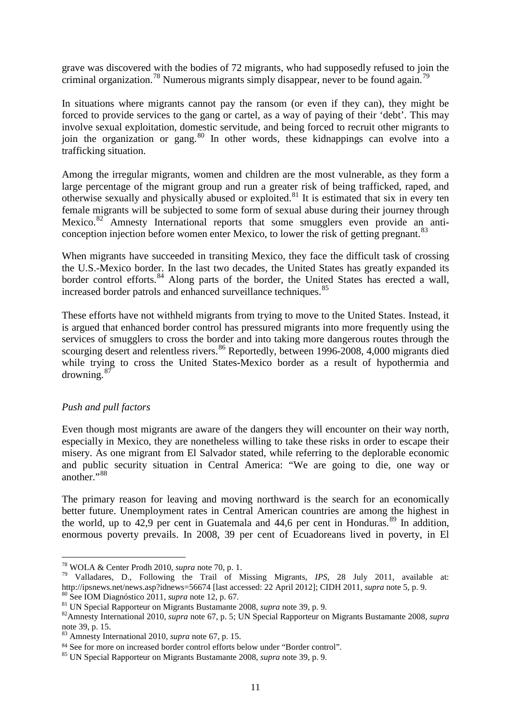grave was discovered with the bodies of 72 migrants, who had supposedly refused to join the criminal organization.<sup>[78](#page-12-0)</sup> Numerous migrants simply disappear, never to be found again.<sup>[79](#page-12-1)</sup>

In situations where migrants cannot pay the ransom (or even if they can), they might be forced to provide services to the gang or cartel, as a way of paying of their 'debt'. This may involve sexual exploitation, domestic servitude, and being forced to recruit other migrants to join the organization or gang.<sup>[80](#page-12-2)</sup> In other words, these kidnappings can evolve into a trafficking situation.

Among the irregular migrants, women and children are the most vulnerable, as they form a large percentage of the migrant group and run a greater risk of being trafficked, raped, and otherwise sexually and physically abused or exploited.[81](#page-12-3) It is estimated that six in every ten female migrants will be subjected to some form of sexual abuse during their journey through Mexico.<sup>[82](#page-12-4)</sup> Amnesty International reports that some smugglers even provide an anti-conception injection before women enter Mexico, to lower the risk of getting pregnant.<sup>[83](#page-12-5)</sup>

When migrants have succeeded in transiting Mexico, they face the difficult task of crossing the U.S.-Mexico border. In the last two decades, the United States has greatly expanded its border control efforts.<sup>[84](#page-12-6)</sup> Along parts of the border, the United States has erected a wall, increased border patrols and enhanced surveillance techniques.<sup>[85](#page-12-7)</sup>

These efforts have not withheld migrants from trying to move to the United States. Instead, it is argued that enhanced border control has pressured migrants into more frequently using the services of smugglers to cross the border and into taking more dangerous routes through the scourging desert and relentless rivers.<sup>[86](#page-12-8)</sup> Reportedly, between 1996-2008, 4,000 migrants died while trying to cross the United States-Mexico border as a result of hypothermia and drowning.<sup>[87](#page-12-9)</sup>

# *Push and pull factors*

<span id="page-12-8"></span>Even though most migrants are aware of the dangers they will encounter on their way north, especially in Mexico, they are nonetheless willing to take these risks in order to escape their misery. As one migrant from El Salvador stated, while referring to the deplorable economic and public security situation in Central America: "We are going to die, one way or another."<sup>[88](#page-12-10)</sup>

<span id="page-12-10"></span><span id="page-12-9"></span>The primary reason for leaving and moving northward is the search for an economically better future. Unemployment rates in Central American countries are among the highest in the world, up to  $42,9$  per cent in Guatemala and  $44,6$  per cent in Honduras.<sup>[89](#page-12-11)</sup> In addition, enormous poverty prevails. In 2008, 39 per cent of Ecuadoreans lived in poverty, in El

<span id="page-12-11"></span><sup>1</sup> <sup>78</sup> WOLA & Center Prodh 2010, *supra* note 70, p. 1.

<span id="page-12-1"></span><span id="page-12-0"></span><sup>&</sup>lt;sup>79</sup> Valladares, D., Following the Trail of Missing Migrants, *IPS*, 28 July 2011, available at:<br>http://ipsnews.net/news.asp?idnews=56674 [last accessed: 22 April 2012]; CIDH 2011, *supra* note 5, p. 9.

<span id="page-12-4"></span><span id="page-12-3"></span>

<span id="page-12-2"></span><sup>&</sup>lt;sup>80</sup> See IOM Diagnóstico 2011, *supra* note 12, p. 67.<br><sup>81</sup> UN Special Rapporteur on Migrants Bustamante 2008, *supra* note 39, p. 9.<br><sup>82</sup> Amnesty International 2010, *supra* note 67, p. 5; UN Special Rapporteur on Migran note 39, p. 15.

<span id="page-12-5"></span><sup>83</sup> Amnesty International 2010, *supra* note 67, p. 15.

<span id="page-12-6"></span><sup>84</sup> See for more on increased border control efforts below under "Border control".

<span id="page-12-7"></span><sup>85</sup> UN Special Rapporteur on Migrants Bustamante 2008, *supra* note 39, p. 9.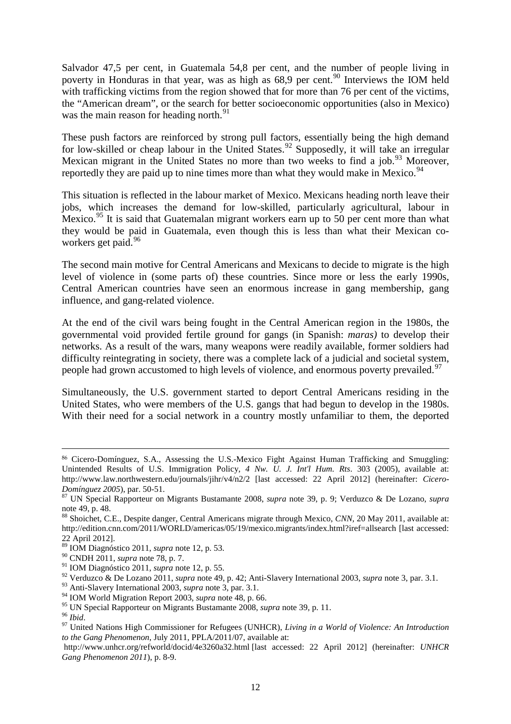Salvador 47,5 per cent, in Guatemala 54,8 per cent, and the number of people living in poverty in Honduras in that year, was as high as 68,9 per cent.<sup>[90](#page-13-0)</sup> Interviews the IOM held with trafficking victims from the region showed that for more than 76 per cent of the victims, the "American dream", or the search for better socioeconomic opportunities (also in Mexico) was the main reason for heading north.<sup>[91](#page-13-1)</sup>

These push factors are reinforced by strong pull factors, essentially being the high demand for low-skilled or cheap labour in the United States.<sup>[92](#page-13-2)</sup> Supposedly, it will take an irregular Mexican migrant in the United States no more than two weeks to find a job.<sup>[93](#page-13-3)</sup> Moreover, reportedly they are paid up to nine times more than what they would make in Mexico.<sup>[94](#page-13-4)</sup>

This situation is reflected in the labour market of Mexico. Mexicans heading north leave their jobs, which increases the demand for low-skilled, particularly agricultural, labour in Mexico.<sup>[95](#page-13-5)</sup> It is said that Guatemalan migrant workers earn up to 50 per cent more than what they would be paid in Guatemala, even though this is less than what their Mexican co-workers get paid.<sup>[96](#page-13-6)</sup>

The second main motive for Central Americans and Mexicans to decide to migrate is the high level of violence in (some parts of) these countries. Since more or less the early 1990s, Central American countries have seen an enormous increase in gang membership, gang influence, and gang-related violence.

At the end of the civil wars being fought in the Central American region in the 1980s, the governmental void provided fertile ground for gangs (in Spanish: *maras)* to develop their networks. As a result of the wars, many weapons were readily available, former soldiers had difficulty reintegrating in society, there was a complete lack of a judicial and societal system, people had grown accustomed to high levels of violence, and enormous poverty prevailed.<sup>[97](#page-13-7)</sup>

Simultaneously, the U.S. government started to deport Central Americans residing in the United States, who were members of the U.S. gangs that had begun to develop in the 1980s. With their need for a social network in a country mostly unfamiliar to them, the deported

 <sup>86</sup> Cicero-Domínguez, S.A., Assessing the U.S.-Mexico Fight Against Human Trafficking and Smuggling: Unintended Results of U.S. Immigration Policy, *4 Nw. U. J. Int'l Hum. Rts*. 303 (2005), available at: http://www.law.northwestern.edu/journals/jihr/v4/n2/2 [last accessed: 22 April 2012] (hereinafter: *Cicero-*

*Domínguez 2005*), par. 50-51. <sup>87</sup> UN Special Rapporteur on Migrants Bustamante 2008, *supra* note 39, p. 9; Verduzco & De Lozano, *supra* note 49, p. 48.

<sup>88</sup> Shoichet, C.E., Despite danger, Central Americans migrate through Mexico, *CNN,* 20 May 2011, available at: http://edition.cnn.com/2011/WORLD/americas/05/19/mexico.migrants/index.html?iref=allsearch [last accessed: 22 April 2012].

<sup>89</sup> IOM Diagnóstico 2011, *supra* note 12, p. 53.

<span id="page-13-0"></span><sup>90</sup> CNDH 2011, *supra* note 78, p. 7.

<span id="page-13-1"></span><sup>91</sup> IOM Diagnóstico 2011, *supra* note 12, p. 55.

<span id="page-13-2"></span><sup>92</sup> Verduzco & De Lozano 2011, *supra* note 49, p. 42; Anti-Slavery International 2003, *supra* note 3, par. 3.1.

<span id="page-13-3"></span><sup>93</sup> Anti-Slavery International 2003, *supra* note 3, par. 3.1.

<span id="page-13-4"></span><sup>94</sup> IOM World Migration Report 2003, *supra* note 48, p. 66.

<span id="page-13-7"></span><span id="page-13-6"></span><span id="page-13-5"></span><sup>&</sup>lt;sup>96</sup> Ibid. <sup>97</sup> United Nations High Commissioner for Refugees (UNHCR), *Living in a World of Violence: An Introduction* <sup>97</sup> United Nations High Commissioner for Refugees (UNHCR), *Living in a World of Violence: An Introdu to the Gang Phenomenon*, July 2011, PPLA/2011/07, available at:

http://www.unhcr.org/refworld/docid/4e3260a32.html [last accessed: 22 April 2012] (hereinafter: *UNHCR Gang Phenomenon 2011*), p. 8-9.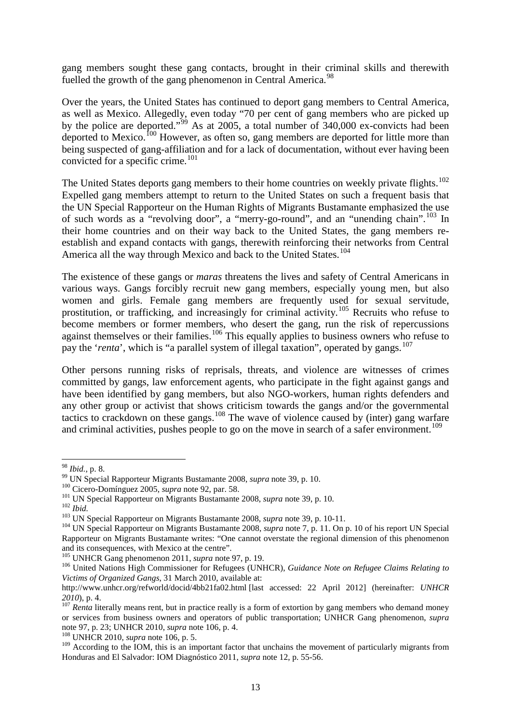gang members sought these gang contacts, brought in their criminal skills and therewith fuelled the growth of the gang phenomenon in Central America.<sup>[98](#page-14-0)</sup>

Over the years, the United States has continued to deport gang members to Central America, as well as Mexico. Allegedly, even today "70 per cent of gang members who are picked up by the police are deported."<sup>[99](#page-14-1)</sup> As at 2005, a total number of  $340,000$  ex-convicts had been deported to Mexico.<sup>[100](#page-14-2)</sup> However, as often so, gang members are deported for little more than being suspected of gang-affiliation and for a lack of documentation, without ever having been convicted for a specific crime. [101](#page-14-3)

The United States deports gang members to their home countries on weekly private flights.<sup>[102](#page-14-4)</sup> Expelled gang members attempt to return to the United States on such a frequent basis that the UN Special Rapporteur on the Human Rights of Migrants Bustamante emphasized the use of such words as a "revolving door", a "merry-go-round", and an "unending chain".<sup>[103](#page-14-5)</sup> In their home countries and on their way back to the United States, the gang members reestablish and expand contacts with gangs, therewith reinforcing their networks from Central America all the way through Mexico and back to the United States.<sup>[104](#page-14-6)</sup>

The existence of these gangs or *maras* threatens the lives and safety of Central Americans in various ways. Gangs forcibly recruit new gang members, especially young men, but also women and girls. Female gang members are frequently used for sexual servitude, prostitution, or trafficking, and increasingly for criminal activity.<sup>[105](#page-14-7)</sup> Recruits who refuse to become members or former members, who desert the gang, run the risk of repercussions against themselves or their families.<sup>[106](#page-14-8)</sup> This equally applies to business owners who refuse to pay the '*renta*', which is "a parallel system of illegal taxation", operated by gangs.<sup>[107](#page-14-9)</sup>

Other persons running risks of reprisals, threats, and violence are witnesses of crimes committed by gangs, law enforcement agents, who participate in the fight against gangs and have been identified by gang members, but also NGO-workers, human rights defenders and any other group or activist that shows criticism towards the gangs and/or the governmental tactics to crackdown on these gangs.<sup>[108](#page-14-10)</sup> The wave of violence caused by (inter) gang warfare and criminal activities, pushes people to go on the move in search of a safer environment.<sup>[109](#page-14-11)</sup>

<sup>&</sup>lt;sup>98</sup> Ibid., p. 8.

<span id="page-14-2"></span>

<span id="page-14-4"></span><span id="page-14-3"></span>

<span id="page-14-6"></span><span id="page-14-5"></span>

<span id="page-14-1"></span><span id="page-14-0"></span><sup>&</sup>lt;sup>99</sup> UN Special Rapporteur Migrants Bustamante 2008, *supra* note 39, p. 10.<br><sup>100</sup> Cicero-Domínguez 2005, *supra* note 92, par. 58.<br><sup>101</sup> UN Special Rapporteur on Migrants Bustamante 2008, *supra* note 39, p. 10.<br><sup>102</sup> Ib Rapporteur on Migrants Bustamante writes: "One cannot overstate the regional dimension of this phenomenon

<span id="page-14-8"></span><span id="page-14-7"></span><sup>&</sup>lt;sup>105</sup> UNHCR Gang phenomenon 2011, *supra* note 97, p. 19.<br><sup>106</sup> United Nations High Commissioner for Refugees (UNHCR), *Guidance Note on Refugee Claims Relating to Victims of Organized Gangs*, 31 March 2010, available at:

http://www.unhcr.org/refworld/docid/4bb21fa02.html [last accessed: 22 April 2012] (hereinafter: *UNHCR* 

<span id="page-14-9"></span>*<sup>2010</sup>*), p. 4. 107 *Renta* literally means rent, but in practice really is a form of extortion by gang members who demand money or services from business owners and operators of public transportation; UNHCR Gang phenomenon, *supra* note 97, p. 23; UNHCR 2010, *supra* note 106, p. 4. 108 UNHCR 2010, *supra* note 106, p. 5.

<span id="page-14-11"></span><span id="page-14-10"></span><sup>&</sup>lt;sup>109</sup> According to the IOM, this is an important factor that unchains the movement of particularly migrants from Honduras and El Salvador: IOM Diagnóstico 2011, *supra* note 12, p. 55-56.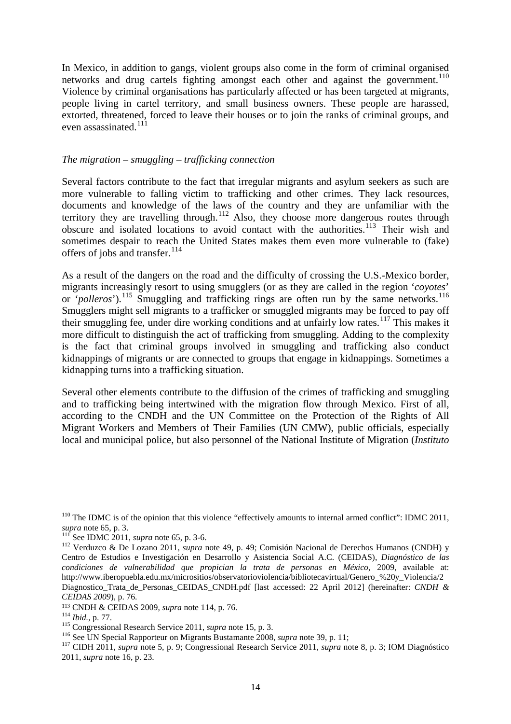In Mexico, in addition to gangs, violent groups also come in the form of criminal organised networks and drug cartels fighting amongst each other and against the government.<sup>[110](#page-15-0)</sup> Violence by criminal organisations has particularly affected or has been targeted at migrants, people living in cartel territory, and small business owners. These people are harassed, extorted, threatened, forced to leave their houses or to join the ranks of criminal groups, and even assassinated.<sup>[111](#page-15-1)</sup>

#### *The migration – smuggling – trafficking connection*

Several factors contribute to the fact that irregular migrants and asylum seekers as such are more vulnerable to falling victim to trafficking and other crimes. They lack resources, documents and knowledge of the laws of the country and they are unfamiliar with the territory they are travelling through.<sup>[112](#page-15-2)</sup> Also, they choose more dangerous routes through obscure and isolated locations to avoid contact with the authorities.<sup>[113](#page-15-3)</sup> Their wish and sometimes despair to reach the United States makes them even more vulnerable to (fake) offers of jobs and transfer.<sup>[114](#page-15-4)</sup>

As a result of the dangers on the road and the difficulty of crossing the U.S.-Mexico border, migrants increasingly resort to using smugglers (or as they are called in the region '*coyotes*' or '*polleros*').<sup>[115](#page-15-5)</sup> Smuggling and trafficking rings are often run by the same networks.<sup>[116](#page-15-6)</sup> Smugglers might sell migrants to a trafficker or smuggled migrants may be forced to pay off their smuggling fee, under dire working conditions and at unfairly low rates.<sup>[117](#page-15-7)</sup> This makes it more difficult to distinguish the act of trafficking from smuggling. Adding to the complexity is the fact that criminal groups involved in smuggling and trafficking also conduct kidnappings of migrants or are connected to groups that engage in kidnappings. Sometimes a kidnapping turns into a trafficking situation.

Several other elements contribute to the diffusion of the crimes of trafficking and smuggling and to trafficking being intertwined with the migration flow through Mexico. First of all, according to the CNDH and the UN Committee on the Protection of the Rights of All Migrant Workers and Members of Their Families (UN CMW), public officials, especially local and municipal police, but also personnel of the National Institute of Migration (*Instituto* 

<span id="page-15-0"></span><sup>&</sup>lt;sup>110</sup> The IDMC is of the opinion that this violence "effectively amounts to internal armed conflict": IDMC 2011,<br>supra note 65, p. 3.<br><sup>111</sup> See IDMC 2011,

<span id="page-15-2"></span><span id="page-15-1"></span><sup>&</sup>lt;sup>111</sup> See IDMC 2011, *supra* note 65, p. 3-6.<br><sup>112</sup> Verduzco & De Lozano 2011, *supra* note 49, p. 49; Comisión Nacional de Derechos Humanos (CNDH) y Centro de Estudios e Investigación en Desarrollo y Asistencia Social A.C. (CEIDAS), *Diagnóstico de las condiciones de vulnerabilidad que propician la trata de personas en México*, 2009, available at: http://www.iberopuebla.edu.mx/micrositios/observatorioviolencia/bibliotecavirtual/Genero\_%20y\_Violencia/2 Diagnostico\_Trata\_de\_Personas\_CEIDAS\_CNDH.pdf [last accessed: 22 April 2012] (hereinafter: *CNDH &* 

*CEIDAS 2009*), p. 76.<br><sup>113</sup> CNDH & CEIDAS 2009, *supra* note 114, p. 76.

<span id="page-15-5"></span>

<span id="page-15-7"></span><span id="page-15-6"></span>

<span id="page-15-4"></span><span id="page-15-3"></span><sup>&</sup>lt;sup>114</sup> Ibid., p. 77.<br>
<sup>115</sup> Congressional Research Service 2011, *supra* note 15, p. 3.<br>
<sup>116</sup> See UN Special Rapporteur on Migrants Bustamante 2008, *supra* note 39, p. 11;<br>
<sup>117</sup> CIDH 2011, *supra* note 5, p. 9; Congress 2011, *supra* note 16, p. 23.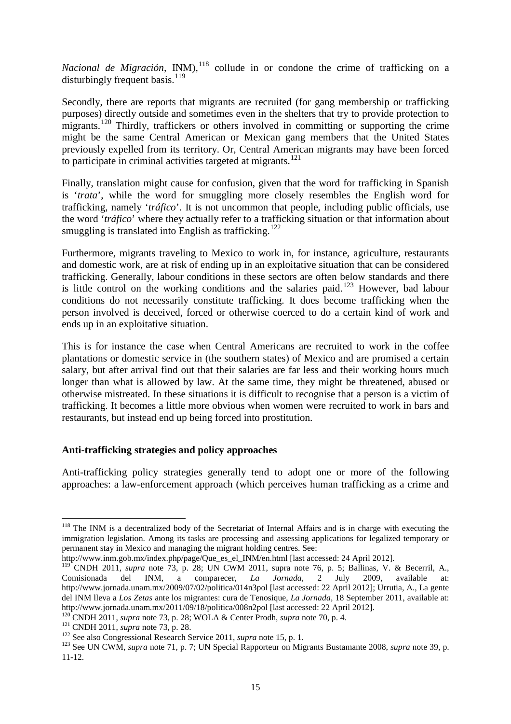*Nacional de Migración,* INM), [118](#page-16-0) collude in or condone the crime of trafficking on a disturbingly frequent basis.<sup>[119](#page-16-1)</sup>

Secondly, there are reports that migrants are recruited (for gang membership or trafficking purposes) directly outside and sometimes even in the shelters that try to provide protection to migrants.<sup>[120](#page-16-2)</sup> Thirdly, traffickers or others involved in committing or supporting the crime might be the same Central American or Mexican gang members that the United States previously expelled from its territory. Or, Central American migrants may have been forced to participate in criminal activities targeted at migrants.<sup>[121](#page-16-3)</sup>

Finally, translation might cause for confusion, given that the word for trafficking in Spanish is '*trata*', while the word for smuggling more closely resembles the English word for trafficking, namely '*tráfico*'. It is not uncommon that people, including public officials, use the word '*tráfico*' where they actually refer to a trafficking situation or that information about smuggling is translated into English as trafficking.<sup>[122](#page-16-4)</sup>

Furthermore, migrants traveling to Mexico to work in, for instance, agriculture, restaurants and domestic work, are at risk of ending up in an exploitative situation that can be considered trafficking. Generally, labour conditions in these sectors are often below standards and there is little control on the working conditions and the salaries paid. $123$  However, bad labour conditions do not necessarily constitute trafficking. It does become trafficking when the person involved is deceived, forced or otherwise coerced to do a certain kind of work and ends up in an exploitative situation.

This is for instance the case when Central Americans are recruited to work in the coffee plantations or domestic service in (the southern states) of Mexico and are promised a certain salary, but after arrival find out that their salaries are far less and their working hours much longer than what is allowed by law. At the same time, they might be threatened, abused or otherwise mistreated. In these situations it is difficult to recognise that a person is a victim of trafficking. It becomes a little more obvious when women were recruited to work in bars and restaurants, but instead end up being forced into prostitution.

# **Anti-trafficking strategies and policy approaches**

Anti-trafficking policy strategies generally tend to adopt one or more of the following approaches: a law-enforcement approach (which perceives human trafficking as a crime and

<span id="page-16-0"></span><sup>&</sup>lt;sup>118</sup> The INM is a decentralized body of the Secretariat of Internal Affairs and is in charge with executing the immigration legislation. Among its tasks are processing and assessing applications for legalized temporary or permanent stay in Mexico and managing the migrant holding centres. See:

http://www.inm.gob.mx/index.php/page/Que\_es\_el\_INM/en.html [last accessed: 24 April 2012].

<span id="page-16-1"></span><sup>&</sup>lt;sup>119</sup> CNDH 2011, *supra* note 73, p. 28; UN CWM 2011, supra note 76, p. 5; Ballinas, V. & Becerril, A., Comisionada del INM, a comparecer, *La Jornada,* 2 July 2009, available at: http://www.jornada.unam.mx/2009/07/02/politica/014n3pol [last accessed: 22 April 2012]; Urrutia, A., La gente del INM lleva a *Los Zetas* ante los migrantes: cura de Tenosique, *La Jornada,* 18 September 2011, available at: http://www.jornada.unam.mx/2011/09/18/politica/008n2pol [last accessed: 22 April 2012].<br><sup>120</sup> CNDH 2011, *supra* note 73, p. 28; WOLA & Center Prodh, *supra* note 70, p. 4.

<span id="page-16-5"></span><span id="page-16-4"></span>

<span id="page-16-3"></span><span id="page-16-2"></span><sup>&</sup>lt;sup>121</sup> CNDH 2011, *supra* note 73, p. 28.<br><sup>122</sup> See also Congressional Research Service 2011, *supra* note 15, p. 1.<br><sup>123</sup> See UN CWM, *supra* note 71, p. 7; UN Special Rapporteur on Migrants Bustamante 2008, *supra* note 11-12.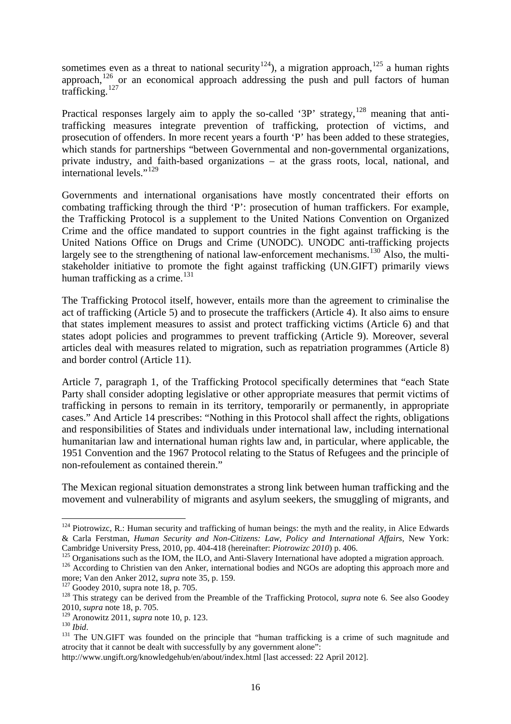sometimes even as a threat to national security<sup>[124](#page-17-0)</sup>), a migration approach,<sup>[125](#page-17-1)</sup> a human rights approach,  $\frac{126}{120}$  $\frac{126}{120}$  $\frac{126}{120}$  or an economical approach addressing the push and pull factors of human trafficking.<sup>[127](#page-17-3)</sup>

Practical responses largely aim to apply the so-called '3P' strategy, $128$  meaning that antitrafficking measures integrate prevention of trafficking, protection of victims, and prosecution of offenders. In more recent years a fourth 'P' has been added to these strategies, which stands for partnerships "between Governmental and non-governmental organizations, private industry, and faith-based organizations – at the grass roots, local, national, and international levels."<sup>[129](#page-17-5)</sup>

Governments and international organisations have mostly concentrated their efforts on combating trafficking through the third 'P': prosecution of human traffickers. For example, the Trafficking Protocol is a supplement to the United Nations Convention on Organized Crime and the office mandated to support countries in the fight against trafficking is the United Nations Office on Drugs and Crime (UNODC). UNODC anti-trafficking projects largely see to the strengthening of national law-enforcement mechanisms.<sup>[130](#page-17-6)</sup> Also, the multistakeholder initiative to promote the fight against trafficking (UN.GIFT) primarily views human trafficking as a crime. $^{131}$  $^{131}$  $^{131}$ 

The Trafficking Protocol itself, however, entails more than the agreement to criminalise the act of trafficking (Article 5) and to prosecute the traffickers (Article 4). It also aims to ensure that states implement measures to assist and protect trafficking victims (Article 6) and that states adopt policies and programmes to prevent trafficking (Article 9). Moreover, several articles deal with measures related to migration, such as repatriation programmes (Article 8) and border control (Article 11).

Article 7, paragraph 1, of the Trafficking Protocol specifically determines that "each State Party shall consider adopting legislative or other appropriate measures that permit victims of trafficking in persons to remain in its territory, temporarily or permanently, in appropriate cases." And Article 14 prescribes: "Nothing in this Protocol shall affect the rights, obligations and responsibilities of States and individuals under international law, including international humanitarian law and international human rights law and, in particular, where applicable, the 1951 Convention and the 1967 Protocol relating to the Status of Refugees and the principle of non-refoulement as contained therein."

The Mexican regional situation demonstrates a strong link between human trafficking and the movement and vulnerability of migrants and asylum seekers, the smuggling of migrants, and

<span id="page-17-0"></span><sup>&</sup>lt;sup>124</sup> Piotrowizc, R.: Human security and trafficking of human beings: the myth and the reality, in Alice Edwards & Carla Ferstman, *Human Security and Non-Citizens: Law, Policy and International Affairs*, New York:

<span id="page-17-2"></span>

<span id="page-17-1"></span>Cambridge University Press, 2010, pp. 404-418 (hereinafter: *Piotrowizc 2010*) p. 406.<br><sup>125</sup> Organisations such as the IOM, the ILO, and Anti-Slavery International have adopted a migration approach.<br><sup>126</sup> According to Chri

<span id="page-17-4"></span><span id="page-17-3"></span><sup>&</sup>lt;sup>127</sup> Goodey 2010, supra note 18, p. 705.<br><sup>128</sup> This strategy can be derived from the Preamble of the Trafficking Protocol, *supra* note 6. See also Goodey 2010, *supra* note 18, p. 705.

<span id="page-17-7"></span><span id="page-17-6"></span><span id="page-17-5"></span><sup>129</sup> Aronowitz 2011, *supra* note 10, p. 123. 130 *Ibid*. 131 The UN.GIFT was founded on the principle that "human trafficking is a crime of such magnitude and atrocity that it cannot be dealt with successfully by any government alone":

http://www.ungift.org/knowledgehub/en/about/index.html [last accessed: 22 April 2012].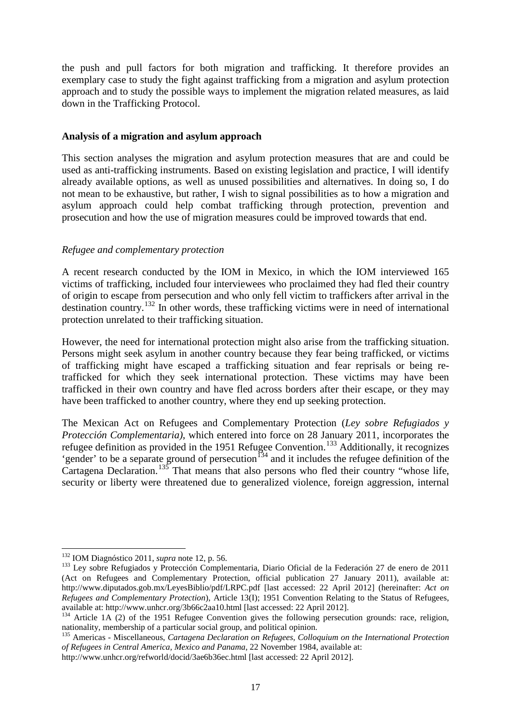the push and pull factors for both migration and trafficking. It therefore provides an exemplary case to study the fight against trafficking from a migration and asylum protection approach and to study the possible ways to implement the migration related measures, as laid down in the Trafficking Protocol.

# **Analysis of a migration and asylum approach**

This section analyses the migration and asylum protection measures that are and could be used as anti-trafficking instruments. Based on existing legislation and practice, I will identify already available options, as well as unused possibilities and alternatives. In doing so, I do not mean to be exhaustive, but rather, I wish to signal possibilities as to how a migration and asylum approach could help combat trafficking through protection, prevention and prosecution and how the use of migration measures could be improved towards that end.

# *Refugee and complementary protection*

A recent research conducted by the IOM in Mexico, in which the IOM interviewed 165 victims of trafficking, included four interviewees who proclaimed they had fled their country of origin to escape from persecution and who only fell victim to traffickers after arrival in the destination country.<sup>[132](#page-18-0)</sup> In other words, these trafficking victims were in need of international protection unrelated to their trafficking situation.

However, the need for international protection might also arise from the trafficking situation. Persons might seek asylum in another country because they fear being trafficked, or victims of trafficking might have escaped a trafficking situation and fear reprisals or being retrafficked for which they seek international protection. These victims may have been trafficked in their own country and have fled across borders after their escape, or they may have been trafficked to another country, where they end up seeking protection.

The Mexican Act on Refugees and Complementary Protection (*Ley sobre Refugiados y Protección Complementaria)*, which entered into force on 28 January 2011, incorporates the refugee definition as provided in the 1951 Refugee Convention.<sup>[133](#page-18-1)</sup> Additionally, it recognizes 'gender' to be a separate ground of persecution<sup> $134$ </sup> and it includes the refugee definition of the Cartagena Declaration.<sup>[135](#page-18-3)</sup> That means that also persons who fled their country "whose life, security or liberty were threatened due to generalized violence, foreign aggression, internal

 $\ddot{\phantom{a}}$ <sup>132</sup> IOM Diagnóstico 2011, *supra* note 12, p. 56.

<span id="page-18-1"></span><span id="page-18-0"></span><sup>&</sup>lt;sup>133</sup> Ley sobre Refugiados y Protección Complementaria, Diario Oficial de la Federación 27 de enero de 2011 (Act on Refugees and Complementary Protection, official publication 27 January 2011), available at: http://www.diputados.gob.mx/LeyesBiblio/pdf/LRPC.pdf [last accessed: 22 April 2012] (hereinafter: *Act on Refugees and Complementary Protection*), Article 13(I); 1951 Convention Relating to the Status of Refugees, available at: http://www.unhcr.org/3b66c2aa10.html [last accessed: 22 April 2012].

<span id="page-18-2"></span><sup>&</sup>lt;sup>134</sup> Article 1A (2) of the 1951 Refugee Convention gives the following persecution grounds: race, religion, nationality, membership of a particular social group, and political opinion.

<span id="page-18-3"></span><sup>&</sup>lt;sup>135</sup> Americas - Miscellaneous, *Cartagena Declaration on Refugees, Colloquium on the International Protection of Refugees in Central America, Mexico and Panama*, 22 November 1984, available at: http://www.unhcr.org/refworld/docid/3ae6b36ec.html [last accessed: 22 April 2012].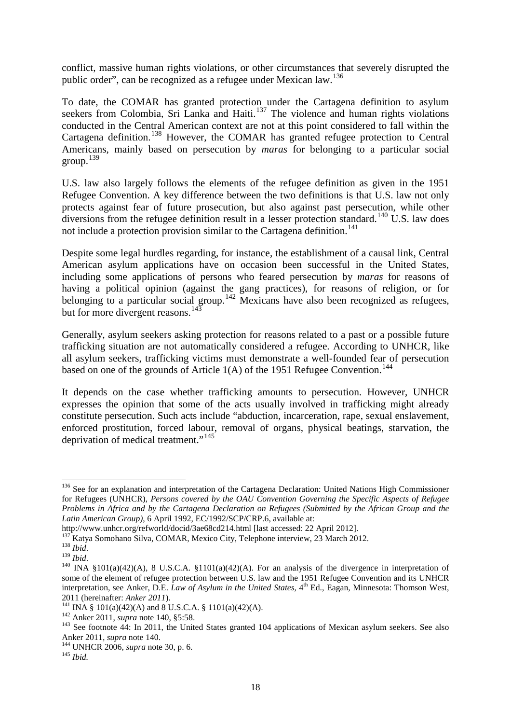conflict, massive human rights violations, or other circumstances that severely disrupted the public order", can be recognized as a refugee under Mexican law.[136](#page-19-0)

To date, the COMAR has granted protection under the Cartagena definition to asylum seekers from Colombia, Sri Lanka and Haiti.<sup>[137](#page-19-1)</sup> The violence and human rights violations conducted in the Central American context are not at this point considered to fall within the Cartagena definition.<sup>[138](#page-19-2)</sup> However, the COMAR has granted refugee protection to Central Americans, mainly based on persecution by *maras* for belonging to a particular social group. $139$ 

U.S. law also largely follows the elements of the refugee definition as given in the 1951 Refugee Convention. A key difference between the two definitions is that U.S. law not only protects against fear of future prosecution, but also against past persecution, while other diversions from the refugee definition result in a lesser protection standard.<sup>[140](#page-19-4)</sup> U.S. law does not include a protection provision similar to the Cartagena definition.<sup>[141](#page-19-5)</sup>

Despite some legal hurdles regarding, for instance, the establishment of a causal link, Central American asylum applications have on occasion been successful in the United States, including some applications of persons who feared persecution by *maras* for reasons of having a political opinion (against the gang practices), for reasons of religion, or for belonging to a particular social group.<sup>[142](#page-19-6)</sup> Mexicans have also been recognized as refugees, but for more divergent reasons.<sup>[143](#page-19-7)</sup>

Generally, asylum seekers asking protection for reasons related to a past or a possible future trafficking situation are not automatically considered a refugee. According to UNHCR, like all asylum seekers, trafficking victims must demonstrate a well-founded fear of persecution based on one of the grounds of Article  $1(A)$  of the 1951 Refugee Convention.<sup>[144](#page-19-8)</sup>

It depends on the case whether trafficking amounts to persecution. However, UNHCR expresses the opinion that some of the acts usually involved in trafficking might already constitute persecution. Such acts include "abduction, incarceration, rape, sexual enslavement, enforced prostitution, forced labour, removal of organs, physical beatings, starvation, the deprivation of medical treatment."<sup>[145](#page-19-9)</sup>

<span id="page-19-0"></span><sup>&</sup>lt;sup>136</sup> See for an explanation and interpretation of the Cartagena Declaration: United Nations High Commissioner for Refugees (UNHCR), *Persons covered by the OAU Convention Governing the Specific Aspects of Refugee Problems in Africa and by the Cartagena Declaration on Refugees (Submitted by the African Group and the Latin American Group)*, 6 April 1992, EC/1992/SCP/CRP.6, available at:

<span id="page-19-2"></span>

<span id="page-19-4"></span><span id="page-19-3"></span>

<span id="page-19-1"></span>http://www.unhcr.org/refworld/docid/3ae68cd214.html [last accessed: 22 April 2012].<br><sup>137</sup> Katya Somohano Silva, COMAR, Mexico City, Telephone interview, 23 March 2012.<br><sup>138</sup> *Ibid.*<br><sup>140</sup> INA §101(a)(42)(A), 8 U.S.C.A. §1 some of the element of refugee protection between U.S. law and the 1951 Refugee Convention and its UNHCR interpretation, see Anker, D.E. *Law of Asylum in the United States*, 4<sup>th</sup> Ed., Eagan, Minnesota: Thomson West,

<span id="page-19-6"></span>

<span id="page-19-5"></span><sup>2011 (</sup>hereinafter: Anker 2011).<br><sup>141</sup> INA § 101(a)(42)(A) and 8 U.S.C.A. § 1101(a)(42)(A).<br><sup>142</sup> Anker 2011, *supra* note 140, §5:58.<br><sup>143</sup> See footnote 44: In 2011, the United States granted 104 applications of Mexican a

<span id="page-19-8"></span><span id="page-19-7"></span>Anker 2011, *supra* note 140. 144 UNHCR 2006, *supra* note 30, p. 6. 145 *Ibid.*

<span id="page-19-9"></span>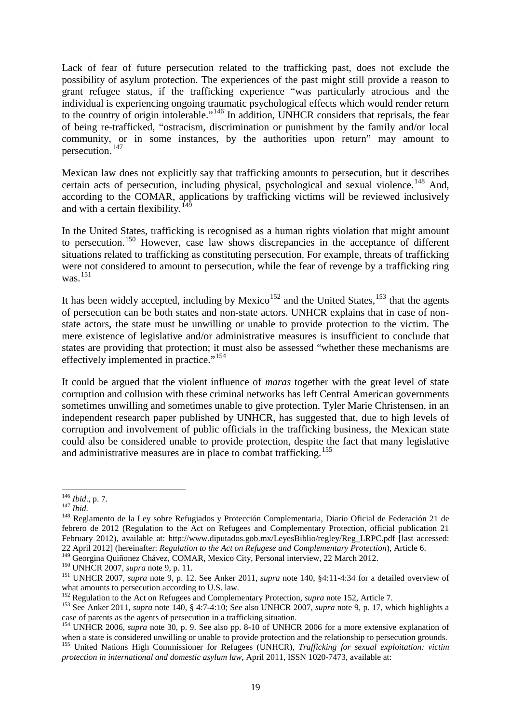Lack of fear of future persecution related to the trafficking past, does not exclude the possibility of asylum protection. The experiences of the past might still provide a reason to grant refugee status, if the trafficking experience "was particularly atrocious and the individual is experiencing ongoing traumatic psychological effects which would render return to the country of origin intolerable."[146](#page-20-0) In addition, UNHCR considers that reprisals, the fear of being re-trafficked, "ostracism, discrimination or punishment by the family and/or local community, or in some instances, by the authorities upon return" may amount to persecution.[147](#page-20-1)

Mexican law does not explicitly say that trafficking amounts to persecution, but it describes certain acts of persecution, including physical, psychological and sexual violence.<sup>[148](#page-20-2)</sup> And, according to the COMAR, applications by trafficking victims will be reviewed inclusively and with a certain flexibility.<sup>[149](#page-20-3)</sup>

In the United States, trafficking is recognised as a human rights violation that might amount to persecution.[150](#page-20-4) However, case law shows discrepancies in the acceptance of different situations related to trafficking as constituting persecution. For example, threats of trafficking were not considered to amount to persecution, while the fear of revenge by a trafficking ring was. $^{151}$  $^{151}$  $^{151}$ 

It has been widely accepted, including by Mexico<sup>[152](#page-20-6)</sup> and the United States,<sup>[153](#page-20-7)</sup> that the agents of persecution can be both states and non-state actors. UNHCR explains that in case of nonstate actors, the state must be unwilling or unable to provide protection to the victim. The mere existence of legislative and/or administrative measures is insufficient to conclude that states are providing that protection; it must also be assessed "whether these mechanisms are effectively implemented in practice."<sup>[154](#page-20-8)</sup>

It could be argued that the violent influence of *maras* together with the great level of state corruption and collusion with these criminal networks has left Central American governments sometimes unwilling and sometimes unable to give protection. Tyler Marie Christensen, in an independent research paper published by UNHCR, has suggested that, due to high levels of corruption and involvement of public officials in the trafficking business, the Mexican state could also be considered unable to provide protection, despite the fact that many legislative and administrative measures are in place to combat trafficking.<sup>[155](#page-20-9)</sup>

<span id="page-20-0"></span> $146$  *Ibid.*, p. 7.

<span id="page-20-2"></span><span id="page-20-1"></span><sup>146</sup> *Ibid*., p. 7. 147 *Ibid.* <sup>148</sup> Reglamento de la Ley sobre Refugiados y Protección Complementaria, Diario Oficial de Federación 21 de febrero de 2012 (Regulation to the Act on Refugees and Complementary Protection, official publication 21 February 2012), available at: http://www.diputados.gob.mx/LeyesBiblio/regley/Reg\_LRPC.pdf [last accessed: 22 April 2012] (hereinafter: *Regulation to the Act on Refugese and Complementary Protection*), Article 6.

<span id="page-20-5"></span><span id="page-20-4"></span><span id="page-20-3"></span><sup>&</sup>lt;sup>150</sup> UNHCR 2007, *supra* note 9, p. 11.<br><sup>151</sup> UNHCR 2007, *supra* note 9, p. 11.<br><sup>151</sup> UNHCR 2007, *supra* note 9, p. 12. See Anker 2011, *supra* note 140, §4:11-4:34 for a detailed overview of what amounts to persecution according to U.S. law.<br><sup>152</sup> Regulation to the Act on Refugees and Complementary Protection, *supra* note 152, Article 7.

<span id="page-20-7"></span><span id="page-20-6"></span><sup>&</sup>lt;sup>153</sup> See Anker 2011, *supra* note 140, § 4:7-4:10; See also UNHCR 2007, *supra* note 9, p. 17, which highlights a case of parents as the agents of persecution in a trafficking situation.

<span id="page-20-8"></span><sup>&</sup>lt;sup>154</sup> UNHCR 2006, *supra* note 30, p. 9. See also pp. 8-10 of UNHCR 2006 for a more extensive explanation of when a state is considered unwilling or unable to provide protection and the relationship to persecution grounds.

<span id="page-20-9"></span><sup>155</sup> United Nations High Commissioner for Refugees (UNHCR), *Trafficking for sexual exploitation: victim protection in international and domestic asylum law*, April 2011, ISSN 1020-7473, available at: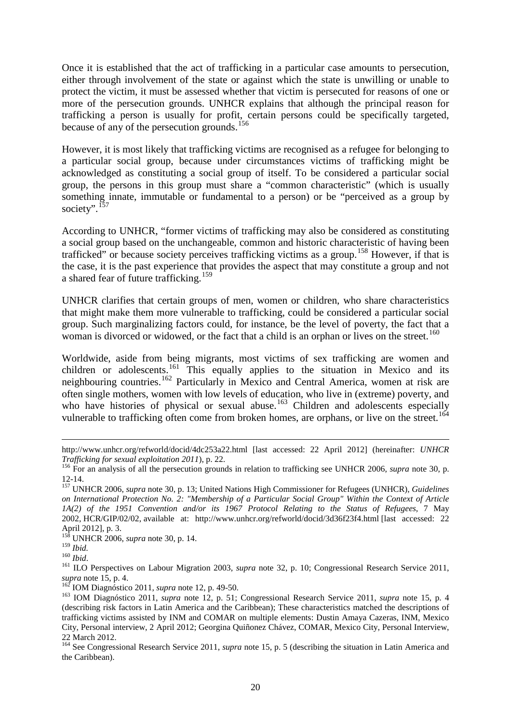Once it is established that the act of trafficking in a particular case amounts to persecution, either through involvement of the state or against which the state is unwilling or unable to protect the victim, it must be assessed whether that victim is persecuted for reasons of one or more of the persecution grounds. UNHCR explains that although the principal reason for trafficking a person is usually for profit, certain persons could be specifically targeted, because of any of the persecution grounds.<sup>[156](#page-21-0)</sup>

However, it is most likely that trafficking victims are recognised as a refugee for belonging to a particular social group, because under circumstances victims of trafficking might be acknowledged as constituting a social group of itself. To be considered a particular social group, the persons in this group must share a "common characteristic" (which is usually something innate, immutable or fundamental to a person) or be "perceived as a group by society". [157](#page-21-1)

According to UNHCR, "former victims of trafficking may also be considered as constituting a social group based on the unchangeable, common and historic characteristic of having been trafficked" or because society perceives trafficking victims as a group.<sup>[158](#page-21-2)</sup> However, if that is the case, it is the past experience that provides the aspect that may constitute a group and not a shared fear of future trafficking.<sup>[159](#page-21-3)</sup>

UNHCR clarifies that certain groups of men, women or children, who share characteristics that might make them more vulnerable to trafficking, could be considered a particular social group. Such marginalizing factors could, for instance, be the level of poverty, the fact that a woman is divorced or widowed, or the fact that a child is an orphan or lives on the street.<sup>[160](#page-21-4)</sup>

Worldwide, aside from being migrants, most victims of sex trafficking are women and children or adolescents.<sup>[161](#page-21-5)</sup> This equally applies to the situation in Mexico and its neighbouring countries.<sup>[162](#page-21-6)</sup> Particularly in Mexico and Central America, women at risk are often single mothers, women with low levels of education, who live in (extreme) poverty, and who have histories of physical or sexual abuse.<sup>[163](#page-21-7)</sup> Children and adolescents especially vulnerable to trafficking often come from broken homes, are orphans, or live on the street.<sup>[164](#page-21-8)</sup>

http://www.unhcr.org/refworld/docid/4dc253a22.html [last accessed: 22 April 2012] (hereinafter: *UNHCR* 

<span id="page-21-0"></span><sup>&</sup>lt;sup>156</sup> For an analysis of all the persecution grounds in relation to trafficking see UNHCR 2006, *supra* note 30, p. 12-14.

<span id="page-21-1"></span><sup>&</sup>lt;sup>157</sup> UNHCR 2006, *supra* note 30, p. 13; United Nations High Commissioner for Refugees (UNHCR), *Guidelines on International Protection No. 2: "Membership of a Particular Social Group" Within the Context of Article 1A(2) of the 1951 Convention and/or its 1967 Protocol Relating to the Status of Refugees*, 7 May 2002, HCR/GIP/02/02, available at: http://www.unhcr.org/refworld/docid/3d36f23f4.html [last accessed: 22

<span id="page-21-2"></span>April 2012], p. 3.<br><sup>158</sup> UNHCR 2006, *supra* note 30, p. 14.<br><sup>159</sup> Ibid.

<span id="page-21-4"></span><span id="page-21-3"></span><sup>159</sup> *Ibid.* <sup>160</sup> *Ibid*. <sup>161</sup> ILO Perspectives on Labour Migration 2003, *supra* note 32, p. 10; Congressional Research Service 2011,

<span id="page-21-7"></span><span id="page-21-6"></span>

<span id="page-21-5"></span>*supra* note 15, p. 4. 162 IOM Diagnóstico 2011, *supra* note 12, p. 49-50. 163 IOM Diagnóstico 2011, *supra* note 12, p. 51; Congressional Research Service 2011, *supra* note 15, p. 4 (describing risk factors in Latin America and the Caribbean); These characteristics matched the descriptions of trafficking victims assisted by INM and COMAR on multiple elements: Dustin Amaya Cazeras, INM, Mexico City, Personal interview, 2 April 2012; Georgina Quiñonez Chávez, COMAR, Mexico City, Personal Interview, 22 March 2012.

<span id="page-21-8"></span><sup>&</sup>lt;sup>164</sup> See Congressional Research Service 2011, *supra* note 15, p. 5 (describing the situation in Latin America and the Caribbean).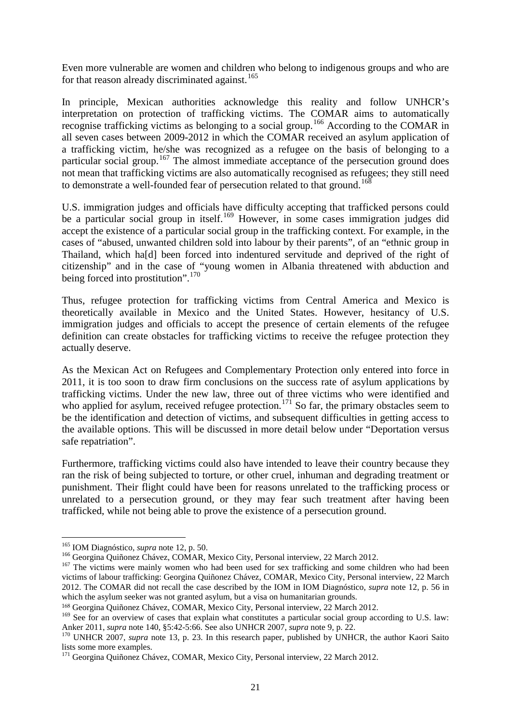Even more vulnerable are women and children who belong to indigenous groups and who are for that reason already discriminated against.<sup>[165](#page-22-0)</sup>

In principle, Mexican authorities acknowledge this reality and follow UNHCR's interpretation on protection of trafficking victims. The COMAR aims to automatically recognise trafficking victims as belonging to a social group.[166](#page-22-1) According to the COMAR in all seven cases between 2009-2012 in which the COMAR received an asylum application of a trafficking victim, he/she was recognized as a refugee on the basis of belonging to a particular social group.<sup>[167](#page-22-2)</sup> The almost immediate acceptance of the persecution ground does not mean that trafficking victims are also automatically recognised as refugees; they still need to demonstrate a well-founded fear of persecution related to that ground. <sup>[168](#page-22-3)</sup>

U.S. immigration judges and officials have difficulty accepting that trafficked persons could be a particular social group in itself.<sup>[169](#page-22-4)</sup> However, in some cases immigration judges did accept the existence of a particular social group in the trafficking context. For example, in the cases of "abused, unwanted children sold into labour by their parents", of an "ethnic group in Thailand, which ha[d] been forced into indentured servitude and deprived of the right of citizenship" and in the case of "young women in Albania threatened with abduction and being forced into prostitution".<sup>[170](#page-22-5)</sup>

Thus, refugee protection for trafficking victims from Central America and Mexico is theoretically available in Mexico and the United States. However, hesitancy of U.S. immigration judges and officials to accept the presence of certain elements of the refugee definition can create obstacles for trafficking victims to receive the refugee protection they actually deserve.

As the Mexican Act on Refugees and Complementary Protection only entered into force in 2011, it is too soon to draw firm conclusions on the success rate of asylum applications by trafficking victims. Under the new law, three out of three victims who were identified and who applied for asylum, received refugee protection.<sup>[171](#page-22-6)</sup> So far, the primary obstacles seem to be the identification and detection of victims, and subsequent difficulties in getting access to the available options. This will be discussed in more detail below under "Deportation versus safe repatriation".

Furthermore, trafficking victims could also have intended to leave their country because they ran the risk of being subjected to torture, or other cruel, inhuman and degrading treatment or punishment. Their flight could have been for reasons unrelated to the trafficking process or unrelated to a persecution ground, or they may fear such treatment after having been trafficked, while not being able to prove the existence of a persecution ground.

<span id="page-22-2"></span>

<span id="page-22-1"></span><span id="page-22-0"></span><sup>&</sup>lt;sup>165</sup> IOM Diagnóstico, *supra* note 12, p. 50.<br><sup>166</sup> Georgina Quiñonez Chávez, COMAR, Mexico City, Personal interview, 22 March 2012.<br><sup>167</sup> The victims were mainly women who had been used for sex trafficking and some child victims of labour trafficking: Georgina Quiñonez Chávez, COMAR, Mexico City, Personal interview, 22 March 2012. The COMAR did not recall the case described by the IOM in IOM Diagnóstico, *supra* note 12, p. 56 in which the asylum seeker was not granted asylum, but a visa on humanitarian grounds.

<span id="page-22-3"></span><sup>168</sup> Georgina Quiñonez Chávez, COMAR, Mexico City, Personal interview, 22 March 2012.

<span id="page-22-4"></span><sup>&</sup>lt;sup>169</sup> See for an overview of cases that explain what constitutes a particular social group according to U.S. law:<br>Anker 2011, *supra* note 140, §5:42-5:66. See also UNHCR 2007, *supra* note 9, p. 22.

<span id="page-22-5"></span><sup>&</sup>lt;sup>170</sup> UNHCR 2007, *supra* note 13, p. 23. In this research paper, published by UNHCR, the author Kaori Saito lists some more examples.

<span id="page-22-6"></span><sup>&</sup>lt;sup>171</sup> Georgina Quiñonez Chávez, COMAR, Mexico City, Personal interview, 22 March 2012.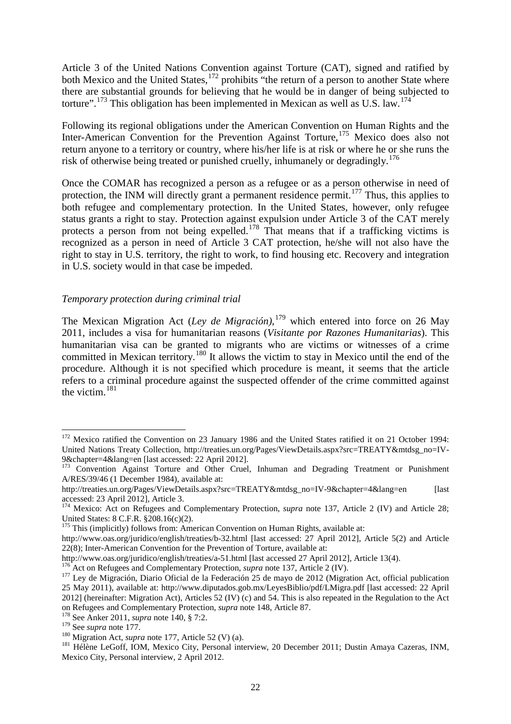Article 3 of the United Nations Convention against Torture (CAT), signed and ratified by both Mexico and the United States, <sup>[172](#page-23-0)</sup> prohibits "the return of a person to another State where there are substantial grounds for believing that he would be in danger of being subjected to torture".<sup>[173](#page-23-1)</sup> This obligation has been implemented in Mexican as well as U.S. law.<sup>[174](#page-23-2)</sup>

Following its regional obligations under the American Convention on Human Rights and the Inter-American Convention for the Prevention Against Torture,<sup>[175](#page-23-3)</sup> Mexico does also not return anyone to a territory or country, where his/her life is at risk or where he or she runs the risk of otherwise being treated or punished cruelly, inhumanely or degradingly.<sup>[176](#page-23-4)</sup>

Once the COMAR has recognized a person as a refugee or as a person otherwise in need of protection, the INM will directly grant a permanent residence permit.<sup>[177](#page-23-5)</sup> Thus, this applies to both refugee and complementary protection. In the United States, however, only refugee status grants a right to stay. Protection against expulsion under Article 3 of the CAT merely protects a person from not being expelled.<sup>[178](#page-23-6)</sup> That means that if a trafficking victims is recognized as a person in need of Article 3 CAT protection, he/she will not also have the right to stay in U.S. territory, the right to work, to find housing etc. Recovery and integration in U.S. society would in that case be impeded.

## *Temporary protection during criminal trial*

The Mexican Migration Act (*Ley de Migración)*, [179](#page-23-7) which entered into force on 26 May 2011, includes a visa for humanitarian reasons (*Visitante por Razones Humanitarias*). This humanitarian visa can be granted to migrants who are victims or witnesses of a crime committed in Mexican territory.<sup>[180](#page-23-8)</sup> It allows the victim to stay in Mexico until the end of the procedure. Although it is not specified which procedure is meant, it seems that the article refers to a criminal procedure against the suspected offender of the crime committed against the victim. $^{181}$  $^{181}$  $^{181}$ 

<span id="page-23-0"></span><sup>&</sup>lt;sup>172</sup> Mexico ratified the Convention on 23 January 1986 and the United States ratified it on 21 October 1994: United Nations Treaty Collection, http://treaties.un.org/Pages/ViewDetails.aspx?src=TREATY&mtdsg\_no=IV-9&chapter=4&lang=en [last accessed: 22 April 2012].<br><sup>173</sup> Convention Against Torture and Other Cruel, Inhuman and Degrading Treatment or Punishment

<span id="page-23-1"></span>A/RES/39/46 (1 December 1984), available at:

http://treaties.un.org/Pages/ViewDetails.aspx?src=TREATY&mtdsg\_no=IV-9&chapter=4&lang=en [last accessed: 23 April 2012], Article 3. 174 Mexico: Act on Refugees and Complementary Protection, *supra* note 137, Article 2 (IV) and Article 28;

<span id="page-23-2"></span>United States: 8 C.F.R. §208.16(c)(2).<br><sup>175</sup> This (implicitly) follows from: American Convention on Human Rights, available at:

<span id="page-23-3"></span>http://www.oas.org/juridico/english/treaties/b-32.html [last accessed: 27 April 2012], Article 5(2) and Article 22(8); Inter-American Convention for the Prevention of Torture, available at:<br>http://www.oas.org/juridico/english/treaties/a-51.html [last accessed 27 April 2012], Article 13(4).

<span id="page-23-5"></span><span id="page-23-4"></span><sup>&</sup>lt;sup>176</sup> Act on Refugees and Complementary Protection, *supra* note 137, Article 2 (IV).<br><sup>177</sup> Ley de Migración, Diario Oficial de la Federación 25 de mayo de 2012 (Migration Act, official publication 25 May 2011), available at: http://www.diputados.gob.mx/LeyesBiblio/pdf/LMigra.pdf [last accessed: 22 April 2012] (hereinafter: Migration Act), Articles 52 (IV) (c) and 54. This is also repeated in the Regulation to the Act on Refugees and Complementary Protection, *supra* note 148, Article 87. 178 See Anker 2011, *supra* note 140, § 7:2.

<span id="page-23-6"></span>

<span id="page-23-9"></span><span id="page-23-8"></span><span id="page-23-7"></span><sup>&</sup>lt;sup>180</sup> Migration Act, *supra* note 177, Article 52 (V) (a).<br><sup>181</sup> Hélène LeGoff, IOM, Mexico City, Personal interview, 20 December 2011; Dustin Amaya Cazeras, INM, Mexico City, Personal interview, 2 April 2012.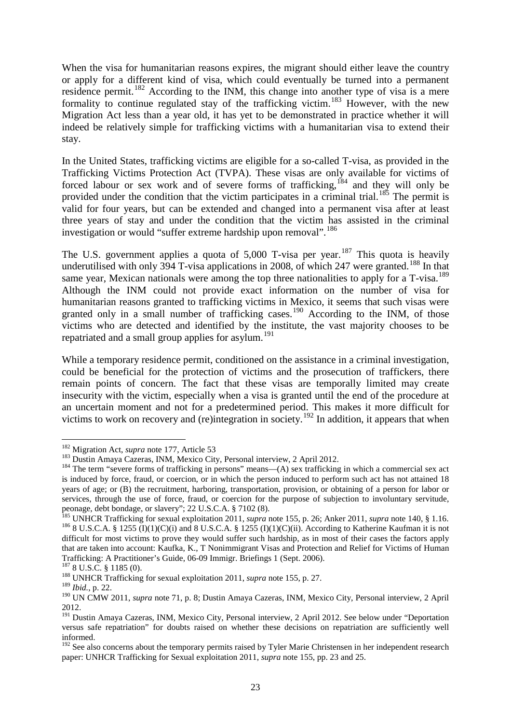When the visa for humanitarian reasons expires, the migrant should either leave the country or apply for a different kind of visa, which could eventually be turned into a permanent residence permit.<sup>[182](#page-24-0)</sup> According to the INM, this change into another type of visa is a mere formality to continue regulated stay of the trafficking victim.<sup>[183](#page-24-1)</sup> However, with the new Migration Act less than a year old, it has yet to be demonstrated in practice whether it will indeed be relatively simple for trafficking victims with a humanitarian visa to extend their stay.

In the United States, trafficking victims are eligible for a so-called T-visa, as provided in the Trafficking Victims Protection Act (TVPA). These visas are only available for victims of forced labour or sex work and of severe forms of trafficking, <sup>[184](#page-24-2)</sup> and they will only be provided under the condition that the victim participates in a criminal trial.<sup>[185](#page-24-3)</sup> The permit is valid for four years, but can be extended and changed into a permanent visa after at least three years of stay and under the condition that the victim has assisted in the criminal investigation or would "suffer extreme hardship upon removal".<sup>[186](#page-24-4)</sup>

The U.S. government applies a quota of 5,000 T-visa per year.<sup>[187](#page-24-5)</sup> This quota is heavily underutilised with only 394 T-visa applications in 2008, of which 247 were granted.<sup>[188](#page-24-6)</sup> In that same year, Mexican nationals were among the top three nationalities to apply for a  $T\text{-}visa$ .<sup>[189](#page-24-7)</sup> Although the INM could not provide exact information on the number of visa for humanitarian reasons granted to trafficking victims in Mexico, it seems that such visas were granted only in a small number of trafficking cases.<sup>[190](#page-24-8)</sup> According to the INM, of those victims who are detected and identified by the institute, the vast majority chooses to be repatriated and a small group applies for asylum.<sup>[191](#page-24-9)</sup>

While a temporary residence permit, conditioned on the assistance in a criminal investigation, could be beneficial for the protection of victims and the prosecution of traffickers, there remain points of concern. The fact that these visas are temporally limited may create insecurity with the victim, especially when a visa is granted until the end of the procedure at an uncertain moment and not for a predetermined period. This makes it more difficult for victims to work on recovery and (re)integration in society.<sup>[192](#page-24-10)</sup> In addition, it appears that when

<sup>&</sup>lt;sup>182</sup> Migration Act, *supra* note 177, Article 53

<span id="page-24-2"></span><span id="page-24-1"></span><span id="page-24-0"></span><sup>&</sup>lt;sup>183</sup> Dustin Amaya Cazeras, INM, Mexico City, Personal interview, 2 April 2012.<br><sup>184</sup> The term "severe forms of trafficking in persons" means—(A) sex trafficking in which a commercial sex act is induced by force, fraud, or coercion, or in which the person induced to perform such act has not attained 18 years of age; or (B) the recruitment, harboring, transportation, provision, or obtaining of a person for labor or services, through the use of force, fraud, or coercion for the purpose of subjection to involuntary servitude, peonage, debt bondage, or slavery"; 22 U.S.C.A. § 7102 (8).<br><sup>185</sup> UNHCR Trafficking for sexual exploitation 2011, *supra* note 155, p. 26; Anker 2011, *supra* note 140, § 1.16.

<span id="page-24-4"></span><span id="page-24-3"></span> $186$  8 U.S.C.A. § 1255 (I)(1)(C)(i) and 8 U.S.C.A. § 1255 (I)(1)(C)(ii). According to Katherine Kaufman it is not difficult for most victims to prove they would suffer such hardship, as in most of their cases the factors apply that are taken into account: Kaufka, K., T Nonimmigrant Visas and Protection and Relief for Victims of Human Trafficking: A Practitioner's Guide, 06-09 Immigr. Briefings 1 (Sept. 2006).

<span id="page-24-5"></span><sup>&</sup>lt;sup>187</sup> 8 U.S.C. § 1185 (0). <sup>188</sup> UNHCR Trafficking for sexual exploitation 2011, *supra* note 155, p. 27.

<span id="page-24-7"></span><span id="page-24-6"></span><sup>189</sup> *Ibid.*, p. 22.

<span id="page-24-8"></span><sup>190</sup> UN CMW 2011, *supra* note 71, p. 8; Dustin Amaya Cazeras, INM, Mexico City, Personal interview, 2 April 2012.

<span id="page-24-9"></span><sup>&</sup>lt;sup>191</sup> Dustin Amaya Cazeras, INM, Mexico City, Personal interview, 2 April 2012. See below under "Deportation versus safe repatriation" for doubts raised on whether these decisions on repatriation are sufficiently well informed.

<span id="page-24-10"></span><sup>&</sup>lt;sup>192</sup> See also concerns about the temporary permits raised by Tyler Marie Christensen in her independent research paper: UNHCR Trafficking for Sexual exploitation 2011, *supra* note 155, pp. 23 and 25.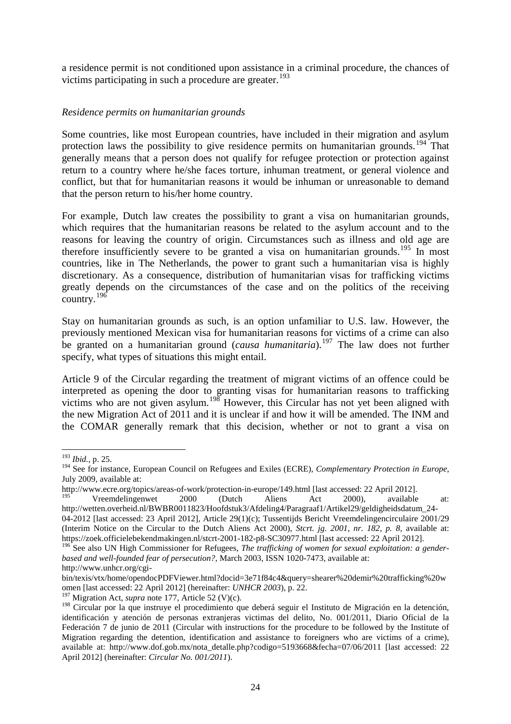a residence permit is not conditioned upon assistance in a criminal procedure, the chances of victims participating in such a procedure are greater.<sup>[193](#page-25-0)</sup>

# *Residence permits on humanitarian grounds*

Some countries, like most European countries, have included in their migration and asylum protection laws the possibility to give residence permits on humanitarian grounds.<sup>[194](#page-25-1)</sup> That generally means that a person does not qualify for refugee protection or protection against return to a country where he/she faces torture, inhuman treatment, or general violence and conflict, but that for humanitarian reasons it would be inhuman or unreasonable to demand that the person return to his/her home country.

For example, Dutch law creates the possibility to grant a visa on humanitarian grounds, which requires that the humanitarian reasons be related to the asylum account and to the reasons for leaving the country of origin. Circumstances such as illness and old age are therefore insufficiently severe to be granted a visa on humanitarian grounds.<sup>[195](#page-25-2)</sup> In most countries, like in The Netherlands, the power to grant such a humanitarian visa is highly discretionary. As a consequence, distribution of humanitarian visas for trafficking victims greatly depends on the circumstances of the case and on the politics of the receiving country.[196](#page-25-3)

Stay on humanitarian grounds as such, is an option unfamiliar to U.S. law. However, the previously mentioned Mexican visa for humanitarian reasons for victims of a crime can also be granted on a humanitarian ground (*causa humanitaria*). [197](#page-25-4) The law does not further specify, what types of situations this might entail.

Article 9 of the Circular regarding the treatment of migrant victims of an offence could be interpreted as opening the door to granting visas for humanitarian reasons to trafficking victims who are not given asylum.<sup>[198](#page-25-5)</sup> However, this Circular has not yet been aligned with the new Migration Act of 2011 and it is unclear if and how it will be amended. The INM and the COMAR generally remark that this decision, whether or not to grant a visa on

<sup>193</sup> *Ibid.*, p. 25.

<span id="page-25-1"></span><span id="page-25-0"></span><sup>194</sup> See for instance, European Council on Refugees and Exiles (ECRE), *Complementary Protection in Europe*, July 2009, available at:

http://www.ecre.org/topics/areas-of-work/protection-in-europe/149.html [last accessed: 22 April 2012].<br>
Vreemdelingenwet 2000 (Dutch Aliens Act 2000), available at:

<span id="page-25-2"></span>http://wetten.overheid.nl/BWBR0011823/Hoofdstuk3/Afdeling4/Paragraaf1/Artikel29/geldigheidsdatum\_24- 04-2012 [last accessed: 23 April 2012], Article 29(1)(c); Tussentijds Bericht Vreemdelingencirculaire 2001/29 (Interim Notice on the Circular to the Dutch Aliens Act 2000), *Stcrt. jg. 2001, nr. 182, p. 8,* available at: https://zoek.officielebekendmakingen.nl/stcrt-2001-182-p8-SC30977.html [last accessed: 22 April 2012].

<span id="page-25-3"></span><sup>196</sup> See also UN High Commissioner for Refugees, *The trafficking of women for sexual exploitation: a genderbased and well-founded fear of persecution?*, March 2003, ISSN 1020-7473, available at:

http://www.unhcr.org/cgi-

bin/texis/vtx/home/opendocPDFViewer.html?docid=3e71f84c4&query=shearer%20demir%20trafficking%20w omen [last accessed: 22 April 2012] (hereinafter: *UNHCR 2003*), p. 22.

<sup>&</sup>lt;sup>197</sup> Migration Act, *supra* note 177, Article 52 (V)(c).

<span id="page-25-5"></span><span id="page-25-4"></span><sup>&</sup>lt;sup>198</sup> Circular por la que instruye el procedimiento que deberá seguir el Instituto de Migración en la detención, identificación y atención de personas extranjeras victimas del delito, No. 001/2011, Diario Oficial de la Federación 7 de junio de 2011 (Circular with instructions for the procedure to be followed by the Institute of Migration regarding the detention, identification and assistance to foreigners who are victims of a crime), available at: http://www.dof.gob.mx/nota\_detalle.php?codigo=5193668&fecha=07/06/2011 [last accessed: 22 April 2012] (hereinafter: *Circular No. 001/2011*).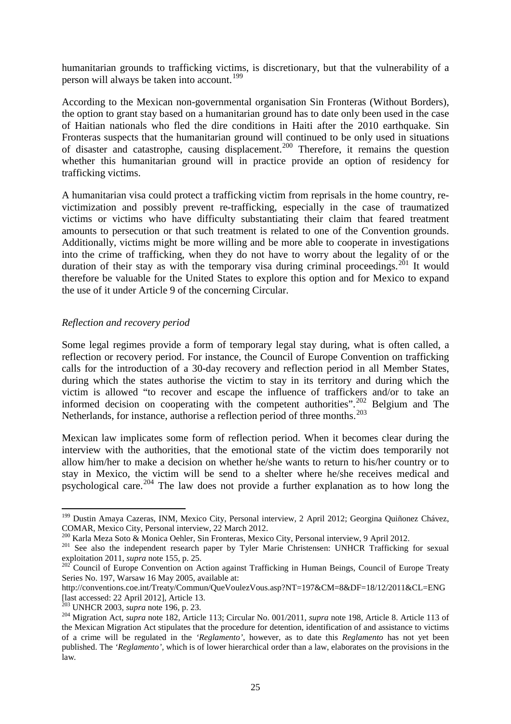humanitarian grounds to trafficking victims, is discretionary, but that the vulnerability of a person will always be taken into account. [199](#page-26-0)

According to the Mexican non-governmental organisation Sin Fronteras (Without Borders), the option to grant stay based on a humanitarian ground has to date only been used in the case of Haitian nationals who fled the dire conditions in Haiti after the 2010 earthquake. Sin Fronteras suspects that the humanitarian ground will continued to be only used in situations of disaster and catastrophe, causing displacement.<sup>[200](#page-26-1)</sup> Therefore, it remains the question whether this humanitarian ground will in practice provide an option of residency for trafficking victims.

A humanitarian visa could protect a trafficking victim from reprisals in the home country, revictimization and possibly prevent re-trafficking, especially in the case of traumatized victims or victims who have difficulty substantiating their claim that feared treatment amounts to persecution or that such treatment is related to one of the Convention grounds. Additionally, victims might be more willing and be more able to cooperate in investigations into the crime of trafficking, when they do not have to worry about the legality of or the duration of their stay as with the temporary visa during criminal proceedings.<sup>[201](#page-26-2)</sup> It would therefore be valuable for the United States to explore this option and for Mexico to expand the use of it under Article 9 of the concerning Circular.

## *Reflection and recovery period*

Some legal regimes provide a form of temporary legal stay during, what is often called, a reflection or recovery period. For instance, the Council of Europe Convention on trafficking calls for the introduction of a 30-day recovery and reflection period in all Member States, during which the states authorise the victim to stay in its territory and during which the victim is allowed "to recover and escape the influence of traffickers and/or to take an informed decision on cooperating with the competent authorities".<sup>[202](#page-26-3)</sup> Belgium and The Netherlands, for instance, authorise a reflection period of three months.<sup>[203](#page-26-4)</sup>

Mexican law implicates some form of reflection period. When it becomes clear during the interview with the authorities, that the emotional state of the victim does temporarily not allow him/her to make a decision on whether he/she wants to return to his/her country or to stay in Mexico, the victim will be send to a shelter where he/she receives medical and psychological care.<sup>[204](#page-26-5)</sup> The law does not provide a further explanation as to how long the

<span id="page-26-0"></span><sup>&</sup>lt;sup>199</sup> Dustin Amaya Cazeras, INM, Mexico City, Personal interview, 2 April 2012; Georgina Quiñonez Chávez, COMAR, Mexico City, Personal interview, 22 March 2012.<br><sup>200</sup> Karla Meza Soto & Monica Oehler, Sin Fronteras, Mexico City, Personal interview, 9 April 2012.

<span id="page-26-2"></span><span id="page-26-1"></span><sup>&</sup>lt;sup>201</sup> See also the independent research paper by Tyler Marie Christensen: UNHCR Trafficking for sexual <sup>201</sup> exploitation 2011, *supra* note 155, p. 25.<br><sup>202</sup> Council of Europe Convention on Action against Trafficking in Human Beings, Council of Europe Treaty

<span id="page-26-3"></span>Series No. 197, Warsaw 16 May 2005, available at:

http://conventions.coe.int/Treaty/Commun/QueVoulezVous.asp?NT=197&CM=8&DF=18/12/2011&CL=ENG [last accessed: 22 April 2012], Article 13.<br><sup>203</sup> UNHCR 2003, *supra* note 196, p. 23.

<span id="page-26-5"></span><span id="page-26-4"></span><sup>&</sup>lt;sup>204</sup> Migration Act, *supra* note 182, Article 113; Circular No. 001/2011, *supra* note 198, Article 8. Article 113 of the Mexican Migration Act stipulates that the procedure for detention, identification of and assistance to victims of a crime will be regulated in the *'Reglamento'*, however, as to date this *Reglamento* has not yet been published. The *'Reglamento',* which is of lower hierarchical order than a law, elaborates on the provisions in the law*.*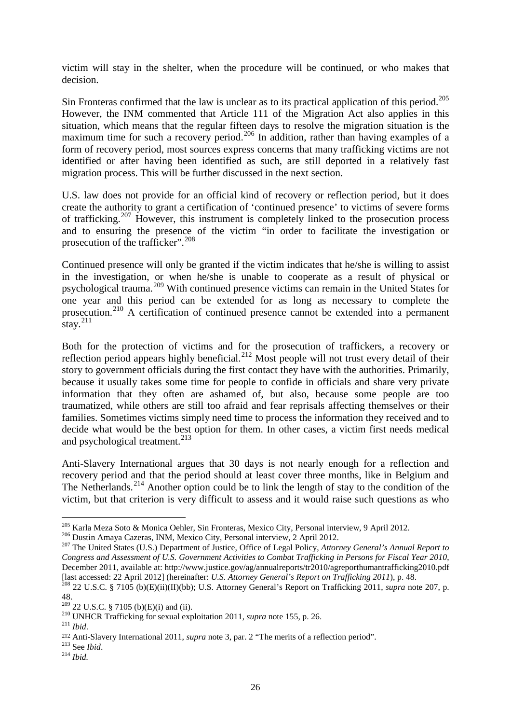victim will stay in the shelter, when the procedure will be continued, or who makes that decision.

Sin Fronteras confirmed that the law is unclear as to its practical application of this period.<sup>[205](#page-27-0)</sup> However, the INM commented that Article 111 of the Migration Act also applies in this situation, which means that the regular fifteen days to resolve the migration situation is the maximum time for such a recovery period.<sup>[206](#page-27-1)</sup> In addition, rather than having examples of a form of recovery period, most sources express concerns that many trafficking victims are not identified or after having been identified as such, are still deported in a relatively fast migration process. This will be further discussed in the next section.

U.S. law does not provide for an official kind of recovery or reflection period, but it does create the authority to grant a certification of 'continued presence' to victims of severe forms of trafficking.<sup>[207](#page-27-2)</sup> However, this instrument is completely linked to the prosecution process and to ensuring the presence of the victim "in order to facilitate the investigation or prosecution of the trafficker".<sup>[208](#page-27-3)</sup>

Continued presence will only be granted if the victim indicates that he/she is willing to assist in the investigation, or when he/she is unable to cooperate as a result of physical or psychological trauma.[209](#page-27-4) With continued presence victims can remain in the United States for one year and this period can be extended for as long as necessary to complete the prosecution.[210](#page-27-5) A certification of continued presence cannot be extended into a permanent stay. $^{211}$  $^{211}$  $^{211}$ 

Both for the protection of victims and for the prosecution of traffickers, a recovery or reflection period appears highly beneficial.<sup>[212](#page-27-7)</sup> Most people will not trust every detail of their story to government officials during the first contact they have with the authorities. Primarily, because it usually takes some time for people to confide in officials and share very private information that they often are ashamed of, but also, because some people are too traumatized, while others are still too afraid and fear reprisals affecting themselves or their families. Sometimes victims simply need time to process the information they received and to decide what would be the best option for them. In other cases, a victim first needs medical and psychological treatment.<sup>[213](#page-27-8)</sup>

Anti-Slavery International argues that 30 days is not nearly enough for a reflection and recovery period and that the period should at least cover three months, like in Belgium and The Netherlands.<sup>[214](#page-27-9)</sup> Another option could be to link the length of stay to the condition of the victim, but that criterion is very difficult to assess and it would raise such questions as who

<sup>205</sup> Karla Meza Soto & Monica Oehler, Sin Fronteras, Mexico City, Personal interview, 9 April 2012.

<span id="page-27-2"></span><span id="page-27-1"></span><span id="page-27-0"></span><sup>&</sup>lt;sup>206</sup> Dustin Amaya Cazeras, INM, Mexico City, Personal interview, 2 April 2012.<br><sup>207</sup> The United States (U.S.) Department of Justice, Office of Legal Policy, *Attorney General's Annual Report to Congress and Assessment of U.S. Government Activities to Combat Trafficking in Persons for Fiscal Year 2010*, December 2011, available at: http://www.justice.gov/ag/annualreports/tr2010/agreporthumantrafficking2010.pdf [last accessed: 22 April 2012] (hereinafter: U.S. Attorney General's Report on Trafficking 2011), p. 48.<br><sup>208</sup> 22 U.S.C. § 7105 (b)(E)(ii)(II)(bb); U.S. Attorney General's Report on Trafficking 2011, supra note 207, p.

<span id="page-27-3"></span><sup>48.&</sup>lt;br> $^{209}$  22 U.S.C. § 7105 (b)(E)(i) and (ii).

<span id="page-27-5"></span><span id="page-27-4"></span><sup>&</sup>lt;sup>210</sup> UNHCR Trafficking for sexual exploitation 2011, *supra* note 155, p. 26. <sup>211</sup> *Ibid* 

<span id="page-27-7"></span><span id="page-27-6"></span><sup>212</sup> Anti-Slavery International 2011, *supra* note 3, par. 2 "The merits of a reflection period".

<span id="page-27-9"></span><span id="page-27-8"></span><sup>213</sup> See *Ibid*. 214 *Ibid.*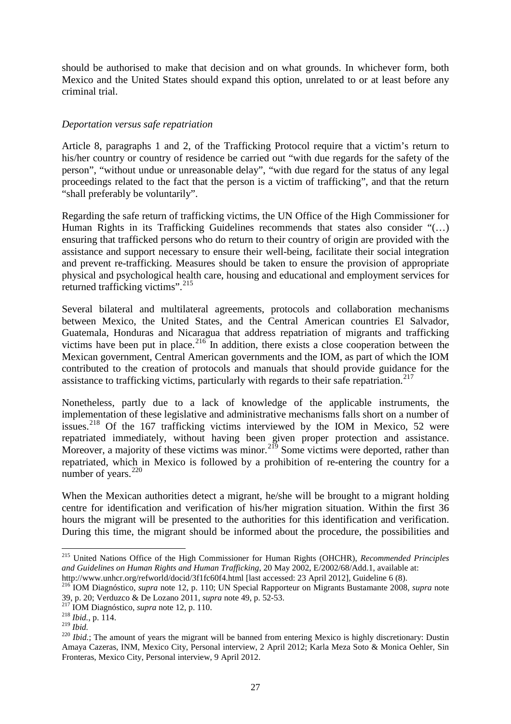should be authorised to make that decision and on what grounds. In whichever form, both Mexico and the United States should expand this option, unrelated to or at least before any criminal trial.

# *Deportation versus safe repatriation*

Article 8, paragraphs 1 and 2, of the Trafficking Protocol require that a victim's return to his/her country or country of residence be carried out "with due regards for the safety of the person", "without undue or unreasonable delay", "with due regard for the status of any legal proceedings related to the fact that the person is a victim of trafficking", and that the return "shall preferably be voluntarily".

Regarding the safe return of trafficking victims, the UN Office of the High Commissioner for Human Rights in its Trafficking Guidelines recommends that states also consider "(…) ensuring that trafficked persons who do return to their country of origin are provided with the assistance and support necessary to ensure their well-being, facilitate their social integration and prevent re-trafficking. Measures should be taken to ensure the provision of appropriate physical and psychological health care, housing and educational and employment services for returned trafficking victims".<sup>[215](#page-28-0)</sup>

Several bilateral and multilateral agreements, protocols and collaboration mechanisms between Mexico, the United States, and the Central American countries El Salvador, Guatemala, Honduras and Nicaragua that address repatriation of migrants and trafficking victims have been put in place.<sup>[216](#page-28-1)</sup> In addition, there exists a close cooperation between the Mexican government, Central American governments and the IOM, as part of which the IOM contributed to the creation of protocols and manuals that should provide guidance for the assistance to trafficking victims, particularly with regards to their safe repatriation. $217$ 

Nonetheless, partly due to a lack of knowledge of the applicable instruments, the implementation of these legislative and administrative mechanisms falls short on a number of issues.<sup>[218](#page-28-3)</sup> Of the 167 trafficking victims interviewed by the IOM in Mexico, 52 were repatriated immediately, without having been given proper protection and assistance. Moreover, a majority of these victims was minor.<sup>[219](#page-28-4)</sup> Some victims were deported, rather than repatriated, which in Mexico is followed by a prohibition of re-entering the country for a number of years.<sup>[220](#page-28-5)</sup>

When the Mexican authorities detect a migrant, he/she will be brought to a migrant holding centre for identification and verification of his/her migration situation. Within the first 36 hours the migrant will be presented to the authorities for this identification and verification. During this time, the migrant should be informed about the procedure, the possibilities and

<span id="page-28-0"></span><sup>215</sup> United Nations Office of the High Commissioner for Human Rights (OHCHR), *Recommended Principles*  and Guidelines on Human Rights and Human Trafficking, 20 May 2002, E/2002/68/Add.1, available at:<br>http://www.unhcr.org/refworld/docid/3f1fc60f4.html [last accessed: 23 April 2012], Guideline 6 (8).

<span id="page-28-1"></span><sup>&</sup>lt;sup>216</sup>IOM Diagnóstico, *supra* note 12, p. 110; UN Special Rapporteur on Migrants Bustamante 2008, *supra* note 39, p. 20; Verduzco & De Lozano 2011, *supra* note 49, p. 52-53.

<span id="page-28-3"></span><span id="page-28-2"></span><sup>&</sup>lt;sup>217</sup> IOM Diagnóstico, *supra* note 12, p. 110.<br><sup>218</sup> Ibid., p. 114.<br><sup>219</sup> Ibid.

<span id="page-28-5"></span><span id="page-28-4"></span><sup>&</sup>lt;sup>220</sup> *Ibid.*; The amount of years the migrant will be banned from entering Mexico is highly discretionary: Dustin Amaya Cazeras, INM, Mexico City, Personal interview, 2 April 2012; Karla Meza Soto & Monica Oehler, Sin Fronteras, Mexico City, Personal interview, 9 April 2012.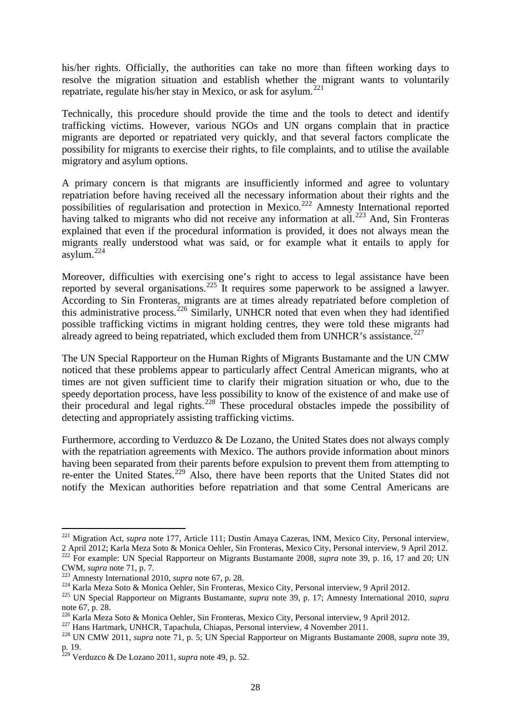his/her rights. Officially, the authorities can take no more than fifteen working days to resolve the migration situation and establish whether the migrant wants to voluntarily repatriate, regulate his/her stay in Mexico, or ask for asylum. $^{221}$  $^{221}$  $^{221}$ 

Technically, this procedure should provide the time and the tools to detect and identify trafficking victims. However, various NGOs and UN organs complain that in practice migrants are deported or repatriated very quickly, and that several factors complicate the possibility for migrants to exercise their rights, to file complaints, and to utilise the available migratory and asylum options.

A primary concern is that migrants are insufficiently informed and agree to voluntary repatriation before having received all the necessary information about their rights and the possibilities of regularisation and protection in Mexico.[222](#page-29-1) Amnesty International reported having talked to migrants who did not receive any information at all.<sup>[223](#page-29-2)</sup> And, Sin Fronteras explained that even if the procedural information is provided, it does not always mean the migrants really understood what was said, or for example what it entails to apply for asylum. $^{224}$  $^{224}$  $^{224}$ 

Moreover, difficulties with exercising one's right to access to legal assistance have been reported by several organisations.<sup>[225](#page-29-4)</sup> It requires some paperwork to be assigned a lawyer. According to Sin Fronteras, migrants are at times already repatriated before completion of this administrative process.<sup>[226](#page-29-5)</sup> Similarly, UNHCR noted that even when they had identified possible trafficking victims in migrant holding centres, they were told these migrants had already agreed to being repatriated, which excluded them from UNHCR's assistance.<sup>[227](#page-29-6)</sup>

The UN Special Rapporteur on the Human Rights of Migrants Bustamante and the UN CMW noticed that these problems appear to particularly affect Central American migrants, who at times are not given sufficient time to clarify their migration situation or who, due to the speedy deportation process, have less possibility to know of the existence of and make use of their procedural and legal rights.<sup>[228](#page-29-7)</sup> These procedural obstacles impede the possibility of detecting and appropriately assisting trafficking victims.

Furthermore, according to Verduzco & De Lozano, the United States does not always comply with the repatriation agreements with Mexico. The authors provide information about minors having been separated from their parents before expulsion to prevent them from attempting to re-enter the United States.<sup>[229](#page-29-8)</sup> Also, there have been reports that the United States did not notify the Mexican authorities before repatriation and that some Central Americans are

 $\overline{a}$ 

<span id="page-29-0"></span><sup>221</sup> Migration Act, *supra* note 177, Article 111; Dustin Amaya Cazeras, INM, Mexico City, Personal interview, 2 April 2012; Karla Meza Soto & Monica Oehler, Sin Fronteras, Mexico City, Personal interview, 9 April 2012.

<span id="page-29-1"></span><sup>&</sup>lt;sup>222</sup> For example: UN Special Rapporteur on Migrants Bustamante 2008, *supra* note 39, p. 16, 17 and 20; UN CWM, *supra* note 71, p. 7.<br><sup>223</sup> Amnesty International 2010, *supra* note 67, p. 28.<br><sup>224</sup> Karla Meza Soto & Monica Oehler, Sin Fronteras, Mexico City, Personal interview, 9 April 2012.<br><sup>225</sup> UN Special Rapporteur on Migr

<span id="page-29-2"></span>

<span id="page-29-3"></span>

<span id="page-29-4"></span>note 67, p. 28.<br><sup>226</sup> Karla Meza Soto & Monica Oehler, Sin Fronteras, Mexico City, Personal interview, 9 April 2012.

<span id="page-29-7"></span><span id="page-29-6"></span><span id="page-29-5"></span><sup>227</sup> Hans Hartmark, UNHCR, Tapachula, Chiapas, Personal interview, 4 November 2011.<br><sup>228</sup> UN CMW 2011, *supra* note 71, p. 5; UN Special Rapporteur on Migrants Bustamante 2008, *supra* note 39, p. 19.

<span id="page-29-8"></span><sup>229</sup> Verduzco & De Lozano 2011, *supra* note 49, p. 52.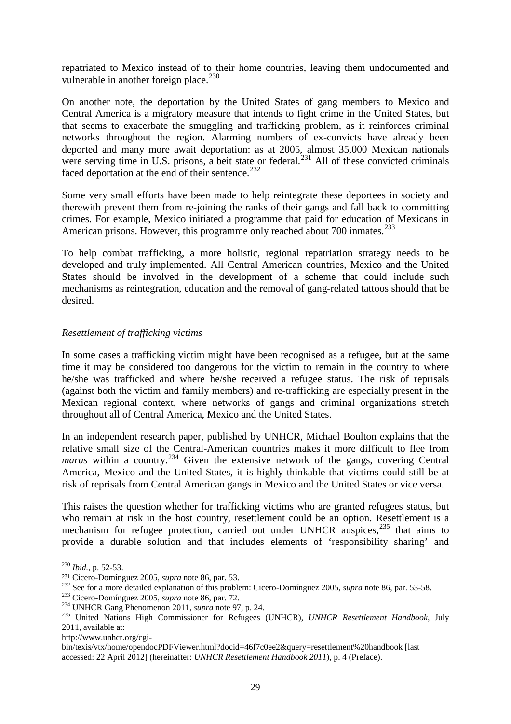repatriated to Mexico instead of to their home countries, leaving them undocumented and vulnerable in another foreign place. $^{230}$  $^{230}$  $^{230}$ 

On another note, the deportation by the United States of gang members to Mexico and Central America is a migratory measure that intends to fight crime in the United States, but that seems to exacerbate the smuggling and trafficking problem, as it reinforces criminal networks throughout the region. Alarming numbers of ex-convicts have already been deported and many more await deportation: as at 2005, almost 35,000 Mexican nationals were serving time in U.S. prisons, albeit state or federal.<sup>[231](#page-30-1)</sup> All of these convicted criminals faced deportation at the end of their sentence.<sup>[232](#page-30-2)</sup>

Some very small efforts have been made to help reintegrate these deportees in society and therewith prevent them from re-joining the ranks of their gangs and fall back to committing crimes. For example, Mexico initiated a programme that paid for education of Mexicans in American prisons. However, this programme only reached about 700 inmates.<sup>[233](#page-30-3)</sup>

To help combat trafficking, a more holistic, regional repatriation strategy needs to be developed and truly implemented. All Central American countries, Mexico and the United States should be involved in the development of a scheme that could include such mechanisms as reintegration, education and the removal of gang-related tattoos should that be desired.

# *Resettlement of trafficking victims*

In some cases a trafficking victim might have been recognised as a refugee, but at the same time it may be considered too dangerous for the victim to remain in the country to where he/she was trafficked and where he/she received a refugee status. The risk of reprisals (against both the victim and family members) and re-trafficking are especially present in the Mexican regional context, where networks of gangs and criminal organizations stretch throughout all of Central America, Mexico and the United States.

In an independent research paper, published by UNHCR, Michael Boulton explains that the relative small size of the Central-American countries makes it more difficult to flee from *maras* within a country.<sup>[234](#page-30-4)</sup> Given the extensive network of the gangs, covering Central America, Mexico and the United States, it is highly thinkable that victims could still be at risk of reprisals from Central American gangs in Mexico and the United States or vice versa.

This raises the question whether for trafficking victims who are granted refugees status, but who remain at risk in the host country, resettlement could be an option. Resettlement is a mechanism for refugee protection, carried out under UNHCR auspices,<sup>[235](#page-30-5)</sup> that aims to provide a durable solution and that includes elements of 'responsibility sharing' and

1

http://www.unhcr.org/cgi-

<span id="page-30-0"></span><sup>230</sup> *Ibid.*, p. 52-53.

<span id="page-30-3"></span>

<span id="page-30-5"></span><span id="page-30-4"></span>

<span id="page-30-2"></span><span id="page-30-1"></span><sup>&</sup>lt;sup>231</sup> Cicero-Domínguez 2005, *supra* note 86, par. 53.<br><sup>232</sup> See for a more detailed explanation of this problem: Cicero-Domínguez 2005, *supra* note 86, par. 53-58.<br><sup>233</sup> Cicero-Domínguez 2005, *supra* note 86, par. 72.<br> 2011, available at:

bin/texis/vtx/home/opendocPDFViewer.html?docid=46f7c0ee2&query=resettlement%20handbook [last accessed: 22 April 2012] (hereinafter: *UNHCR Resettlement Handbook 2011*), p. 4 (Preface).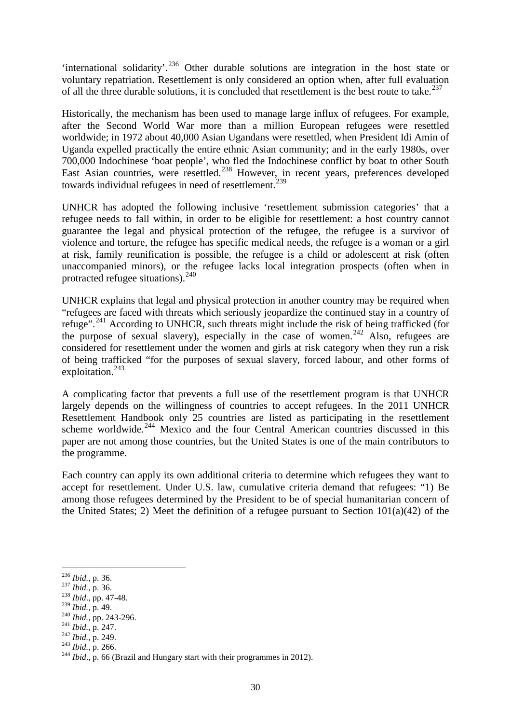'international solidarity'. [236](#page-31-0) Other durable solutions are integration in the host state or voluntary repatriation. Resettlement is only considered an option when, after full evaluation of all the three durable solutions, it is concluded that resettlement is the best route to take.<sup>[237](#page-31-1)</sup>

Historically, the mechanism has been used to manage large influx of refugees. For example, after the Second World War more than a million European refugees were resettled worldwide; in 1972 about 40,000 Asian Ugandans were resettled, when President Idi Amin of Uganda expelled practically the entire ethnic Asian community; and in the early 1980s, over 700,000 Indochinese 'boat people', who fled the Indochinese conflict by boat to other South East Asian countries, were resettled.<sup>[238](#page-31-2)</sup> However, in recent years, preferences developed towards individual refugees in need of resettlement.<sup>[239](#page-31-3)</sup>

UNHCR has adopted the following inclusive 'resettlement submission categories' that a refugee needs to fall within, in order to be eligible for resettlement: a host country cannot guarantee the legal and physical protection of the refugee, the refugee is a survivor of violence and torture, the refugee has specific medical needs, the refugee is a woman or a girl at risk, family reunification is possible, the refugee is a child or adolescent at risk (often unaccompanied minors), or the refugee lacks local integration prospects (often when in protracted refugee situations).<sup>[240](#page-31-4)</sup>

UNHCR explains that legal and physical protection in another country may be required when "refugees are faced with threats which seriously jeopardize the continued stay in a country of refuge".<sup>[241](#page-31-5)</sup> According to UNHCR, such threats might include the risk of being trafficked (for the purpose of sexual slavery), especially in the case of women.<sup>[242](#page-31-6)</sup> Also, refugees are considered for resettlement under the women and girls at risk category when they run a risk of being trafficked "for the purposes of sexual slavery, forced labour, and other forms of exploitation. $^{243}$  $^{243}$  $^{243}$ 

A complicating factor that prevents a full use of the resettlement program is that UNHCR largely depends on the willingness of countries to accept refugees. In the 2011 UNHCR Resettlement Handbook only 25 countries are listed as participating in the resettlement scheme worldwide.<sup>[244](#page-31-8)</sup> Mexico and the four Central American countries discussed in this paper are not among those countries, but the United States is one of the main contributors to the programme.

Each country can apply its own additional criteria to determine which refugees they want to accept for resettlement. Under U.S. law, cumulative criteria demand that refugees: "1) Be among those refugees determined by the President to be of special humanitarian concern of the United States; 2) Meet the definition of a refugee pursuant to Section  $101(a)(42)$  of the

- 
- 
- 
- <span id="page-31-7"></span><span id="page-31-6"></span>
- <span id="page-31-8"></span>

<span id="page-31-0"></span><sup>&</sup>lt;sup>236</sup> Ibid., p. 36.

<span id="page-31-2"></span><span id="page-31-1"></span><sup>236</sup> *Ibid.*, p. 36. 237 *Ibid.*, p. 36. 238 *Ibid*., pp. 47-48.

<span id="page-31-5"></span><span id="page-31-4"></span><span id="page-31-3"></span><sup>&</sup>lt;sup>240</sup> *Ibid.*, pp. 243-296.<br>
<sup>241</sup> *Ibid.*, p. 247.<br>
<sup>242</sup> *Ibid.*, p. 249.<br>
<sup>243</sup> *Ibid.*, p. 266.<br>
<sup>244</sup> *Ibid.*, p. 66 (Brazil and Hungary start with their programmes in 2012).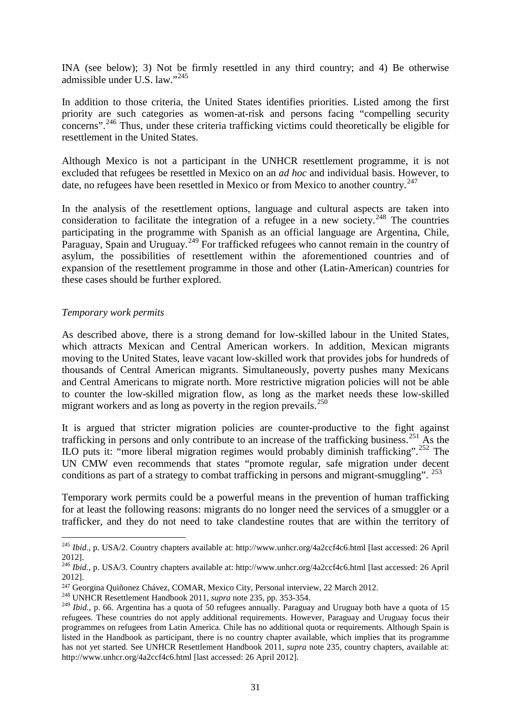INA (see below); 3) Not be firmly resettled in any third country; and 4) Be otherwise admissible under U.S. law."[245](#page-32-0)

In addition to those criteria, the United States identifies priorities. Listed among the first priority are such categories as women-at-risk and persons facing "compelling security concerns".<sup>[246](#page-32-1)</sup> Thus, under these criteria trafficking victims could theoretically be eligible for resettlement in the United States.

Although Mexico is not a participant in the UNHCR resettlement programme, it is not excluded that refugees be resettled in Mexico on an *ad hoc* and individual basis. However, to date, no refugees have been resettled in Mexico or from Mexico to another country.<sup>[247](#page-32-2)</sup>

In the analysis of the resettlement options, language and cultural aspects are taken into consideration to facilitate the integration of a refugee in a new society.<sup>[248](#page-32-3)</sup> The countries participating in the programme with Spanish as an official language are Argentina, Chile, Paraguay, Spain and Uruguay.<sup>[249](#page-32-4)</sup> For trafficked refugees who cannot remain in the country of asylum, the possibilities of resettlement within the aforementioned countries and of expansion of the resettlement programme in those and other (Latin-American) countries for these cases should be further explored.

# *Temporary work permits*

 $\ddot{\phantom{a}}$ 

As described above, there is a strong demand for low-skilled labour in the United States, which attracts Mexican and Central American workers. In addition, Mexican migrants moving to the United States, leave vacant low-skilled work that provides jobs for hundreds of thousands of Central American migrants. Simultaneously, poverty pushes many Mexicans and Central Americans to migrate north. More restrictive migration policies will not be able to counter the low-skilled migration flow, as long as the market needs these low-skilled migrant workers and as long as poverty in the region prevails.<sup>[250](#page-32-5)</sup>

<span id="page-32-8"></span><span id="page-32-7"></span><span id="page-32-6"></span><span id="page-32-5"></span>It is argued that stricter migration policies are counter-productive to the fight against trafficking in persons and only contribute to an increase of the trafficking business.<sup>[251](#page-32-6)</sup> As the ILO puts it: "more liberal migration regimes would probably diminish trafficking".<sup>[252](#page-32-7)</sup> The UN CMW even recommends that states "promote regular, safe migration under decent conditions as part of a strategy to combat trafficking in persons and migrant-smuggling". <sup>[253](#page-32-8)</sup>

Temporary work permits could be a powerful means in the prevention of human trafficking for at least the following reasons: migrants do no longer need the services of a smuggler or a trafficker, and they do not need to take clandestine routes that are within the territory of

<span id="page-32-0"></span><sup>245</sup> *Ibid*., p. USA/2. Country chapters available at: http://www.unhcr.org/4a2ccf4c6.html [last accessed: 26 April 2012].

<span id="page-32-1"></span><sup>246</sup> *Ibid.*, p. USA/3. Country chapters available at: http://www.unhcr.org/4a2ccf4c6.html [last accessed: 26 April 2012].

<span id="page-32-2"></span><sup>247</sup> Georgina Quiñonez Chávez, COMAR, Mexico City, Personal interview, 22 March 2012.

<span id="page-32-3"></span><sup>248</sup> UNHCR Resettlement Handbook 2011, *supra* note 235, pp. 353-354.

<span id="page-32-4"></span><sup>&</sup>lt;sup>249</sup> *Ibid.*, p. 66. Argentina has a quota of 50 refugees annually. Paraguay and Uruguay both have a quota of 15 refugees. These countries do not apply additional requirements. However, Paraguay and Uruguay focus their programmes on refugees from Latin America. Chile has no additional quota or requirements. Although Spain is listed in the Handbook as participant, there is no country chapter available, which implies that its programme has not yet started. See UNHCR Resettlement Handbook 2011, *supra* note 235, country chapters, available at: http://www.unhcr.org/4a2ccf4c6.html [last accessed: 26 April 2012].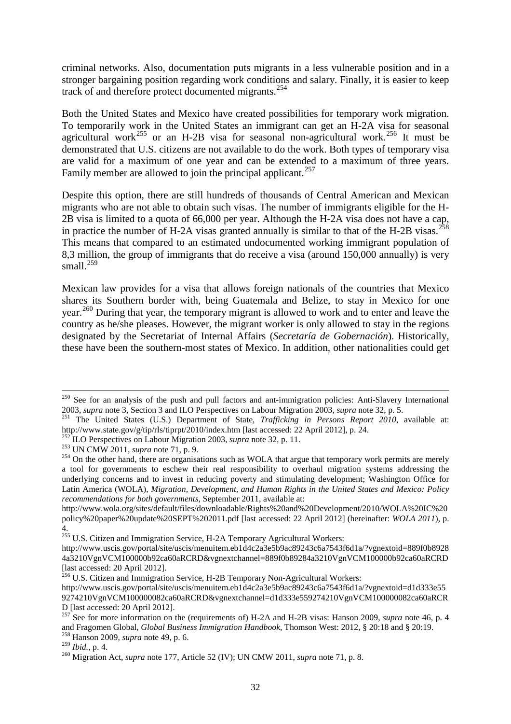criminal networks. Also, documentation puts migrants in a less vulnerable position and in a stronger bargaining position regarding work conditions and salary. Finally, it is easier to keep track of and therefore protect documented migrants.[254](#page-33-0)

Both the United States and Mexico have created possibilities for temporary work migration. To temporarily work in the United States an immigrant can get an H-2A visa for seasonal agricultural work<sup>[255](#page-33-1)</sup> or an H-2B visa for seasonal non-agricultural work.<sup>[256](#page-33-2)</sup> It must be demonstrated that U.S. citizens are not available to do the work. Both types of temporary visa are valid for a maximum of one year and can be extended to a maximum of three years. Family member are allowed to join the principal applicant.<sup>[257](#page-33-3)</sup>

Despite this option, there are still hundreds of thousands of Central American and Mexican migrants who are not able to obtain such visas. The number of immigrants eligible for the H-2B visa is limited to a quota of 66,000 per year. Although the H-2A visa does not have a cap, in practice the number of H-2A visas granted annually is similar to that of the H-2B visas.<sup>[258](#page-33-4)</sup> This means that compared to an estimated undocumented working immigrant population of 8,3 million, the group of immigrants that do receive a visa (around 150,000 annually) is very small. $^{259}$  $^{259}$  $^{259}$ 

Mexican law provides for a visa that allows foreign nationals of the countries that Mexico shares its Southern border with, being Guatemala and Belize, to stay in Mexico for one year.<sup>[260](#page-33-6)</sup> During that year, the temporary migrant is allowed to work and to enter and leave the country as he/she pleases. However, the migrant worker is only allowed to stay in the regions designated by the Secretariat of Internal Affairs (*Secretaría de Gobernación*). Historically, these have been the southern-most states of Mexico. In addition, other nationalities could get

<sup>&</sup>lt;sup>250</sup> See for an analysis of the push and pull factors and ant-immigration policies: Anti-Slavery International 2003, *supra* note 3, Section 3 and ILO Perspectives on Labour Migration 2003, *supra* note 32, p. 5.

<sup>251</sup> The United States (U.S.) Department of State, *Trafficking in Persons Report 2010*, available at: http://www.state.gov/g/tip/rls/tiprpt/2010/index.htm [last accessed: 22 April 2012], p. 24.<br><sup>252</sup> ILO Perspectives on Labour Migration 2003, *supra* note 32, p. 11.<br><sup>253</sup> UN CMW 2011, *supra* note 71, p. 9.<br><sup>254</sup> On the o

<span id="page-33-0"></span>a tool for governments to eschew their real responsibility to overhaul migration systems addressing the underlying concerns and to invest in reducing poverty and stimulating development; Washington Office for Latin America (WOLA), *Migration, Development, and Human Rights in the United States and Mexico: Policy recommendations for both governments*, September 2011, available at:

http://www.wola.org/sites/default/files/downloadable/Rights%20and%20Development/2010/WOLA%20IC%20 policy%20paper%20update%20SEPT%202011.pdf [last accessed: 22 April 2012] (hereinafter: *WOLA 2011*), p. 4.

<sup>&</sup>lt;sup>255</sup> U.S. Citizen and Immigration Service, H-2A Temporary Agricultural Workers:

<span id="page-33-1"></span>http://www.uscis.gov/portal/site/uscis/menuitem.eb1d4c2a3e5b9ac89243c6a7543f6d1a/?vgnextoid=889f0b8928 4a3210VgnVCM100000b92ca60aRCRD&vgnextchannel=889f0b89284a3210VgnVCM100000b92ca60aRCRD [last accessed: 20 April 2012].

<span id="page-33-2"></span><sup>&</sup>lt;sup>256</sup> U.S. Citizen and Immigration Service, H-2B Temporary Non-Agricultural Workers:

http://www.uscis.gov/portal/site/uscis/menuitem.eb1d4c2a3e5b9ac89243c6a7543f6d1a/?vgnextoid=d1d333e55 9274210VgnVCM100000082ca60aRCRD&vgnextchannel=d1d333e559274210VgnVCM100000082ca60aRCR D [last accessed: 20 April 2012].

<span id="page-33-3"></span><sup>&</sup>lt;sup>257</sup> See for more information on the (requirements of) H-2A and H-2B visas: Hanson 2009, *supra* note 46, p. 4 and Fragomen Global, *Global Business Immigration Handbook*, Thomson West: 2012, § 20:18 and § 20:19. <sup>258</sup> Hanson 2009, *supra* note 49, p. 6.

<span id="page-33-4"></span>

<span id="page-33-5"></span>

<span id="page-33-6"></span><sup>&</sup>lt;sup>260</sup> Migration Act, *supra* note 177, Article 52 (IV); UN CMW 2011, *supra* note 71, p. 8.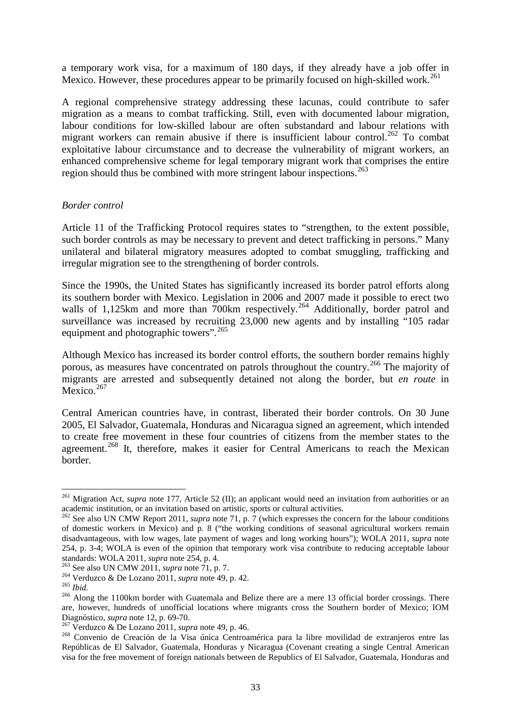a temporary work visa, for a maximum of 180 days, if they already have a job offer in Mexico. However, these procedures appear to be primarily focused on high-skilled work.<sup>[261](#page-34-0)</sup>

A regional comprehensive strategy addressing these lacunas, could contribute to safer migration as a means to combat trafficking. Still, even with documented labour migration, labour conditions for low-skilled labour are often substandard and labour relations with migrant workers can remain abusive if there is insufficient labour control.<sup>[262](#page-34-1)</sup> To combat exploitative labour circumstance and to decrease the vulnerability of migrant workers, an enhanced comprehensive scheme for legal temporary migrant work that comprises the entire region should thus be combined with more stringent labour inspections.<sup>[263](#page-34-2)</sup>

## *Border control*

Article 11 of the Trafficking Protocol requires states to "strengthen, to the extent possible, such border controls as may be necessary to prevent and detect trafficking in persons." Many unilateral and bilateral migratory measures adopted to combat smuggling, trafficking and irregular migration see to the strengthening of border controls.

Since the 1990s, the United States has significantly increased its border patrol efforts along its southern border with Mexico. Legislation in 2006 and 2007 made it possible to erect two walls of 1,125km and more than 700km respectively.<sup>[264](#page-34-3)</sup> Additionally, border patrol and surveillance was increased by recruiting 23,000 new agents and by installing "105 radar equipment and photographic towers".<sup>[265](#page-34-4)</sup>

Although Mexico has increased its border control efforts, the southern border remains highly porous, as measures have concentrated on patrols throughout the country.[266](#page-34-5) The majority of migrants are arrested and subsequently detained not along the border, but *en route* in Mexico.<sup>[267](#page-34-6)</sup>

Central American countries have, in contrast, liberated their border controls. On 30 June 2005, El Salvador, Guatemala, Honduras and Nicaragua signed an agreement, which intended to create free movement in these four countries of citizens from the member states to the agreement.<sup>[268](#page-34-7)</sup> It, therefore, makes it easier for Central Americans to reach the Mexican border.

<span id="page-34-0"></span><sup>261</sup> Migration Act, *supra* note 177, Article 52 (II); an applicant would need an invitation from authorities or an academic institution, or an invitation based on artistic, sports or cultural activities.

<span id="page-34-1"></span><sup>&</sup>lt;sup>262</sup> See also UN CMW Report 2011, *supra* note 71, p. 7 (which expresses the concern for the labour conditions of domestic workers in Mexico) and p. 8 ("the working conditions of seasonal agricultural workers remain disadvantageous, with low wages, late payment of wages and long working hours"); WOLA 2011, *supra* note 254, p. 3-4; WOLA is even of the opinion that temporary work visa contribute to reducing acceptable labour standards: WOLA 2011, *supra* note 254, p. 4.<br><sup>263</sup> See also UN CMW 2011, *supra* note 71, p. 7.

<span id="page-34-5"></span><span id="page-34-4"></span>

<span id="page-34-3"></span><span id="page-34-2"></span><sup>&</sup>lt;sup>264</sup> Verduzco & De Lozano 2011, *supra* note 49, p. 42.<br><sup>265</sup> *Ibid.*<br><sup>266</sup> Along the 1100km border with Guatemala and Belize there are a mere 13 official border crossings. There are, however, hundreds of unofficial locations where migrants cross the Southern border of Mexico; IOM Diagnóstico, *supra* note 12, p. 69-70.

<span id="page-34-7"></span><span id="page-34-6"></span><sup>&</sup>lt;sup>267</sup> Verduzco & De Lozano 2011, *supra* note 49, p. 46.<br><sup>268</sup> Convenio de Creación de la Visa única Centroamérica para la libre movilidad de extranjeros entre las Repúblicas de El Salvador, Guatemala, Honduras y Nicaragua (Covenant creating a single Central American visa for the free movement of foreign nationals between de Republics of El Salvador, Guatemala, Honduras and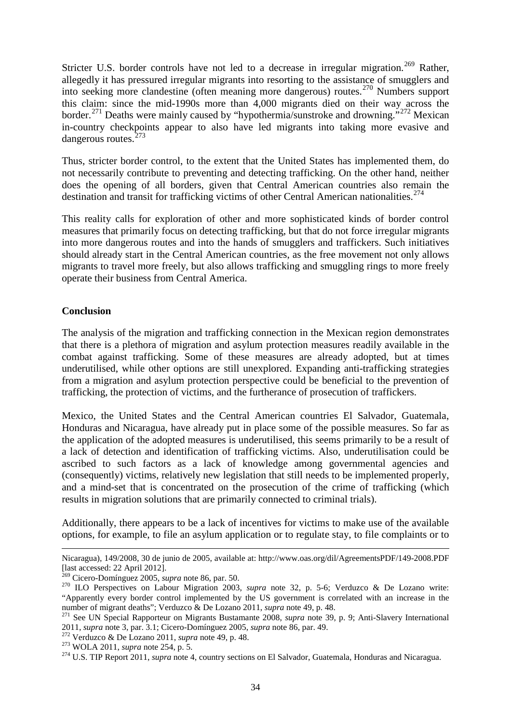Stricter U.S. border controls have not led to a decrease in irregular migration.<sup>[269](#page-35-0)</sup> Rather, allegedly it has pressured irregular migrants into resorting to the assistance of smugglers and into seeking more clandestine (often meaning more dangerous) routes.[270](#page-35-1) Numbers support this claim: since the mid-1990s more than 4,000 migrants died on their way across the border.<sup>[271](#page-35-2)</sup> Deaths were mainly caused by "hypothermia/sunstroke and drowning."<sup>[272](#page-35-3)</sup> Mexican in-country checkpoints appear to also have led migrants into taking more evasive and dangerous routes.[273](#page-35-4)

Thus, stricter border control, to the extent that the United States has implemented them, do not necessarily contribute to preventing and detecting trafficking. On the other hand, neither does the opening of all borders, given that Central American countries also remain the destination and transit for trafficking victims of other Central American nationalities.<sup>[274](#page-35-5)</sup>

This reality calls for exploration of other and more sophisticated kinds of border control measures that primarily focus on detecting trafficking, but that do not force irregular migrants into more dangerous routes and into the hands of smugglers and traffickers. Such initiatives should already start in the Central American countries, as the free movement not only allows migrants to travel more freely, but also allows trafficking and smuggling rings to more freely operate their business from Central America.

# **Conclusion**

 $\ddot{\phantom{a}}$ 

The analysis of the migration and trafficking connection in the Mexican region demonstrates that there is a plethora of migration and asylum protection measures readily available in the combat against trafficking. Some of these measures are already adopted, but at times underutilised, while other options are still unexplored. Expanding anti-trafficking strategies from a migration and asylum protection perspective could be beneficial to the prevention of trafficking, the protection of victims, and the furtherance of prosecution of traffickers.

Mexico, the United States and the Central American countries El Salvador, Guatemala, Honduras and Nicaragua, have already put in place some of the possible measures. So far as the application of the adopted measures is underutilised, this seems primarily to be a result of a lack of detection and identification of trafficking victims. Also, underutilisation could be ascribed to such factors as a lack of knowledge among governmental agencies and (consequently) victims, relatively new legislation that still needs to be implemented properly, and a mind-set that is concentrated on the prosecution of the crime of trafficking (which results in migration solutions that are primarily connected to criminal trials).

Additionally, there appears to be a lack of incentives for victims to make use of the available options, for example, to file an asylum application or to regulate stay, to file complaints or to

Nicaragua), 149/2008, 30 de junio de 2005, available at: http://www.oas.org/dil/AgreementsPDF/149-2008.PDF [last accessed: 22 April 2012].<br> $\frac{269}{269}$  Cicero-Domínguez 2005, *supra* note 86, par. 50.

<span id="page-35-1"></span><span id="page-35-0"></span><sup>&</sup>lt;sup>270</sup> ILO Perspectives on Labour Migration 2003, *supra* note 32, p. 5-6; Verduzco & De Lozano write: "Apparently every border control implemented by the US government is correlated with an increase in the number of migrant deaths"; Verduzco & De Lozano 2011, *supra* note 49, p. 48.

<span id="page-35-2"></span><sup>&</sup>lt;sup>271</sup> See UN Special Rapporteur on Migrants Bustamante 2008, *supra* note 39, p. 9; Anti-Slavery International 2011, *supra* note 3, par. 3.1; Cicero-Domínguez 2005, *supra* note 86, par. 49.

<span id="page-35-5"></span><span id="page-35-4"></span>

<span id="page-35-3"></span><sup>&</sup>lt;sup>272</sup> Verduzco & De Lozano 2011, *supra* note 49, p. 48.<br><sup>273</sup> WOLA 2011, *supra* note 254, p. 5.<br><sup>274</sup> U.S. TIP Report 2011, *supra* note 4, country sections on El Salvador, Guatemala, Honduras and Nicaragua.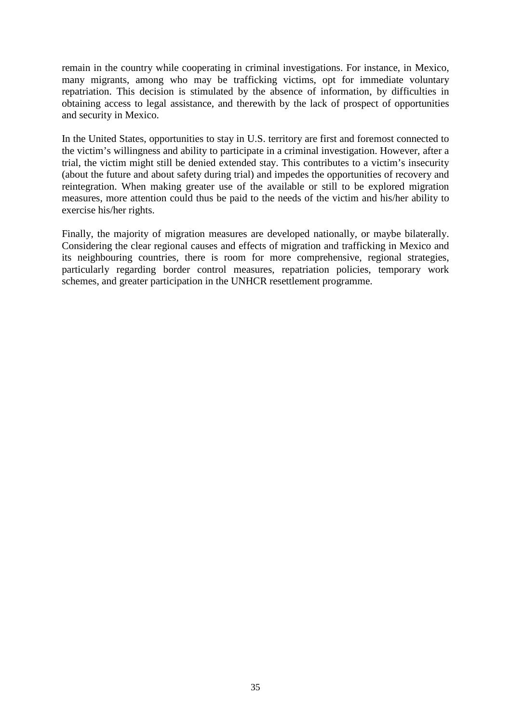remain in the country while cooperating in criminal investigations. For instance, in Mexico, many migrants, among who may be trafficking victims, opt for immediate voluntary repatriation. This decision is stimulated by the absence of information, by difficulties in obtaining access to legal assistance, and therewith by the lack of prospect of opportunities and security in Mexico.

In the United States, opportunities to stay in U.S. territory are first and foremost connected to the victim's willingness and ability to participate in a criminal investigation. However, after a trial, the victim might still be denied extended stay. This contributes to a victim's insecurity (about the future and about safety during trial) and impedes the opportunities of recovery and reintegration. When making greater use of the available or still to be explored migration measures, more attention could thus be paid to the needs of the victim and his/her ability to exercise his/her rights.

Finally, the majority of migration measures are developed nationally, or maybe bilaterally. Considering the clear regional causes and effects of migration and trafficking in Mexico and its neighbouring countries, there is room for more comprehensive, regional strategies, particularly regarding border control measures, repatriation policies, temporary work schemes, and greater participation in the UNHCR resettlement programme.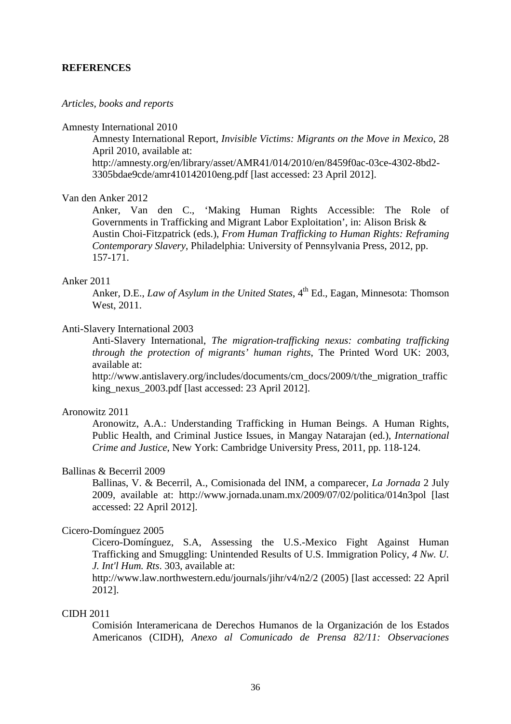## **REFERENCES**

#### *Articles, books and reports*

#### Amnesty International 2010

Amnesty International Report, *Invisible Victims: Migrants on the Move in Mexico*, 28 April 2010, available at:

http://amnesty.org/en/library/asset/AMR41/014/2010/en/8459f0ac-03ce-4302-8bd2- 3305bdae9cde/amr410142010eng.pdf [last accessed: 23 April 2012].

#### Van den Anker 2012

Anker, Van den C., 'Making Human Rights Accessible: The Role of Governments in Trafficking and Migrant Labor Exploitation', in: Alison Brisk & Austin Choi-Fitzpatrick (eds.), *From Human Trafficking to Human Rights: Reframing Contemporary Slavery*, Philadelphia: University of Pennsylvania Press, 2012, pp. 157-171.

## Anker 2011

Anker, D.E., *Law of Asylum in the United States*, 4<sup>th</sup> Ed., Eagan, Minnesota: Thomson West, 2011.

## Anti-Slavery International 2003

Anti-Slavery International, *The migration-trafficking nexus: combating trafficking through the protection of migrants' human rights*, The Printed Word UK: 2003, available at:

http://www.antislavery.org/includes/documents/cm\_docs/2009/t/the\_migration\_traffic king\_nexus\_2003.pdf [last accessed: 23 April 2012].

### Aronowitz 2011

Aronowitz, A.A.: Understanding Trafficking in Human Beings. A Human Rights, Public Health, and Criminal Justice Issues, in Mangay Natarajan (ed.), *International Crime and Justice*, New York: Cambridge University Press, 2011, pp. 118-124.

#### Ballinas & Becerril 2009

Ballinas, V. & Becerril, A., Comisionada del INM, a comparecer, *La Jornada* 2 July 2009, available at: http://www.jornada.unam.mx/2009/07/02/politica/014n3pol [last accessed: 22 April 2012].

#### Cicero-Domínguez 2005

Cicero-Domínguez, S.A, Assessing the U.S.-Mexico Fight Against Human Trafficking and Smuggling: Unintended Results of U.S. Immigration Policy, *4 Nw. U. J. Int'l Hum. Rts*. 303, available at:

http://www.law.northwestern.edu/journals/jihr/v4/n2/2 (2005) [last accessed: 22 April 2012].

#### CIDH 2011

Comisión Interamericana de Derechos Humanos de la Organización de los Estados Americanos (CIDH), *Anexo al Comunicado de Prensa 82/11: Observaciones*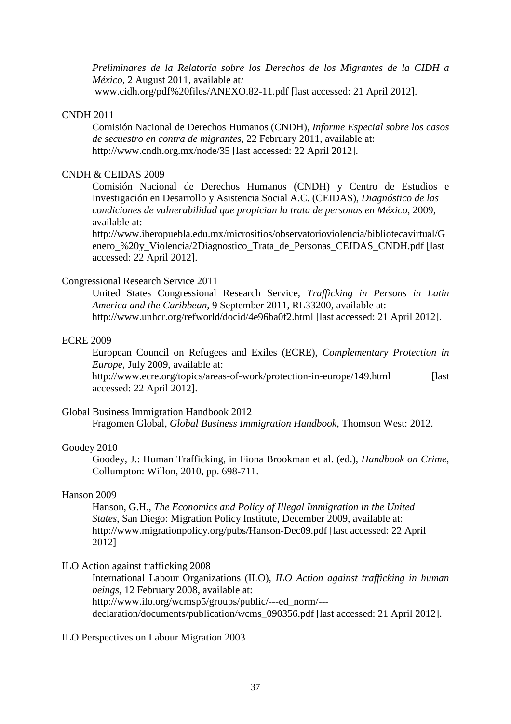*Preliminares de la Relatoría sobre los Derechos de los Migrantes de la CIDH a México*, 2 August 2011, available at*:*

www.cidh.org/pdf%20files/ANEXO.82-11.pdf [last accessed: 21 April 2012].

### CNDH 2011

Comisión Nacional de Derechos Humanos (CNDH), *Informe Especial sobre los casos de secuestro en contra de migrantes*, 22 February 2011, available at: http://www.cndh.org.mx/node/35 [last accessed: 22 April 2012].

# CNDH & CEIDAS 2009

Comisión Nacional de Derechos Humanos (CNDH) y Centro de Estudios e Investigación en Desarrollo y Asistencia Social A.C. (CEIDAS), *Diagnóstico de las condiciones de vulnerabilidad que propician la trata de personas en México*, 2009, available at:

http://www.iberopuebla.edu.mx/micrositios/observatorioviolencia/bibliotecavirtual/G enero\_%20y\_Violencia/2Diagnostico\_Trata\_de\_Personas\_CEIDAS\_CNDH.pdf [last accessed: 22 April 2012].

#### Congressional Research Service 2011

United States Congressional Research Service, *Trafficking in Persons in Latin America and the Caribbean*, 9 September 2011, RL33200, available at: http://www.unhcr.org/refworld/docid/4e96ba0f2.html [last accessed: 21 April 2012].

#### ECRE 2009

European Council on Refugees and Exiles (ECRE), *Complementary Protection in Europe*, July 2009, available at:

http://www.ecre.org/topics/areas-of-work/protection-in-europe/149.html [last] accessed: 22 April 2012].

### Global Business Immigration Handbook 2012

Fragomen Global, *Global Business Immigration Handbook*, Thomson West: 2012.

# Goodey 2010

Goodey, J.: Human Trafficking, in Fiona Brookman et al. (ed.), *Handbook on Crime*, Collumpton: Willon, 2010, pp. 698-711.

#### Hanson 2009

Hanson, G.H., *The Economics and Policy of Illegal Immigration in the United States*, San Diego: Migration Policy Institute, December 2009, available at: http://www.migrationpolicy.org/pubs/Hanson-Dec09.pdf [last accessed: 22 April 2012]

## ILO Action against trafficking 2008

International Labour Organizations (ILO), *ILO Action against trafficking in human beings*, 12 February 2008, available at: http://www.ilo.org/wcmsp5/groups/public/---ed\_norm/-- declaration/documents/publication/wcms\_090356.pdf [last accessed: 21 April 2012].

## ILO Perspectives on Labour Migration 2003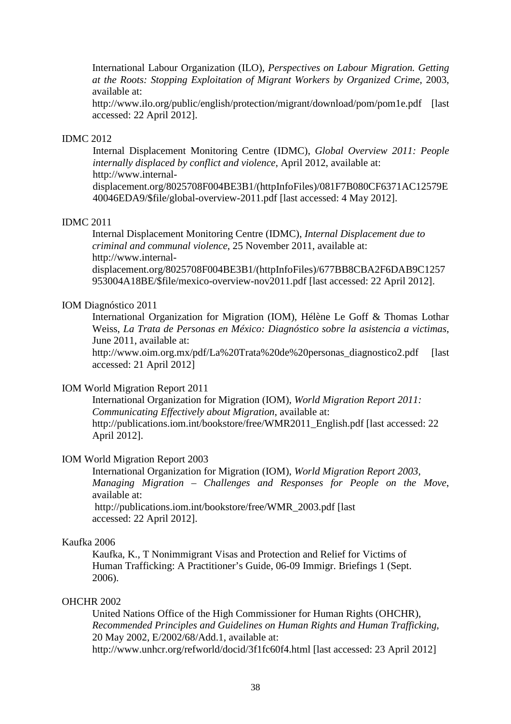International Labour Organization (ILO), *Perspectives on Labour Migration. Getting at the Roots: Stopping Exploitation of Migrant Workers by Organized Crime*, 2003, available at:

http://www.ilo.org/public/english/protection/migrant/download/pom/pom1e.pdf [last accessed: 22 April 2012].

## IDMC 2012

Internal Displacement Monitoring Centre (IDMC), *Global Overview 2011: People internally displaced by conflict and violence*, April 2012, available at: http://www.internal-

displacement.org/8025708F004BE3B1/(httpInfoFiles)/081F7B080CF6371AC12579E 40046EDA9/\$file/global-overview-2011.pdf [last accessed: 4 May 2012].

## IDMC 2011

Internal Displacement Monitoring Centre (IDMC), *Internal Displacement due to criminal and communal violence*, 25 November 2011, available at: http://www.internal-

displacement.org/8025708F004BE3B1/(httpInfoFiles)/677BB8CBA2F6DAB9C1257 953004A18BE/\$file/mexico-overview-nov2011.pdf [last accessed: 22 April 2012].

## IOM Diagnóstico 2011

International Organization for Migration (IOM), Hélène Le Goff & Thomas Lothar Weiss, *La Trata de Personas en México: Diagnóstico sobre la asistencia a victimas*, June 2011, available at:

http://www.oim.org.mx/pdf/La%20Trata%20de%20personas\_diagnostico2.pdf [last accessed: 21 April 2012]

#### IOM World Migration Report 2011

International Organization for Migration (IOM), *World Migration Report 2011: Communicating Effectively about Migration*, available at: http://publications.iom.int/bookstore/free/WMR2011\_English.pdf [last accessed: 22 April 2012].

#### IOM World Migration Report 2003

International Organization for Migration (IOM), *World Migration Report 2003, Managing Migration – Challenges and Responses for People on the Move*, available at: http://publications.iom.int/bookstore/free/WMR\_2003.pdf [last

accessed: 22 April 2012].

# Kaufka 2006

Kaufka, K., T Nonimmigrant Visas and Protection and Relief for Victims of Human Trafficking: A Practitioner's Guide, 06-09 Immigr. Briefings 1 (Sept. 2006).

#### OHCHR 2002

United Nations Office of the High Commissioner for Human Rights (OHCHR), *Recommended Principles and Guidelines on Human Rights and Human Trafficking*, 20 May 2002, E/2002/68/Add.1, available at: http://www.unhcr.org/refworld/docid/3f1fc60f4.html [last accessed: 23 April 2012]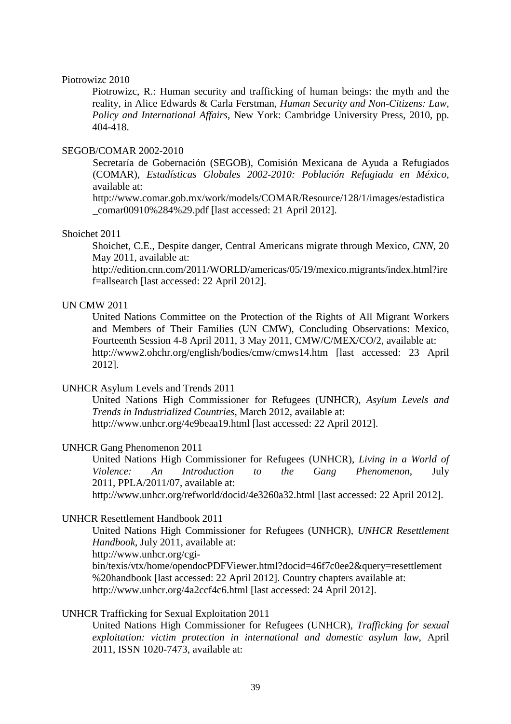#### Piotrowizc 2010

Piotrowizc, R.: Human security and trafficking of human beings: the myth and the reality, in Alice Edwards & Carla Ferstman, *Human Security and Non-Citizens: Law, Policy and International Affairs*, New York: Cambridge University Press, 2010, pp. 404-418.

#### SEGOB/COMAR 2002-2010

Secretaría de Gobernación (SEGOB), Comisión Mexicana de Ayuda a Refugiados (COMAR), *Estadísticas Globales 2002-2010: Población Refugiada en México*, available at:

http://www.comar.gob.mx/work/models/COMAR/Resource/128/1/images/estadistica \_comar00910%284%29.pdf [last accessed: 21 April 2012].

#### Shoichet 2011

Shoichet, C.E., Despite danger, Central Americans migrate through Mexico, *CNN*, 20 May 2011, available at:

http://edition.cnn.com/2011/WORLD/americas/05/19/mexico.migrants/index.html?ire f=allsearch [last accessed: 22 April 2012].

# UN CMW 2011

United Nations Committee on the Protection of the Rights of All Migrant Workers and Members of Their Families (UN CMW), Concluding Observations: Mexico, Fourteenth Session 4-8 April 2011, 3 May 2011, CMW/C/MEX/CO/2, available at: http://www2.ohchr.org/english/bodies/cmw/cmws14.htm [last accessed: 23 April 2012].

#### UNHCR Asylum Levels and Trends 2011

United Nations High Commissioner for Refugees (UNHCR), *Asylum Levels and Trends in Industrialized Countries*, March 2012, available at: http://www.unhcr.org/4e9beaa19.html [last accessed: 22 April 2012].

# UNHCR Gang Phenomenon 2011

United Nations High Commissioner for Refugees (UNHCR), *Living in a World of Violence: An Introduction to the Gang Phenomenon*, July 2011, PPLA/2011/07, available at: http://www.unhcr.org/refworld/docid/4e3260a32.html [last accessed: 22 April 2012].

#### UNHCR Resettlement Handbook 2011

United Nations High Commissioner for Refugees (UNHCR), *UNHCR Resettlement Handbook*, July 2011, available at:

http://www.unhcr.org/cgi-

bin/texis/vtx/home/opendocPDFViewer.html?docid=46f7c0ee2&query=resettlement %20handbook [last accessed: 22 April 2012]. Country chapters available at: http://www.unhcr.org/4a2ccf4c6.html [last accessed: 24 April 2012].

#### UNHCR Trafficking for Sexual Exploitation 2011

United Nations High Commissioner for Refugees (UNHCR), *Trafficking for sexual exploitation: victim protection in international and domestic asylum law*, April 2011, ISSN 1020-7473, available at: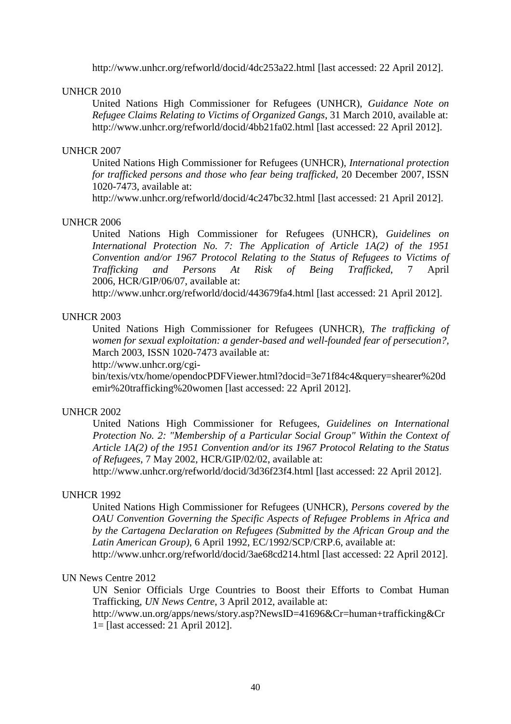http://www.unhcr.org/refworld/docid/4dc253a22.html [last accessed: 22 April 2012].

# UNHCR 2010

United Nations High Commissioner for Refugees (UNHCR), *Guidance Note on Refugee Claims Relating to Victims of Organized Gangs*, 31 March 2010, available at: http://www.unhcr.org/refworld/docid/4bb21fa02.html [last accessed: 22 April 2012].

## UNHCR 2007

United Nations High Commissioner for Refugees (UNHCR), *International protection for trafficked persons and those who fear being trafficked*, 20 December 2007, ISSN 1020-7473, available at:

http://www.unhcr.org/refworld/docid/4c247bc32.html [last accessed: 21 April 2012].

#### UNHCR 2006

United Nations High Commissioner for Refugees (UNHCR), *Guidelines on International Protection No. 7: The Application of Article 1A(2) of the 1951 Convention and/or 1967 Protocol Relating to the Status of Refugees to Victims of of Being Trafficked*, 7 April 2006, HCR/GIP/06/07, available at:

http://www.unhcr.org/refworld/docid/443679fa4.html [last accessed: 21 April 2012].

# UNHCR 2003

United Nations High Commissioner for Refugees (UNHCR), *The trafficking of women for sexual exploitation: a gender-based and well-founded fear of persecution?,* March 2003, ISSN 1020-7473 available at:

http://www.unhcr.org/cgi-

bin/texis/vtx/home/opendocPDFViewer.html?docid=3e71f84c4&query=shearer%20d emir%20trafficking%20women [last accessed: 22 April 2012].

# UNHCR 2002

United Nations High Commissioner for Refugees, *Guidelines on International Protection No. 2: "Membership of a Particular Social Group" Within the Context of Article 1A(2) of the 1951 Convention and/or its 1967 Protocol Relating to the Status of Refugees*, 7 May 2002, HCR/GIP/02/02, available at:

http://www.unhcr.org/refworld/docid/3d36f23f4.html [last accessed: 22 April 2012].

#### UNHCR 1992

United Nations High Commissioner for Refugees (UNHCR), *Persons covered by the OAU Convention Governing the Specific Aspects of Refugee Problems in Africa and by the Cartagena Declaration on Refugees (Submitted by the African Group and the Latin American Group)*, 6 April 1992, EC/1992/SCP/CRP.6, available at:

http://www.unhcr.org/refworld/docid/3ae68cd214.html [last accessed: 22 April 2012].

# UN News Centre 2012

UN Senior Officials Urge Countries to Boost their Efforts to Combat Human Trafficking, *UN News Centre*, 3 April 2012, available at:

http://www.un.org/apps/news/story.asp?NewsID=41696&Cr=human+trafficking&Cr 1= [last accessed: 21 April 2012].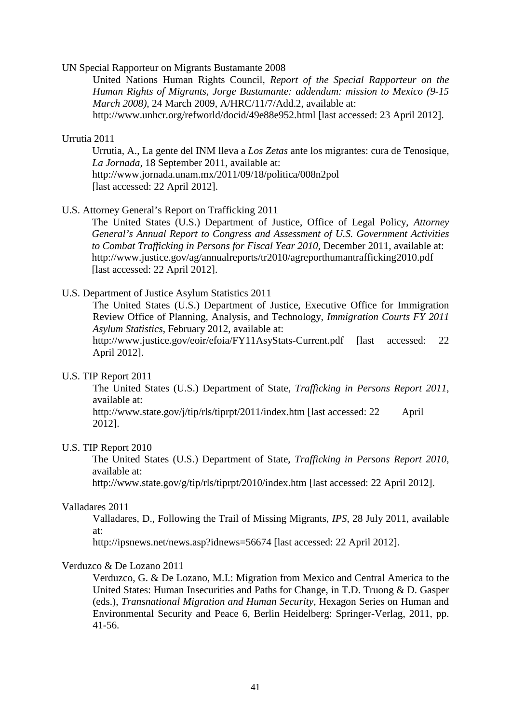#### UN Special Rapporteur on Migrants Bustamante 2008

United Nations Human Rights Council, *Report of the Special Rapporteur on the Human Rights of Migrants, Jorge Bustamante: addendum: mission to Mexico (9-15 March 2008)*, 24 March 2009, A/HRC/11/7/Add.2, available at: http://www.unhcr.org/refworld/docid/49e88e952.html [last accessed: 23 April 2012].

#### Urrutia 2011

Urrutia, A., La gente del INM lleva a *Los Zetas* ante los migrantes: cura de Tenosique, *La Jornada,* 18 September 2011, available at: http://www.jornada.unam.mx/2011/09/18/politica/008n2pol [last accessed: 22 April 2012].

#### U.S. Attorney General's Report on Trafficking 2011

The United States (U.S.) Department of Justice, Office of Legal Policy, *Attorney General's Annual Report to Congress and Assessment of U.S. Government Activities to Combat Trafficking in Persons for Fiscal Year 2010,* December 2011, available at: http://www.justice.gov/ag/annualreports/tr2010/agreporthumantrafficking2010.pdf [last accessed: 22 April 2012].

## U.S. Department of Justice Asylum Statistics 2011

The United States (U.S.) Department of Justice, Executive Office for Immigration Review Office of Planning, Analysis, and Technology, *Immigration Courts FY 2011 Asylum Statistics*, February 2012, available at:

http://www.justice.gov/eoir/efoia/FY11AsyStats-Current.pdf [last accessed: 22 April 2012].

## U.S. TIP Report 2011

The United States (U.S.) Department of State, *Trafficking in Persons Report 2011*, available at:

http://www.state.gov/j/tip/rls/tiprpt/2011/index.htm [last accessed: 22 April 2012].

#### U.S. TIP Report 2010

The United States (U.S.) Department of State, *Trafficking in Persons Report 2010*, available at:

http://www.state.gov/g/tip/rls/tiprpt/2010/index.htm [last accessed: 22 April 2012].

#### Valladares 2011

Valladares, D., Following the Trail of Missing Migrants, *IPS*, 28 July 2011, available at:

http://ipsnews.net/news.asp?idnews=56674 [last accessed: 22 April 2012].

#### Verduzco & De Lozano 2011

Verduzco, G. & De Lozano, M.I.: Migration from Mexico and Central America to the United States: Human Insecurities and Paths for Change, in T.D. Truong & D. Gasper (eds.), *Transnational Migration and Human Security*, Hexagon Series on Human and Environmental Security and Peace 6, Berlin Heidelberg: Springer-Verlag, 2011, pp. 41-56.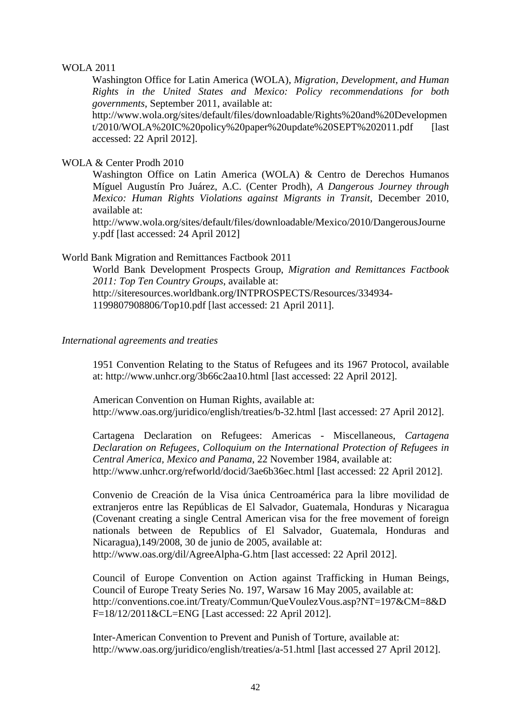### WOLA 2011

Washington Office for Latin America (WOLA), *Migration, Development, and Human Rights in the United States and Mexico: Policy recommendations for both governments*, September 2011, available at:

http://www.wola.org/sites/default/files/downloadable/Rights%20and%20Developmen t/2010/WOLA%20IC%20policy%20paper%20update%20SEPT%202011.pdf [last] accessed: 22 April 2012].

WOLA & Center Prodh 2010

Washington Office on Latin America (WOLA) & Centro de Derechos Humanos Míguel Augustín Pro Juárez, A.C. (Center Prodh), *A Dangerous Journey through Mexico: Human Rights Violations against Migrants in Transit*, December 2010, available at:

http://www.wola.org/sites/default/files/downloadable/Mexico/2010/DangerousJourne y.pdf [last accessed: 24 April 2012]

## World Bank Migration and Remittances Factbook 2011

World Bank Development Prospects Group, *Migration and Remittances Factbook 2011: Top Ten Country Groups*, available at: http://siteresources.worldbank.org/INTPROSPECTS/Resources/334934-

1199807908806/Top10.pdf [last accessed: 21 April 2011].

## *International agreements and treaties*

1951 Convention Relating to the Status of Refugees and its 1967 Protocol, available at: http://www.unhcr.org/3b66c2aa10.html [last accessed: 22 April 2012].

American Convention on Human Rights, available at: http://www.oas.org/juridico/english/treaties/b-32.html [last accessed: 27 April 2012].

Cartagena Declaration on Refugees: Americas - Miscellaneous, *Cartagena Declaration on Refugees, Colloquium on the International Protection of Refugees in Central America, Mexico and Panama*, 22 November 1984, available at: http://www.unhcr.org/refworld/docid/3ae6b36ec.html [last accessed: 22 April 2012].

Convenio de Creación de la Visa única Centroamérica para la libre movilidad de extranjeros entre las Repúblicas de El Salvador, Guatemala, Honduras y Nicaragua (Covenant creating a single Central American visa for the free movement of foreign nationals between de Republics of El Salvador, Guatemala, Honduras and Nicaragua),149/2008, 30 de junio de 2005, available at:

http://www.oas.org/dil/AgreeAlpha-G.htm [last accessed: 22 April 2012].

Council of Europe Convention on Action against Trafficking in Human Beings, Council of Europe Treaty Series No. 197, Warsaw 16 May 2005, available at: http://conventions.coe.int/Treaty/Commun/QueVoulezVous.asp?NT=197&CM=8&D F=18/12/2011&CL=ENG [Last accessed: 22 April 2012].

Inter-American Convention to Prevent and Punish of Torture, available at: http://www.oas.org/juridico/english/treaties/a-51.html [last accessed 27 April 2012].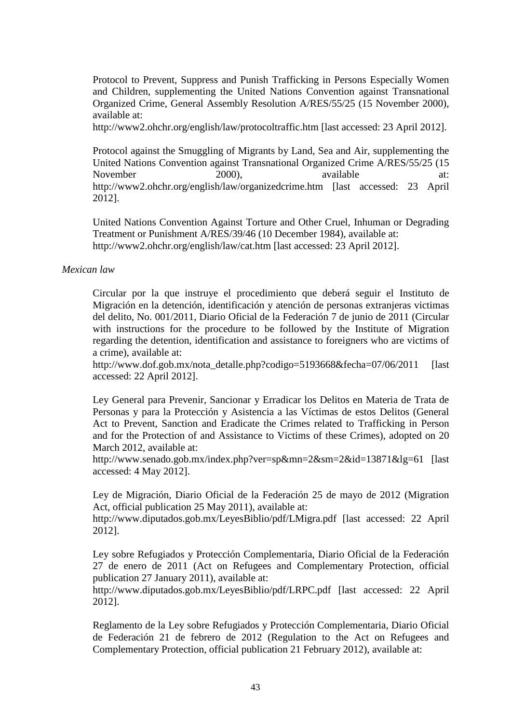Protocol to Prevent, Suppress and Punish Trafficking in Persons Especially Women and Children, supplementing the United Nations Convention against Transnational Organized Crime, General Assembly Resolution A/RES/55/25 (15 November 2000), available at:

http://www2.ohchr.org/english/law/protocoltraffic.htm [last accessed: 23 April 2012].

Protocol against the Smuggling of Migrants by Land, Sea and Air, supplementing the United Nations Convention against Transnational Organized Crime A/RES/55/25 (15<br>November 2000). available at: November 2000), available at: http://www2.ohchr.org/english/law/organizedcrime.htm [last accessed: 23 April 2012].

United Nations Convention Against Torture and Other Cruel, Inhuman or Degrading Treatment or Punishment A/RES/39/46 (10 December 1984), available at: http://www2.ohchr.org/english/law/cat.htm [last accessed: 23 April 2012].

## *Mexican law*

Circular por la que instruye el procedimiento que deberá seguir el Instituto de Migración en la detención, identificación y atención de personas extranjeras victimas del delito, No. 001/2011, Diario Oficial de la Federación 7 de junio de 2011 (Circular with instructions for the procedure to be followed by the Institute of Migration regarding the detention, identification and assistance to foreigners who are victims of a crime), available at:

http://www.dof.gob.mx/nota\_detalle.php?codigo=5193668&fecha=07/06/2011 [last] accessed: 22 April 2012].

Ley General para Prevenir, Sancionar y Erradicar los Delitos en Materia de Trata de Personas y para la Protección y Asistencia a las Víctimas de estos Delitos (General Act to Prevent, Sanction and Eradicate the Crimes related to Trafficking in Person and for the Protection of and Assistance to Victims of these Crimes), adopted on 20 March 2012, available at:

http://www.senado.gob.mx/index.php?ver=sp&mn=2&sm=2&id=13871&lg=61 [last accessed: 4 May 2012].

Ley de Migración, Diario Oficial de la Federación 25 de mayo de 2012 (Migration Act, official publication 25 May 2011), available at:

http://www.diputados.gob.mx/LeyesBiblio/pdf/LMigra.pdf [last accessed: 22 April 2012].

Ley sobre Refugiados y Protección Complementaria, Diario Oficial de la Federación 27 de enero de 2011 (Act on Refugees and Complementary Protection, official publication 27 January 2011), available at:

http://www.diputados.gob.mx/LeyesBiblio/pdf/LRPC.pdf [last accessed: 22 April 2012].

Reglamento de la Ley sobre Refugiados y Protección Complementaria, Diario Oficial de Federación 21 de febrero de 2012 (Regulation to the Act on Refugees and Complementary Protection, official publication 21 February 2012), available at: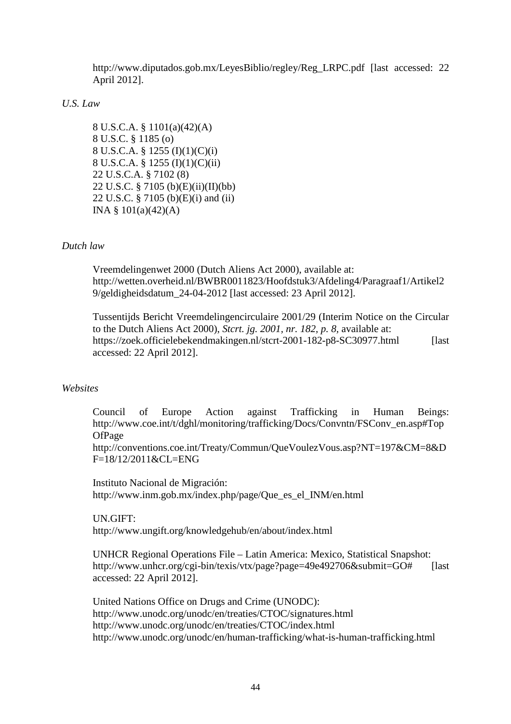http://www.diputados.gob.mx/LeyesBiblio/regley/Reg\_LRPC.pdf [last accessed: 22 April 2012].

# *U.S. Law*

8 U.S.C.A. § 1101(a)(42)(A) 8 U.S.C. § 1185 (o) 8 U.S.C.A. § 1255 (I)(1)(C)(i) 8 U.S.C.A. § 1255 (I)(1)(C)(ii) 22 U.S.C.A. § 7102 (8) 22 U.S.C. § 7105 (b)(E)(ii)(II)(bb) 22 U.S.C. § 7105 (b)(E)(i) and (ii) INA §  $101(a)(42)(A)$ 

# *Dutch law*

Vreemdelingenwet 2000 (Dutch Aliens Act 2000), available at: http://wetten.overheid.nl/BWBR0011823/Hoofdstuk3/Afdeling4/Paragraaf1/Artikel2 9/geldigheidsdatum\_24-04-2012 [last accessed: 23 April 2012].

Tussentijds Bericht Vreemdelingencirculaire 2001/29 (Interim Notice on the Circular to the Dutch Aliens Act 2000), *Stcrt. jg. 2001, nr. 182, p. 8,* available at: https://zoek.officielebekendmakingen.nl/stcrt-2001-182-p8-SC30977.html [last accessed: 22 April 2012].

# *Websites*

Council of Europe Action against Trafficking in Human Beings: http://www.coe.int/t/dghl/monitoring/trafficking/Docs/Convntn/FSConv\_en.asp#Top OfPage

http://conventions.coe.int/Treaty/Commun/QueVoulezVous.asp?NT=197&CM=8&D F=18/12/2011&CL=ENG

Instituto Nacional de Migración: http://www.inm.gob.mx/index.php/page/Que\_es\_el\_INM/en.html

UN.GIFT: http://www.ungift.org/knowledgehub/en/about/index.html

UNHCR Regional Operations File – Latin America: Mexico, Statistical Snapshot: http://www.unhcr.org/cgi-bin/texis/vtx/page?page=49e492706&submit=GO# [last accessed: 22 April 2012].

United Nations Office on Drugs and Crime (UNODC): http://www.unodc.org/unodc/en/treaties/CTOC/signatures.html http://www.unodc.org/unodc/en/treaties/CTOC/index.html http://www.unodc.org/unodc/en/human-trafficking/what-is-human-trafficking.html